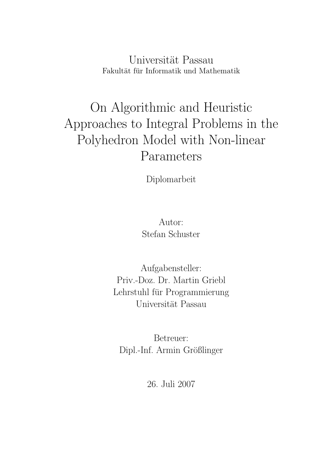Universität Passau Fakultät für Informatik und Mathematik

# On Algorithmic and Heuristic Approaches to Integral Problems in the Polyhedron Model with Non-linear Parameters

Diplomarbeit

Autor: Stefan Schuster

Aufgabensteller: Priv.-Doz. Dr. Martin Griebl Lehrstuhl für Programmierung Universität Passau

Betreuer: Dipl.-Inf. Armin Größlinger

26. Juli 2007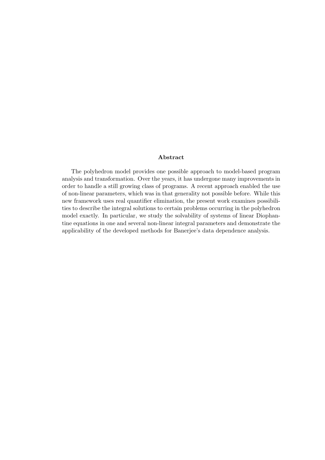#### Abstract

The polyhedron model provides one possible approach to model-based program analysis and transformation. Over the years, it has undergone many improvements in order to handle a still growing class of programs. A recent approach enabled the use of non-linear parameters, which was in that generality not possible before. While this new framework uses real quantifier elimination, the present work examines possibilities to describe the integral solutions to certain problems occurring in the polyhedron model exactly. In particular, we study the solvability of systems of linear Diophantine equations in one and several non-linear integral parameters and demonstrate the applicability of the developed methods for Banerjee's data dependence analysis.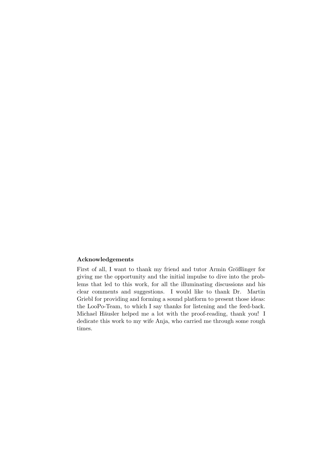#### Acknowledgements

First of all, I want to thank my friend and tutor Armin Größlinger for giving me the opportunity and the initial impulse to dive into the problems that led to this work, for all the illuminating discussions and his clear comments and suggestions. I would like to thank Dr. Martin Griebl for providing and forming a sound platform to present those ideas: the LooPo-Team, to which I say thanks for listening and the feed-back. Michael Häusler helped me a lot with the proof-reading, thank you! I dedicate this work to my wife Anja, who carried me through some rough times.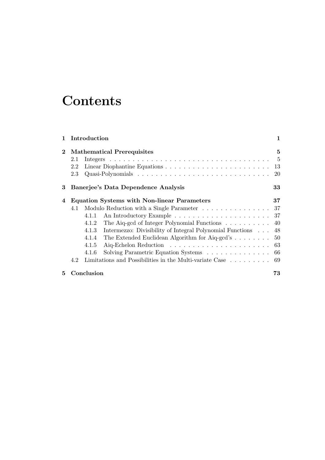## **Contents**

| $\mathbf{1}$ |            | Introduction                                                                | $\mathbf{1}$    |
|--------------|------------|-----------------------------------------------------------------------------|-----------------|
| $\bf{2}$     | 2.1<br>2.2 | <b>Mathematical Prerequisites</b>                                           | 5<br>$-5$<br>13 |
|              | 2.3        |                                                                             | 20              |
| 3            |            | Banerjee's Data Dependence Analysis                                         | 33              |
| 4            |            | <b>Equation Systems with Non-linear Parameters</b>                          | 37              |
|              | 4.1        | Modulo Reduction with a Single Parameter                                    | 37              |
|              |            | 4.1.1                                                                       | -37             |
|              |            | The Aiq-gcd of Integer Polynomial Functions<br>4.1.2                        | 40              |
|              |            | 4.1.3<br>Intermezzo: Divisibility of Integral Polynomial Functions          | 48              |
|              |            | The Extended Euclidean Algorithm for Aiq-gcd's $\dots \dots$<br>4.1.4       | 50              |
|              |            | 4.1.5                                                                       |                 |
|              |            | Solving Parametric Equation Systems 66<br>4.1.6                             |                 |
|              | 4.2        | Limitations and Possibilities in the Multi-variate Case $\dots \dots \dots$ | 69              |
| 5.           |            | Conclusion                                                                  | 73              |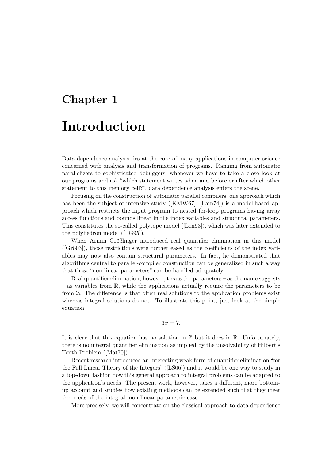# Chapter 1 Introduction

Data dependence analysis lies at the core of many applications in computer science concerned with analysis and transformation of programs. Ranging from automatic parallelizers to sophisticated debuggers, whenever we have to take a close look at our programs and ask "which statement writes when and before or after which other statement to this memory cell?", data dependence analysis enters the scene.

Focusing on the construction of automatic parallel compilers, one approach which has been the subject of intensive study ([KMW67], [Lam74]) is a model-based approach which restricts the input program to nested for-loop programs having array access functions and bounds linear in the index variables and structural parameters. This constitutes the so-called polytope model ([Len93]), which was later extended to the polyhedron model ([LG95]).

When Armin Größlinger introduced real quantifier elimination in this model  $([Grö03])$ , those restrictions were further eased as the coefficients of the index variables may now also contain structural parameters. In fact, he demonstrated that algorithms central to parallel-compiler construction can be generalized in such a way that those "non-linear parameters" can be handled adequately.

Real quantifier elimination, however, treats the parameters  $-$  as the name suggests – as variables from R, while the applications actually require the parameters to be from Z. The difference is that often real solutions to the application problems exist whereas integral solutions do not. To illustrate this point, just look at the simple equation

$$
3x=7.
$$

It is clear that this equation has no solution in  $\mathbb Z$  but it does in  $\mathbb R$ . Unfortunately, there is no integral quantifier elimination as implied by the unsolvability of Hilbert's Tenth Problem ([Mat70]).

Recent research introduced an interesting weak form of quantifier elimination "for the Full Linear Theory of the Integers" ([LS06]) and it would be one way to study in a top-down fashion how this general approach to integral problems can be adapted to the application's needs. The present work, however, takes a different, more bottomup account and studies how existing methods can be extended such that they meet the needs of the integral, non-linear parametric case.

More precisely, we will concentrate on the classical approach to data dependence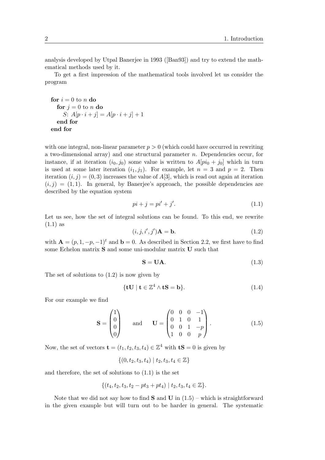analysis developed by Utpal Banerjee in 1993 ([Ban93]) and try to extend the mathematical methods used by it.

To get a first impression of the mathematical tools involved let us consider the program

```
for i = 0 to n do
  for j = 0 to n do
     S: A[p \cdot i + j] = A[p \cdot i + j] + 1end for
end for
```
with one integral, non-linear parameter  $p > 0$  (which could have occurred in rewriting a two-dimensional array) and one structural parameter  $n$ . Dependencies occur, for instance, if at iteration  $(i_0, j_0)$  some value is written to  $A[pi_0 + j_0]$  which in turn is used at some later iteration  $(i_1, j_1)$ . For example, let  $n = 3$  and  $p = 2$ . Then iteration  $(i, j) = (0, 3)$  increases the value of A[3], which is read out again at iteration  $(i, j) = (1, 1)$ . In general, by Banerjee's approach, the possible dependencies are described by the equation system

$$
pi + j = pi' + j'.\tag{1.1}
$$

Let us see, how the set of integral solutions can be found. To this end, we rewrite (1.1) as

$$
(i, j, i', j')\mathbf{A} = \mathbf{b}.\tag{1.2}
$$

with  $\mathbf{A} = (p, 1, -p, -1)^t$  and  $\mathbf{b} = 0$ . As described in Section 2.2, we first have to find some Echelon matrix **S** and some uni-modular matrix **U** such that

$$
S = UA.
$$
 (1.3)

The set of solutions to (1.2) is now given by

$$
\{\mathbf{tU} \mid \mathbf{t} \in \mathbb{Z}^4 \wedge \mathbf{tS} = \mathbf{b}\}.
$$
 (1.4)

For our example we find

$$
\mathbf{S} = \begin{pmatrix} 1 \\ 0 \\ 0 \\ 0 \end{pmatrix} \quad \text{and} \quad \mathbf{U} = \begin{pmatrix} 0 & 0 & 0 & -1 \\ 0 & 1 & 0 & 1 \\ 0 & 0 & 1 & -p \\ 1 & 0 & 0 & p \end{pmatrix} . \tag{1.5}
$$

Now, the set of vectors  $\mathbf{t} = (t_1, t_2, t_3, t_4) \in \mathbb{Z}^4$  with  $\mathbf{tS} = 0$  is given by

$$
\{(0, t_2, t_3, t_4) \mid t_2, t_3, t_4 \in \mathbb{Z}\}\
$$

and therefore, the set of solutions to (1.1) is the set

$$
\{(t_4, t_2, t_3, t_2 - pt_3 + pt_4) \mid t_2, t_3, t_4 \in \mathbb{Z}\}.
$$

Note that we did not say how to find  $S$  and  $U$  in  $(1.5)$  – which is straightforward in the given example but will turn out to be harder in general. The systematic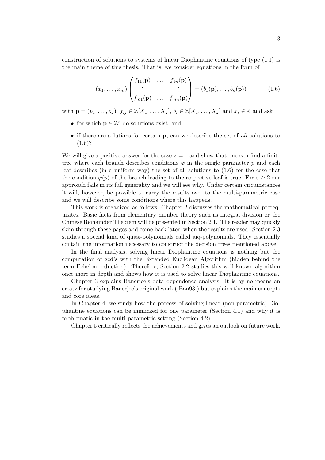construction of solutions to systems of linear Diophantine equations of type (1.1) is the main theme of this thesis. That is, we consider equations in the form of

$$
(x_1, \ldots, x_m) \begin{pmatrix} f_{11}(\mathbf{p}) & \ldots & f_{1n}(\mathbf{p}) \\ \vdots & & \vdots \\ f_{m1}(\mathbf{p}) & \ldots & f_{mn}(\mathbf{p}) \end{pmatrix} = (b_1(\mathbf{p}), \ldots, b_n(\mathbf{p}))
$$
(1.6)

with  $\mathbf{p} = (p_1, \ldots, p_z)$ ,  $f_{ij} \in \mathbb{Z}[X_1, \ldots, X_z]$ ,  $b_i \in \mathbb{Z}[X_1, \ldots, X_z]$  and  $x_i \in \mathbb{Z}$  and ask

- for which  $\mathbf{p} \in \mathbb{Z}^z$  do solutions exist, and
- if there are solutions for certain **p**, can we describe the set of all solutions to  $(1.6)$ ?

We will give a positive answer for the case  $z = 1$  and show that one can find a finite tree where each branch describes conditions  $\varphi$  in the single parameter p and each leaf describes (in a uniform way) the set of all solutions to (1.6) for the case that the condition  $\varphi(p)$  of the branch leading to the respective leaf is true. For  $z \geq 2$  our approach fails in its full generality and we will see why. Under certain circumstances it will, however, be possible to carry the results over to the multi-parametric case and we will describe some conditions where this happens.

This work is organized as follows. Chapter 2 discusses the mathematical prerequisites. Basic facts from elementary number theory such as integral division or the Chinese Remainder Theorem will be presented in Section 2.1. The reader may quickly skim through these pages and come back later, when the results are used. Section 2.3 studies a special kind of quasi-polynomials called aiq-polynomials. They essentially contain the information necessary to construct the decision trees mentioned above.

In the final analysis, solving linear Diophantine equations is nothing but the computation of gcd's with the Extended Euclidean Algorithm (hidden behind the term Echelon reduction). Therefore, Section 2.2 studies this well known algorithm once more in depth and shows how it is used to solve linear Diophantine equations.

Chapter 3 explains Banerjee's data dependence analysis. It is by no means an ersatz for studying Banerjee's original work ([Ban93]) but explains the main concepts and core ideas.

In Chapter 4, we study how the process of solving linear (non-parametric) Diophantine equations can be mimicked for one parameter (Section 4.1) and why it is problematic in the multi-parametric setting (Section 4.2).

Chapter 5 critically reflects the achievements and gives an outlook on future work.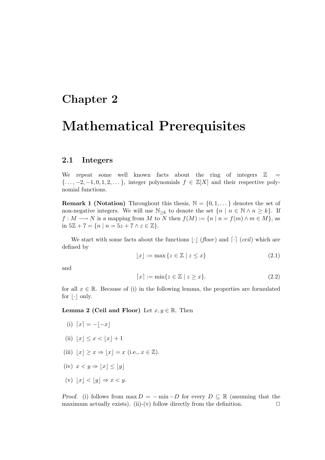### Chapter 2

## Mathematical Prerequisites

#### 2.1 Integers

We repeat some well known facts about the ring of integers  $\mathbb{Z}$  =  $\{\ldots, -2, -1, 0, 1, 2, \ldots\}$ , integer polynomials  $f \in \mathbb{Z}[X]$  and their respective polynomial functions.

**Remark 1 (Notation)** Throughout this thesis,  $\mathbb{N} = \{0, 1, \ldots\}$  denotes the set of non-negative integers. We will use  $\mathbb{N}_{\geq k}$  to denote the set  $\{n \mid n \in \mathbb{N} \land n \geq k\}$ . If  $f: M \longrightarrow N$  is a mapping from M to N then  $f(M) := \{n \mid n = f(m) \land m \in M\}$ , as in  $5\mathbb{Z} + 7 = \{n \mid n = 5z + 7 \land z \in \mathbb{Z}\}.$ 

We start with some facts about the functions  $\lvert \cdot \rvert$  (*floor*) and  $\lvert \cdot \rvert$  (*ceil*) which are defined by

$$
\lfloor x \rfloor := \max \{ z \in \mathbb{Z} \mid z \le x \} \tag{2.1}
$$

and

$$
\lceil x \rceil := \min\{z \in \mathbb{Z} \mid z \ge x\}.\tag{2.2}
$$

for all  $x \in \mathbb{R}$ . Because of (i) in the following lemma, the properties are formulated for  $|\cdot|$  only.

**Lemma 2 (Ceil and Floor)** Let  $x, y \in \mathbb{R}$ . Then

- (i)  $[x] = -|x|$
- (ii)  $|x| \leq x \leq |x| + 1$
- (iii)  $|x| \geq x \Rightarrow |x| = x$  (i.e.,  $x \in \mathbb{Z}$ ).
- (iv)  $x < y \Rightarrow |x| \leq |y|$
- (v)  $|x| < |y| \Rightarrow x < y$ .

Proof. (i) follows from  $\max D = -\min -D$  for every  $D \subseteq \mathbb{R}$  (assuming that the maximum actually exists). (ii)-(v) follow directly from the definition.  $\Box$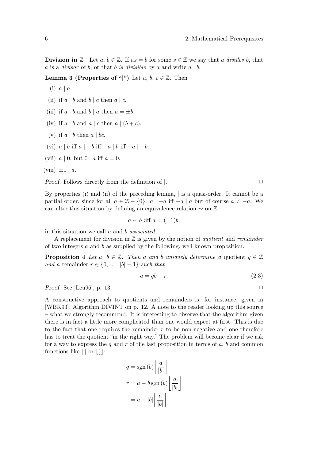**Division in** Z Let  $a, b \in \mathbb{Z}$ . If  $as = b$  for some  $s \in \mathbb{Z}$  we say that a divides b, that a is a *divisor* of b, or that b is *divisible* by a and write  $a \mid b$ .

**Lemma 3 (Properties of "|")** Let  $a, b, c \in \mathbb{Z}$ . Then

- $(i)$   $a \mid a$ .
- (ii) if  $a \mid b$  and  $b \mid c$  then  $a \mid c$ .
- (iii) if a | b and b | a then  $a = \pm b$ .
- (iv) if  $a \mid b$  and  $a \mid c$  then  $a \mid (b + c)$ .
- (v) if  $a \mid b$  then  $a \mid bc$ .
- (vi)  $a \mid b$  iff  $a \mid -b$  iff  $-a \mid b$  iff  $-a \mid -b$ .
- (vii)  $a \mid 0$ , but  $0 \mid a$  iff  $a = 0$ .

(viii)  $\pm 1 \mid a$ .

*Proof.* Follows directly from the definition of  $\vert$ .

By properties (i) and (ii) of the preceding lemma, | is a quasi-order. It cannot be a partial order, since for all  $a \in \mathbb{Z} - \{0\}$ :  $a \mid -a$  iff  $-a \mid a$  but of course  $a \neq -a$ . We can alter this situation by defining an equivalence relation  $\sim$  on  $\mathbb{Z}$ :

$$
a \sim b \text{ iff } a = (\pm 1)b;
$$

in this situation we call a and b associated.

A replacement for division in  $\mathbb Z$  is given by the notion of *quotient* and *remainder* of two integers  $a$  and  $b$  as supplied by the following, well known proposition.

**Proposition 4** Let a,  $b \in \mathbb{Z}$ . Then a and b uniquely determine a quotient  $q \in \mathbb{Z}$ and a remainder  $r \in \{0, \ldots, |b| - 1\}$  such that

$$
a = qb + r.\tag{2.3}
$$

Proof. See [Leu96], p. 13.  $\Box$ 

A constructive approach to quotients and remainders is, for instance, given in [WBK93], Algorithm DIVINT on p. 12. A note to the reader looking up this source – what we strongly recommend: It is interesting to observe that the algorithm given there is in fact a little more complicated than one would expect at first. This is due to the fact that one requires the remainder  $r$  to be non-negative and one therefore has to treat the quotient "in the right way." The problem will become clear if we ask for a way to express the  $q$  and  $r$  of the last proposition in terms of  $a, b$  and common functions like  $|\cdot|$  or  $|\frac{1}{2}\rangle$  $\vdots$ 

$$
q = \text{sgn}(b) \left\lfloor \frac{a}{|b|} \right\rfloor
$$

$$
r = a - b \text{sgn}(b) \left\lfloor \frac{a}{|b|} \right\rfloor
$$

$$
= a - |b| \left\lfloor \frac{a}{|b|} \right\rfloor
$$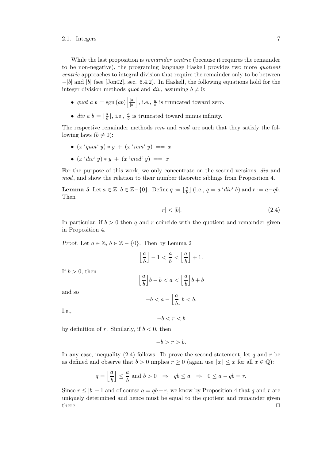While the last proposition is *remainder centric* (because it requires the remainder to be non-negative), the programing language Haskell provides two more quotient centric approaches to integral division that require the remainder only to be between  $-|b|$  and  $|b|$  (see [Jon02], sec. 6.4.2). In Haskell, the following equations hold for the integer division methods *quot* and *div*, assuming  $b \neq 0$ :

- *quot a b* = sgn  $(ab)$   $\frac{|a|}{|b|}$  $|b|$ |, i.e.,  $\frac{a}{b}$  is truncated toward zero.
- div a  $b = \lfloor \frac{a}{b} \rfloor$  $\frac{a}{b}$ , i.e.,  $\frac{a}{b}$  is truncated toward minus infinity.

The respective remainder methods rem and mod are such that they satisfy the following laws  $(b \neq 0)$ :

- $(x \text{ 'quot' } y) * y + (x \text{ 'rem' } y) == x$
- $(x 'div' y) * y + (x 'mod' y) == x$

For the purpose of this work, we only concentrate on the second versions, div and mod, and show the relation to their number theoretic siblings from Proposition 4.

**Lemma 5** Let  $a \in \mathbb{Z}$ ,  $b \in \mathbb{Z} - \{0\}$ . Define  $q := \lfloor \frac{a}{b} \rfloor$  $\frac{a}{b}$ ] (i.e.,  $q = a \cdot div \cdot b$ ) and  $r := a - qb$ . Then

$$
|r| < |b|.\tag{2.4}
$$

In particular, if  $b > 0$  then q and r coincide with the quotient and remainder given in Proposition 4.

Proof. Let  $a \in \mathbb{Z}$ ,  $b \in \mathbb{Z} - \{0\}$ . Then by Lemma 2

| $\left\lfloor \frac{a}{b} \right\rfloor - 1 < \frac{a}{b} < \left\lfloor \frac{a}{b} \right\rfloor + 1.$ |
|----------------------------------------------------------------------------------------------------------|
| $\left\lfloor \frac{a}{b} \right\rfloor b - b < a < \left\lfloor \frac{a}{b} \right\rfloor b + b$        |
| $-h < a - \left  \frac{a}{b} \right  h < h$                                                              |

and so

If  $b > 0$ , then

$$
-b < a - \left\lfloor \frac{a}{b} \right\rfloor b < b.
$$

I.e.,

 $-b < r < b$ 

by definition of r. Similarly, if  $b < 0$ , then

$$
-b > r > b.
$$

In any case, inequality  $(2.4)$  follows. To prove the second statement, let q and r be as defined and observe that  $b > 0$  implies  $r > 0$  (again use  $|x| \leq x$  for all  $x \in \mathbb{Q}$ ):

$$
q = \left\lfloor \frac{a}{b} \right\rfloor \le \frac{a}{b}
$$
 and  $b > 0 \Rightarrow qb \le a \Rightarrow 0 \le a - qb = r$ .

Since  $r \le |b| - 1$  and of course  $a = qb + r$ , we know by Proposition 4 that q and r are uniquely determined and hence must be equal to the quotient and remainder given there.  $\Box$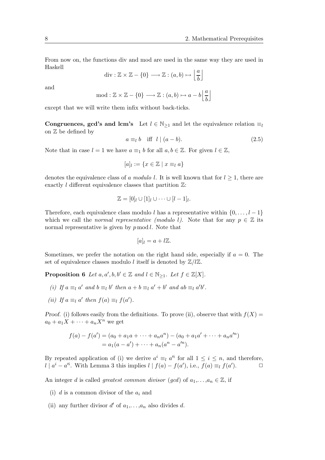From now on, the functions div and mod are used in the same way they are used in Haskell

$$
\mathrm{div}:\mathbb{Z}\times\mathbb{Z}-\{0\}\longrightarrow\mathbb{Z}:(a,b)\mapsto\left\lfloor\frac{a}{b}\right\rfloor
$$

and

$$
\text{mod} : \mathbb{Z} \times \mathbb{Z} - \{0\} \longrightarrow \mathbb{Z} : (a, b) \mapsto a - b \left\lfloor \frac{a}{b} \right\rfloor
$$

except that we will write them infix without back-ticks.

Congruences, gcd's and lcm's Let  $l \in \mathbb{N}_{\geq 1}$  and let the equivalence relation  $\equiv_l$ on Z be defined by

$$
a \equiv_l b \quad \text{iff} \quad l \mid (a - b). \tag{2.5}
$$

Note that in case  $l = 1$  we have  $a \equiv_1 b$  for all  $a, b \in \mathbb{Z}$ . For given  $l \in \mathbb{Z}$ ,

$$
[a]_l:=\{x\in\mathbb{Z}\mid x\equiv_l a\}
$$

denotes the equivalence class of a modulo l. It is well known that for  $l \geq 1$ , there are exactly l different equivalence classes that partition  $\mathbb{Z}$ :

$$
\mathbb{Z} = [0]_l \cup [1]_l \cup \cdots \cup [l-1]_l.
$$

Therefore, each equivalence class modulo l has a representative within  $\{0, \ldots, l-1\}$ which we call the normal representative (modulo l). Note that for any  $p \in \mathbb{Z}$  its normal representative is given by  $p \mod l$ . Note that

$$
[a]_l = a + l\mathbb{Z}.
$$

Sometimes, we prefer the notation on the right hand side, especially if  $a = 0$ . The set of equivalence classes modulo *l* itself is denoted by  $\mathbb{Z}/l\mathbb{Z}$ .

**Proposition 6** Let  $a, a', b, b' \in \mathbb{Z}$  and  $l \in \mathbb{N}_{\geq 1}$ . Let  $f \in \mathbb{Z}[X]$ .

- (i) If  $a \equiv_l a'$  and  $b \equiv_l b'$  then  $a + b \equiv_l a' + b'$  and  $ab \equiv_l a'b'$ .
- (ii) If  $a \equiv_l a'$  then  $f(a) \equiv_l f(a')$ .

Proof. (i) follows easily from the definitions. To prove (ii), observe that with  $f(X) =$  $a_0 + a_1X + \cdots + a_nX^n$  we get

$$
f(a) - f(a') = (a_0 + a_1a + \dots + a_na^n) - (a_0 + a_1a' + \dots + a_na'^n)
$$
  
=  $a_1(a - a') + \dots + a_n(a^n - a'^n)$ .

By repeated application of (i) we derive  $a^i \equiv_l a^{li}$  for all  $1 \leq i \leq n$ , and therefore,  $l | a^{i} - a'^{i}$ . With Lemma 3 this implies  $l | f(a) - f(a')$ , i.e.,  $f(a) \equiv_l f(a')$  $\Box$ 

An integer d is called greatest common divisor (gcd) of  $a_1, \ldots, a_n \in \mathbb{Z}$ , if

- (i) d is a common divisor of the  $a_i$  and
- (ii) any further divisor  $d'$  of  $a_1, \ldots, a_n$  also divides d.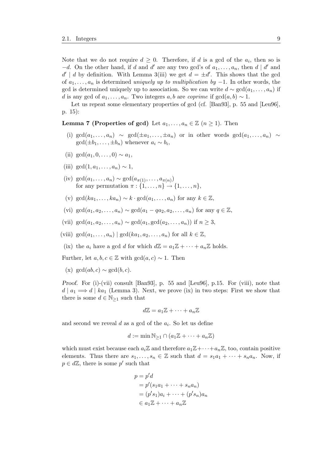Note that we do not require  $d \geq 0$ . Therefore, if d is a gcd of the  $a_i$ , then so is  $-d.$  On the other hand, if d and d' are any two gcd's of  $a_1, \ldots, a_n$ , then  $d | d'$  and  $d' | d$  by definition. With Lemma 3(iii) we get  $d = \pm d'$ . This shows that the gcd of  $a_1, \ldots, a_n$  is determined *uniquely up to multiplication by*  $-1$ . In other words, the gcd is determined uniquely up to association. So we can write  $d \sim \gcd(a_1, \ldots, a_n)$  if d is any gcd of  $a_1, \ldots, a_n$ . Two integers  $a, b$  are *coprime* if  $gcd(a, b) \sim 1$ .

Let us repeat some elementary properties of gcd (cf. [Ban93], p. 55 and [Leu96], p. 15):

#### **Lemma 7 (Properties of gcd)** Let  $a_1, \ldots, a_n \in \mathbb{Z}$   $(n \geq 1)$ . Then

- (i) gcd( $a_1, \ldots, a_n$ ) ∼ gcd( $\pm a_1, \ldots, \pm a_n$ ) or in other words gcd( $a_1, \ldots, a_n$ ) ∼  $gcd(\pm b_1,\ldots,\pm b_n)$  whenever  $a_i \sim b_i$ ,
- (ii)  $gcd(a_1, 0, \ldots, 0) \sim a_1$ ,
- (iii)  $gcd(1, a_1, \ldots, a_n) \sim 1$ .
- (iv)  $\gcd(a_1, ..., a_n) \sim \gcd(a_{\pi(1)}, ..., a_{\pi(n)})$ for any permutation  $\pi : \{1, \ldots, n\} \rightarrow \{1, \ldots, n\}$ ,
- (v) gcd( $ka_1, \ldots, ka_n$ ) ∼  $k \cdot \gcd(a_1, \ldots, a_n)$  for any  $k \in \mathbb{Z}$ ,
- (vi) gcd( $a_1, a_2, ..., a_n$ ) ~ gcd( $a_1 qa_2, a_2, ..., a_n$ ) for any  $q \in \mathbb{Z}$ ,
- (vii)  $\gcd(a_1, a_2, \ldots, a_n) \sim \gcd(a_1, \gcd(a_2, \ldots, a_n))$  if  $n \geq 3$ ,
- (viii)  $\gcd(a_1, \ldots, a_n) \mid \gcd(ka_1, a_2, \ldots, a_n)$  for all  $k \in \mathbb{Z}$ ,
- (ix) the  $a_i$  have a gcd d for which  $d\mathbb{Z} = a_1\mathbb{Z} + \cdots + a_n\mathbb{Z}$  holds.

Further, let  $a, b, c \in \mathbb{Z}$  with  $gcd(a, c) \sim 1$ . Then

 $(x) \gcd(ab, c) \sim \gcd(b, c).$ 

*Proof.* For (i)-(vii) consult  $[Ban93]$ , p. 55 and  $[Leu96]$ , p.15. For (viii), note that  $d \mid a_1 \Longrightarrow d \mid ka_1$  (Lemma 3). Next, we prove (ix) in two steps: First we show that there is some  $d \in \mathbb{N}_{\geq 1}$  such that

$$
d\mathbb{Z} = a_1\mathbb{Z} + \cdots + a_n\mathbb{Z}
$$

and second we reveal  $d$  as a gcd of the  $a_i$ . So let us define

$$
d := \min \mathbb{N}_{\geq 1} \cap (a_1 \mathbb{Z} + \dots + a_n \mathbb{Z})
$$

which must exist because each  $a_i\mathbb{Z}$  and therefore  $a_1\mathbb{Z}+\cdots+a_n\mathbb{Z}$ , too, contain positive elements. Thus there are  $s_1, \ldots, s_n \in \mathbb{Z}$  such that  $d = s_1a_1 + \cdots + s_na_n$ . Now, if  $p \in d\mathbb{Z}$ , there is some  $p'$  such that

$$
p = p'd
$$
  
=  $p'(s_1a_1 + \cdots + s_na_n)$   
=  $(p's_1)a_i + \cdots + (p's_n)a_n$   
 $\in a_1\mathbb{Z} + \cdots + a_n\mathbb{Z}$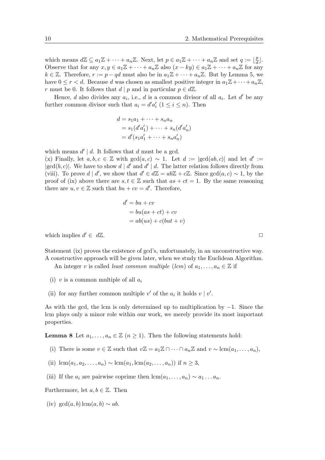which means  $d\mathbb{Z} \subseteq a_1\mathbb{Z} + \cdots + a_n\mathbb{Z}$ . Next, let  $p \in a_1\mathbb{Z} + \cdots + a_n\mathbb{Z}$  and set  $q := \lfloor \frac{p}{d} \rfloor$  $\frac{p}{d}$ . Observe that for any  $x, y \in a_1\mathbb{Z} + \cdots + a_n\mathbb{Z}$  also  $(x - ky) \in a_1\mathbb{Z} + \cdots + a_n\mathbb{Z}$  for any  $k \in \mathbb{Z}$ . Therefore,  $r := p - qd$  must also be in  $a_1 \mathbb{Z} + \cdots + a_n \mathbb{Z}$ . But by Lemma 5, we have  $0 \leq r < d$ . Because d was chosen as smallest positive integer in  $a_1 \mathbb{Z} + \cdots + a_n \mathbb{Z}$ , r must be 0. It follows that  $d | p$  and in particular  $p \in d\mathbb{Z}$ .

Hence, d also divides any  $a_i$ , i.e., d is a common divisor of all  $a_i$ . Let d' be any further common divisor such that  $a_i = d' a'_i$   $(1 \le i \le n)$ . Then

$$
d = s_1 a_1 + \dots + s_n a_n
$$
  
=  $s_1(d' a'_1) + \dots + s_n(d' a'_n)$   
=  $d' (s_1 a'_1 + \dots + s_n a'_n)$ 

which means  $d' | d$ . It follows that d must be a gcd.

(x) Finally, let  $a, b, c \in \mathbb{Z}$  with  $gcd(a, c) \sim 1$ . Let  $d := |gcd(ab, c)|$  and let  $d' :=$  $|gcd(b, c)|$ . We have to show  $d | d'$  and  $d' | d$ . The latter relation follows directly from (viii). To prove  $d | d'$ , we show that  $d' \in d\mathbb{Z} = ab\mathbb{Z} + c\mathbb{Z}$ . Since  $gcd(a, c) \sim 1$ , by the proof of (ix) above there are  $s, t \in \mathbb{Z}$  such that  $as + ct = 1$ . By the same reasoning there are  $u, v \in \mathbb{Z}$  such that  $bu + cv = d'$ . Therefore,

$$
d' = bu + cv
$$
  
= bu(as + ct) + cv  
= ab(us) + c(but + v)

which implies  $d' \in d\mathbb{Z}$ .  $' \in d\mathbb{Z}$ .

Statement (ix) proves the existence of gcd's, unfortunately, in an unconstructive way. A constructive approach will be given later, when we study the Euclidean Algorithm.

An integer v is called *least common multiple* (*lcm*) of  $a_1, \ldots, a_n \in \mathbb{Z}$  if

- (i) v is a common multiple of all  $a_i$
- (ii) for any further common multiple  $v'$  of the  $a_i$  it holds  $v \mid v'$ .

As with the gcd, the lcm is only determined up to multiplication by −1. Since the lcm plays only a minor role within our work, we merely provide its most important properties.

**Lemma 8** Let  $a_1, \ldots, a_n \in \mathbb{Z}$   $(n \geq 1)$ . Then the following statements hold:

- (i) There is some  $v \in \mathbb{Z}$  such that  $v\mathbb{Z} = a_1\mathbb{Z} \cap \cdots \cap a_n\mathbb{Z}$  and  $v \sim \text{lcm}(a_1, \ldots, a_n)$ ,
- (ii) lcm( $a_1, a_2, ..., a_n$ ) ~ lcm( $a_1$ , lcm( $a_2, ..., a_n$ )) if  $n \geq 3$ ,
- (iii) If the  $a_i$  are pairwise coprime then  $lcm(a_1, \ldots, a_n) \sim a_1 \ldots a_n$ .

Furthermore, let  $a, b \in \mathbb{Z}$ . Then

(iv) gcd(a, b) lcm(a, b)  $\sim$  ab.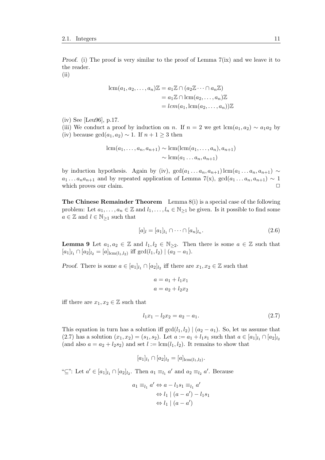Proof. (i) The proof is very similar to the proof of Lemma 7(ix) and we leave it to the reader. (ii)

$$
lcm(a_1, a_2,..., a_n)\mathbb{Z} = a_1\mathbb{Z} \cap (a_2\mathbb{Z} \cdots \cap a_n\mathbb{Z})
$$
  
=  $a_1\mathbb{Z} \cap lcm(a_2,..., a_n)\mathbb{Z}$   
=  $lcm(a_1, lcm(a_2,..., a_n))\mathbb{Z}$ 

(iv) See [Leu96], p.17.

(iii) We conduct a proof by induction on n. If  $n = 2$  we get  $\text{lcm}(a_1, a_2) \sim a_1 a_2$  by (iv) because  $gcd(a_1, a_2) \sim 1$ . If  $n + 1 \geq 3$  then

$$
\operatorname{lcm}(a_1,\ldots,a_n,a_{n+1}) \sim \operatorname{lcm}(\operatorname{lcm}(a_1,\ldots,a_n),a_{n+1})
$$

$$
\sim \operatorname{lcm}(a_1\ldots a_n,a_{n+1})
$$

by induction hypothesis. Again by (iv),  $gcd(a_1 \ldots a_n, a_{n+1})$  lcm $(a_1 \ldots a_n, a_{n+1}) \sim$  $a_1 \ldots a_n a_{n+1}$  and by repeated application of Lemma 7(x),  $gcd(a_1 \ldots a_n, a_{n+1}) \sim 1$ which proves our claim.  $\Box$ 

**The Chinese Remainder Theorem** Lemma  $8(i)$  is a special case of the following problem: Let  $a_1, \ldots, a_n \in \mathbb{Z}$  and  $l_1, \ldots, l_n \in \mathbb{N}_{\geq 1}$  be given. Is it possible to find some  $a \in \mathbb{Z}$  and  $l \in \mathbb{N}_{\geq 1}$  such that

$$
[a]_l = [a_1]_{l_1} \cap \dots \cap [a_n]_{l_n}.
$$
\n(2.6)

**Lemma 9** Let  $a_1, a_2 \in \mathbb{Z}$  and  $l_1, l_2 \in \mathbb{N}_{\geq 2}$ . Then there is some  $a \in \mathbb{Z}$  such that  $[a_1]_{l_1} \cap [a_2]_{l_2} = [a]_{\text{lcm}(l_1,l_2)} \text{ iff } \gcd(l_1,l_2) \mid (a_2 - a_1).$ 

*Proof.* There is some  $a \in [a_1]_{l_1} \cap [a_2]_{l_2}$  iff there are  $x_1, x_2 \in \mathbb{Z}$  such that

$$
a = a_1 + l_1 x_1
$$

$$
a = a_2 + l_2 x_2
$$

iff there are  $x_1, x_2 \in \mathbb{Z}$  such that

$$
l_1x_1 - l_2x_2 = a_2 - a_1. \tag{2.7}
$$

This equation in turn has a solution iff  $gcd(l_1, l_2) | (a_2 - a_1)$ . So, let us assume that (2.7) has a solution  $(x_1, x_2) = (s_1, s_2)$ . Let  $a := a_1 + l_1 s_1$  such that  $a \in [a_1]_{l_1} \cap [a_2]_{l_2}$ (and also  $a = a_2 + l_2 s_2$ ) and set  $l := \text{lcm}(l_1, l_2)$ . It remains to show that

$$
[a_1]_{l_1} \cap [a_2]_{l_2} = [a]_{\text{lcm}(l_1,l_2)}.
$$

" $\subseteq$ ": Let  $a' \in [a_1]_{l_1} \cap [a_2]_{l_2}$ . Then  $a_1 \equiv_{l_1} a'$  and  $a_2 \equiv_{l_2} a'$ . Because

$$
a_1 \equiv_{l_1} a' \Leftrightarrow a - l_1 s_1 \equiv_{l_1} a'
$$
  

$$
\Leftrightarrow l_1 \mid (a - a') - l_1 s_1
$$
  

$$
\Leftrightarrow l_1 \mid (a - a')
$$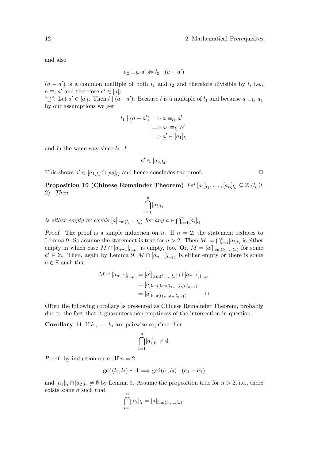and also

$$
a_2 \equiv_{l_2} a' \Leftrightarrow l_2 \mid (a - a')
$$

 $(a - a')$  is a common multiple of both  $l_1$  and  $l_2$  and therefore divisible by l, i.e.,  $a \equiv_l a'$  and therefore  $a' \in [a]_l$ .

" $\supseteq$ ": Let  $a' \in [a]_l$ . Then  $l \mid (a - a')$ . Because l is a multiple of  $l_1$  and because  $a \equiv_{l_1} a_1$ by our assumptions we get

$$
l_1 | (a - a') \Longrightarrow a \equiv_{l_1} a'
$$
  

$$
\Longrightarrow a_1 \equiv_{l_1} a'
$$
  

$$
\Longrightarrow a' \in [a_1]_{l_1}
$$

and in the same way since  $l_2 \mid l$ 

$$
a' \in [a_2]_{l_2}.
$$

This shows  $a' \in [a_1]_{l_1} \cap [a_2]_{l_2}$  and hence concludes the proof.  $\Box$ 

 $\bf{Proposition~10} \text{ (Chinese Remainder Theorem) } \text{ } Let \text{ } [a_1]_{l_1}, \ldots, [a_n]_{l_n} \subseteq \mathbb{Z} \text{ } (l_i \geq 0)$ 2). Then

$$
\bigcap_{i=1}^n [a_i]_{l_1}
$$

is either empty or equals  $[a]_{\text{lcm}(l_1,\dots,l_n)}$  for any  $a \in \bigcap_{i=1}^n [a_i]_{l_1}$ 

*Proof.* The proof is a simple induction on n. If  $n = 2$ , the statement reduces to Lemma 9. So assume the statement is true for  $n > 2$ . Then  $M := \bigcap_{i=1}^{n} [a_i]_{l_1}$  is either empty in which case  $M \cap [a_{n+1}]_{l_{n+1}}$  is empty, too. Or,  $M = [a']_{lcm(l_1,...,l_n)}$  for some  $a' \in \mathbb{Z}$ . Then, again by Lemma 9,  $M \cap [a_{n+1}]_{l_{n+1}}$  is either empty or there is some  $a \in \mathbb{Z}$  such that

$$
M \cap [a_{n+1}]_{l_{n+1}} = [a']_{\text{lcm}(l_1,\dots,l_n)} \cap [a_{n+1}]_{l_{n+1}}
$$
  
= [a]\_{\text{lcm}(l\_1,\dots,l\_n),l\_{n+1})}  
= [a]\_{\text{lcm}(l\_1,\dots,l\_n,l\_{n+1})} \qquad \Box

Often the following corollary is presented as Chinese Remainder Theorem, probably due to the fact that it guarantees non-emptiness of the intersection in question.

**Corollary 11** If  $l_1, \ldots, l_n$  are pairwise coprime then

$$
\bigcap_{i=1}^n [a_i]_{l_i} \neq \emptyset.
$$

*Proof.* by induction on *n*. If  $n = 2$ 

$$
\gcd(l_1, l_2) \sim 1 \Longrightarrow \gcd(l_1, l_2) \mid (a_1 - a_1)
$$

and  $[a_1]_{l_1} \cap [a_2]_{l_2} \neq \emptyset$  by Lemma 9. Assume the proposition true for  $n > 2$ , i.e., there exists some a such that

$$
\bigcap_{i=1}^{n} [a_i]_{l_i} = [a]_{\text{lcm}(l_1,\dots,l_n)}.
$$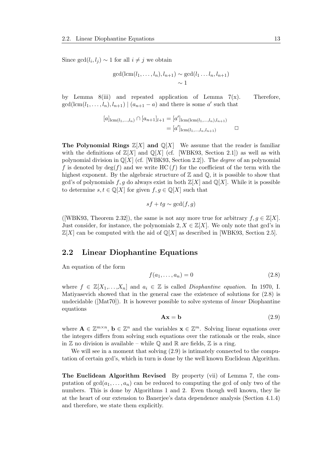Since  $gcd(l_i, l_j) \sim 1$  for all  $i \neq j$  we obtain

$$
\gcd(\operatorname{lcm}(l_1,\ldots,l_n),l_{n+1}) \sim \gcd(l_1\ldots l_n,l_{n+1})
$$
  
  $\sim 1$ 

by Lemma 8(iii) and repeated application of Lemma  $7(x)$ . Therefore,  $gcd(lcm(l_1,...,l_n), l_{n+1}) \mid (a_{n+1}-a)$  and there is some a' such that

$$
[a]_{\text{lcm}(l_1,\dots,l_n)} \cap [a_{n+1}]_{l+1} = [a']_{\text{lcm}(\text{lcm}(l_1,\dots,l_n),l_{n+1})}
$$
  
= 
$$
[a']_{\text{lcm}(l_1,\dots,l_n,l_{n+1})} \qquad \Box
$$

**The Polynomial Rings**  $\mathbb{Z}[X]$  and  $\mathbb{Q}[X]$  We assume that the reader is familiar with the definitions of  $\mathbb{Z}[X]$  and  $\mathbb{Q}[X]$  (cf. [WBK93, Section 2.1]) as well as with polynomial division in  $\mathbb{Q}[X]$  (cf. [WBK93, Section 2.2]). The *degree* of an polynomial f is denoted by  $deg(f)$  and we write HC  $(f)$  for the coefficient of the term with the highest exponent. By the algebraic structure of  $\mathbb Z$  and  $\mathbb Q$ , it is possible to show that gcd's of polynomials f, q do always exist in both  $\mathbb{Z}[X]$  and  $\mathbb{Q}[X]$ . While it is possible to determine  $s, t \in \mathbb{Q}[X]$  for given  $f, g \in \mathbb{Q}[X]$  such that

$$
sf + tg \sim \gcd(f, g)
$$

([WBK93, Theorem 2.32]), the same is not any more true for arbitrary  $f, g \in \mathbb{Z}[X]$ . Just consider, for instance, the polynomials  $2, X \in \mathbb{Z}[X]$ . We only note that gcd's in  $\mathbb{Z}[X]$  can be computed with the aid of  $\mathbb{Q}[X]$  as described in [WBK93, Section 2.5].

#### 2.2 Linear Diophantine Equations

An equation of the form

$$
f(a_1, \ldots, a_n) = 0 \tag{2.8}
$$

where  $f \in \mathbb{Z}[X_1,\ldots,X_n]$  and  $a_i \in \mathbb{Z}$  is called *Diophantine equation*. In 1970, I. Matiyasevich showed that in the general case the existence of solutions for (2.8) is undecidable ( $[Mat70]$ ). It is however possible to solve systems of *linear* Diophantine equations

$$
Ax = b \tag{2.9}
$$

where  $\mathbf{A} \in \mathbb{Z}^{m \times n}$ ,  $\mathbf{b} \in \mathbb{Z}^n$  and the variables  $\mathbf{x} \in \mathbb{Z}^m$ . Solving linear equations over the integers differs from solving such equations over the rationals or the reals, since in  $\mathbb Z$  no division is available – while  $\mathbb Q$  and  $\mathbb R$  are fields,  $\mathbb Z$  is a ring.

We will see in a moment that solving  $(2.9)$  is intimately connected to the computation of certain gcd's, which in turn is done by the well known Euclidean Algorithm.

The Euclidean Algorithm Revised By property (vii) of Lemma 7, the computation of  $gcd(a_1, \ldots, a_n)$  can be reduced to computing the gcd of only two of the numbers. This is done by Algorithms 1 and 2. Even though well known, they lie at the heart of our extension to Banerjee's data dependence analysis (Section 4.1.4) and therefore, we state them explicitly.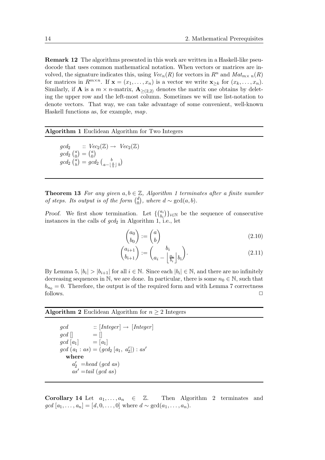Remark 12 The algorithms presented in this work are written in a Haskell-like pseudocode that uses common mathematical notation. When vectors or matrices are involved, the signature indicates this, using  $Vec_n(R)$  for vectors in  $R^n$  and  $Mat_{m \times n}(R)$ for matrices in  $R^{m \times n}$ . If  $\mathbf{x} = (x_1, \ldots, x_n)$  is a vector we write  $\mathbf{x}_{\geq k}$  for  $(x_k, \ldots, x_n)$ . Similarly, if **A** is a  $m \times n$ -matrix,  $\mathbf{A}_{>(2,2)}$  denotes the matrix one obtains by deleting the upper row and the left-most column. Sometimes we will use list-notation to denote vectors. That way, we can take advantage of some convenient, well-known Haskell functions as, for example, map.

#### Algorithm 1 Euclidean Algorithm for Two Integers

 $gcd_2$  ::  $Vec_2(\mathbb{Z}) \rightarrow Vec_2(\mathbb{Z})$  $gcd_2 {a \choose 0}$  $\binom{a}{0} = \binom{a}{0}$  $\binom{a}{0}$  $gcd_2 {a \choose b}$  $\binom{a}{b} = gcd_2 \left( \frac{b}{a - \lfloor \frac{a}{b} \rfloor b} \right)$ 

**Theorem 13** For any given  $a, b \in \mathbb{Z}$ , Algorithm 1 terminates after a finite number of steps. Its output is of the form  $\binom{d}{0}$  $_{0}^{d}$ ), where  $d \sim \gcd(a, b)$ .

Proof. We first show termination. Let  $\{ \begin{pmatrix} a_i \\ b_i \end{pmatrix}$  $\{b_i \}_{i \in \mathbb{N}}$  be the sequence of consecutive instances in the calls of  $gcd_2$  in Algorithm 1, i.e., let

$$
\begin{pmatrix} a_0 \\ b_0 \end{pmatrix} := \begin{pmatrix} a \\ b \end{pmatrix} \tag{2.10}
$$

$$
\begin{pmatrix} a_{i+1} \\ b_{i+1} \end{pmatrix} := \begin{pmatrix} b_i \\ a_i - \left\lfloor \frac{a_i}{b_i} \right\rfloor b_i \end{pmatrix}.
$$
 (2.11)

By Lemma 5,  $|b_i| > |b_{i+1}|$  for all  $i \in \mathbb{N}$ . Since each  $|b_i| \in \mathbb{N}$ , and there are no infinitely decreasing sequences in N, we are done. In particular, there is some  $n_0 \in \mathbb{N}$ , such that  $b_{n_0} = 0$ . Therefore, the output is of the required form and with Lemma 7 correctness  $\Box$  follows.  $\Box$ 

Algorithm 2 Euclidean Algorithm for  $n \geq 2$  Integers

 $gcd$  ::  $[Integer] \rightarrow [Integer]$  $\gcd \left[ \right]$  =  $\left[ \right]$  $gcd [a_1] = [a_1]$  $gcd(a_1:as) = (gcd_2[a_1, a'_2]) : as'$ where  $a'_2$  =head (gcd as)  $as' = tail (qcd as)$ 

**Corollary 14** Let  $a_1, \ldots, a_n \in \mathbb{Z}$ . Then Algorithm 2 terminates and  $gcd [a_1, \ldots, a_n] = [d, 0, \ldots, 0]$  where  $d \sim gcd(a_1, \ldots, a_n)$ .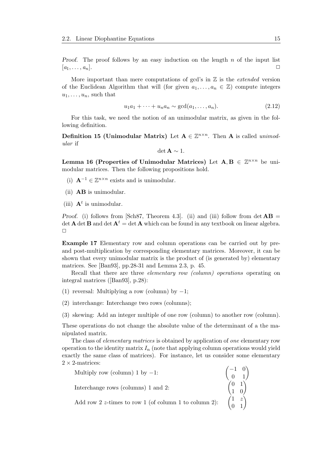*Proof.* The proof follows by an easy induction on the length  $n$  of the input list  $[a_1, \ldots, a_n].$ 

More important than mere computations of gcd's in  $\mathbb Z$  is the *extended* version of the Euclidean Algorithm that will (for given  $a_1, \ldots, a_n \in \mathbb{Z}$ ) compute integers  $u_1, \ldots, u_n$ , such that

$$
u_1a_1 + \dots + u_na_n \sim \gcd(a_1, \dots, a_n). \tag{2.12}
$$

For this task, we need the notion of an unimodular matrix, as given in the following definition.

Definition 15 (Unimodular Matrix) Let  $A \in \mathbb{Z}^{n \times n}$ . Then A is called unimodular if

$$
\det \mathbf{A} \sim 1.
$$

Lemma 16 (Properties of Unimodular Matrices) Let  $A, B \in \mathbb{Z}^{n \times n}$  be unimodular matrices. Then the following propositions hold.

- (i)  $\mathbf{A}^{-1}$  ∈  $\mathbb{Z}^{n \times n}$  exists and is unimodular.
- (ii) AB is unimodular.
- (iii)  $A<sup>t</sup>$  is unimodular.

*Proof.* (i) follows from [Sch87, Theorem 4.3]. (ii) and (iii) follow from det  $\mathbf{AB} =$ det **A** det **B** and det  $A^t$  = det **A** which can be found in any textbook on linear algebra.  $\Box$ 

Example 17 Elementary row and column operations can be carried out by preand post-multiplication by corresponding elementary matrices. Moreover, it can be shown that every unimodular matrix is the product of (is generated by) elementary matrices. See [Ban93], pp.28-31 and Lemma 2.3, p. 45.

Recall that there are three *elementary row (column)* operations operating on integral matrices ([Ban93], p.28):

- (1) reversal: Multiplying a row (column) by  $-1$ ;
- (2) interchange: Interchange two rows (columns);
- (3) skewing: Add an integer multiple of one row (column) to another row (column).

These operations do not change the absolute value of the determinant of a the manipulated matrix.

The class of elementary matrices is obtained by application of one elementary row operation to the identity matrix  $I_n$  (note that applying column operations would yield exactly the same class of matrices). For instance, let us consider some elementary  $2 \times 2$ -matrices:

| Multiply row (column) 1 by -1:<br>Interchange rows (columns) 1 and 2:<br>Add row 2 z-times to row 1 (of column 1 to column 2):<br>$\begin{pmatrix} 0 & 1 \\ 1 & 0 \end{pmatrix}$<br>Add row 2 z-times to row 1 (of column 1 to column 2):<br>$\begin{pmatrix} 1 & z \\ 0 &$ |  |
|-----------------------------------------------------------------------------------------------------------------------------------------------------------------------------------------------------------------------------------------------------------------------------|--|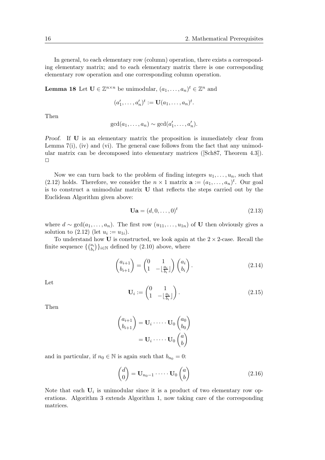In general, to each elementary row (column) operation, there exists a corresponding elementary matrix; and to each elementary matrix there is one corresponding elementary row operation and one corresponding column operation.

**Lemma 18** Let  $\mathbf{U} \in \mathbb{Z}^{n \times n}$  be unimodular,  $(a_1, \ldots, a_n)^t \in \mathbb{Z}^n$  and

$$
(a'_1,\ldots,a'_n)^t := \mathbf{U}(a_1,\ldots,a_n)^t.
$$

Then

$$
\gcd(a_1,\ldots,a_n)\sim \gcd(a'_1,\ldots,a'_n).
$$

Proof. If U is an elementary matrix the proposition is immediately clear from Lemma 7(i), (iv) and (vi). The general case follows from the fact that any unimodular matrix can be decomposed into elementary matrices ([Sch87, Theorem 4.3]).  $\Box$ 

Now we can turn back to the problem of finding integers  $u_1, \ldots, u_n$ , such that (2.12) holds. Therefore, we consider the  $n \times 1$  matrix  $\mathbf{a} := (a_1, \ldots, a_n)^t$ . Our goal is to construct a unimodular matrix U that reflects the steps carried out by the Euclidean Algorithm given above:

$$
\mathbf{U}\mathbf{a} = (d, 0, \dots, 0)^t \tag{2.13}
$$

where  $d \sim \gcd(a_1, \ldots, a_n)$ . The first row  $(u_{11}, \ldots, u_{1n})$  of U then obviously gives a solution to  $(2.12)$  (let  $u_i := u_{1i}$ ).

To understand how  $U$  is constructed, we look again at the  $2 \times 2$ -case. Recall the finite sequence  $\{ \begin{pmatrix} a_i \\ b_i \end{pmatrix}$  $\binom{a_i}{b_i}\}_{i\in\mathbb{N}}$  defined by  $(2.10)$  above, where

$$
\begin{pmatrix} a_{i+1} \\ b_{i+1} \end{pmatrix} = \begin{pmatrix} 0 & 1 \\ 1 & -\lfloor \frac{a_i}{b_i} \rfloor \end{pmatrix} \begin{pmatrix} a_i \\ b_i \end{pmatrix}.
$$
 (2.14)

Let

$$
\mathbf{U}_i := \begin{pmatrix} 0 & 1 \\ 1 & -\lfloor \frac{a_i}{b_i} \rfloor \end{pmatrix} . \tag{2.15}
$$

Then

$$
\begin{pmatrix} a_{i+1} \\ b_{i+1} \end{pmatrix} = \mathbf{U}_i \cdot \dots \cdot \mathbf{U}_0 \begin{pmatrix} a_0 \\ b_0 \end{pmatrix}
$$

$$
= \mathbf{U}_i \cdot \dots \cdot \mathbf{U}_0 \begin{pmatrix} a \\ b \end{pmatrix}
$$

and in particular, if  $n_0 \in \mathbb{N}$  is again such that  $b_{n_0} = 0$ :

$$
\begin{pmatrix} d \\ 0 \end{pmatrix} = \mathbf{U}_{n_0 - 1} \cdot \dots \cdot \mathbf{U}_0 \begin{pmatrix} a \\ b \end{pmatrix} \tag{2.16}
$$

Note that each  $U_i$  is unimodular since it is a product of two elementary row operations. Algorithm 3 extends Algorithm 1, now taking care of the corresponding matrices.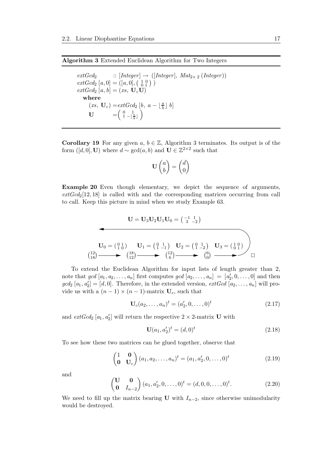#### Algorithm 3 Extended Euclidean Algorithm for Two Integers

 $extGcd_2$  ::  $[Integer] \rightarrow ([Integer], Mat_{2\times 2} (Integer))$  $extGcd_2 [a, 0] = ([a, 0], (\begin{bmatrix} 1 & 0 \\ 0 & 1 \end{bmatrix})$  $extGcd_2[a, b] = (xs, U_cU)$ where  $(xs, \mathbf{U}_c) = extGcd_2 \left[ b, a - \lfloor \frac{a}{b} \rfloor b \right]$  $\mathbf{U} = \begin{pmatrix} 0 & 1 \\ 1 & -\lfloor \frac{a}{b} \rfloor \end{pmatrix}$ 

Corollary 19 For any given  $a, b \in \mathbb{Z}$ , Algorithm 3 terminates. Its output is of the form  $([d, 0], U)$  where  $d \sim \gcd(a, b)$  and  $U \in \mathbb{Z}^{2 \times 2}$  such that

$$
\mathbf{U}\begin{pmatrix}a\\b\end{pmatrix}=\begin{pmatrix}d\\0\end{pmatrix}
$$

**Example 20** Even though elementary, we depict the sequence of arguments,  $extGcd<sub>2</sub>[12, 18]$  is called with and the corresponding matrices occurring from call to call. Keep this picture in mind when we study Example 63.

$$
\mathbf{U} = \mathbf{U}_3 \mathbf{U}_2 \mathbf{U}_1 \mathbf{U}_0 = \begin{pmatrix} -1 & 1 \\ 3 & -2 \end{pmatrix}
$$
  

$$
\mathbf{U}_0 = \begin{pmatrix} 0 & 1 \\ 1 & 0 \end{pmatrix} \qquad \mathbf{U}_1 = \begin{pmatrix} 0 & 1 \\ 1 & -1 \end{pmatrix} \qquad \mathbf{U}_2 = \begin{pmatrix} 0 & 1 \\ 1 & -2 \end{pmatrix} \qquad \mathbf{U}_3 = \begin{pmatrix} 1 & 0 \\ 0 & 1 \end{pmatrix}
$$
  

$$
\begin{pmatrix} 12 \\ 18 \end{pmatrix} \longrightarrow \begin{pmatrix} 18 \\ 12 \end{pmatrix} \longrightarrow \begin{pmatrix} 12 \\ 6 \end{pmatrix} \longrightarrow \begin{pmatrix} 6 \\ 0 \end{pmatrix} \longrightarrow \square
$$

To extend the Euclidean Algorithm for input lists of length greater than 2, note that  $gcd [a_1, a_2, \ldots, a_n]$  first computes  $gcd [a_2, \ldots, a_n] = [a'_2, 0, \ldots, 0]$  and then  $gcd_2[a_1, a'_2] = [d, 0]$ . Therefore, in the extended version,  $extGcd [a_2, \ldots, a_n]$  will provide us with a  $(n-1) \times (n-1)$ -matrix  $U_c$ , such that

$$
\mathbf{U}_c(a_2,\ldots,a_n)^t = (a'_2,0,\ldots,0)^t
$$
\n(2.17)

and  $extGcd_2 [a_1, a'_2]$  will return the respective  $2 \times 2$ -matrix **U** with

$$
\mathbf{U}(a_1, a'_2)^t = (d, 0)^t \tag{2.18}
$$

To see how these two matrices can be glued together, observe that

$$
\begin{pmatrix} 1 & \mathbf{0} \\ \mathbf{0} & \mathbf{U}_c \end{pmatrix} (a_1, a_2, \dots, a_n)^t = (a_1, a'_2, 0, \dots, 0)^t
$$
\n(2.19)

and

$$
\begin{pmatrix} \mathbf{U} & \mathbf{0} \\ \mathbf{0} & I_{n-2} \end{pmatrix} (a_1, a'_2, 0, \dots, 0)^t = (d, 0, 0, \dots, 0)^t.
$$
 (2.20)

We need to fill up the matrix bearing U with  $I_{n-2}$ , since otherwise unimodularity would be destroyed.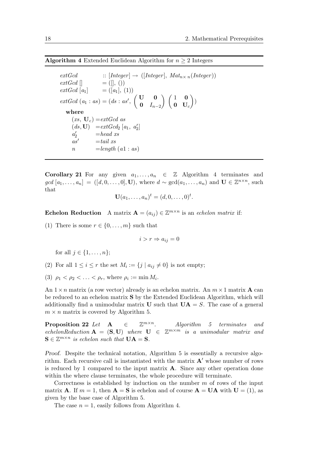Algorithm 4 Extended Euclidean Algorithm for  $n \geq 2$  Integers

 $extGcd$  ::  $[Integer] \rightarrow ([Integer], Mat_{n \times n}(Integer])$ <br>  $extGcd$   $\Box$   $= (\Box, \Diamond)$  $=$  ([], ())  $extGcd \mid a_1$  =  $\binom{a_1}{a_1}$ , (1))  $extGcd (a_1 : as) = (ds : as',$  $\begin{pmatrix} 0 \\ 0 \end{pmatrix}$ 0  $I_{n-2}$  $\bigwedge$   $\bigwedge$  1 0  $\mathbf{0}$   $\mathbf{U}_c$  $\setminus$ ) where  $(xs, U_c) = extGcd$  as  $(ds, U) = extGcd_2[a_1, a'_2]$  $a'_2$  $=$ head xs  $as' = tail xs$  $n = length (a1 : as)$ 

Corollary 21 For any given  $a_1, \ldots, a_n \in \mathbb{Z}$  Algorithm 4 terminates and  $\gcd[a_1,\ldots,a_n] = ([d,0,\ldots,0],\mathbf{U}),$  where  $d \sim \gcd(a_1,\ldots,a_n)$  and  $\mathbf{U} \in \mathbb{Z}^{n \times n}$ , such that

$$
\mathbf{U}(a_1,\ldots,a_n)^t=(d,0,\ldots,0)^t.
$$

**Echelon Reduction** A matrix  $A = (a_{ij}) \in \mathbb{Z}^{m \times n}$  is an echelon matrix if:

(1) There is some  $r \in \{0, \ldots, m\}$  such that

$$
i > r \Rightarrow a_{ij} = 0
$$

for all  $j \in \{1, ..., n\}$ ;

- (2) For all  $1 \leq i \leq r$  the set  $M_i := \{j \mid a_{ij} \neq 0\}$  is not empty;
- (3)  $\rho_1 < \rho_2 < \ldots < \rho_r$ , where  $\rho_i := \min M_i$ .

An  $1 \times n$  matrix (a row vector) already is an echelon matrix. An  $m \times 1$  matrix **A** can be reduced to an echelon matrix S by the Extended Euclidean Algorithm, which will additionally find a unimodular matrix **U** such that  $\mathbf{UA} = S$ . The case of a general  $m \times n$  matrix is covered by Algorithm 5.

Proposition 22 Let  $A \in$  $\mathbb{Z}^{m \times n}$ . . Algorithm 5 terminates and echelonReduction  $A = (S, U)$  where  $U \in \mathbb{Z}^{m \times m}$  is a unimodular matrix and  $\mathbf{S} \in \mathbb{Z}^{m \times n}$  is echelon such that  $\mathbf{UA} = \mathbf{S}$ .

Proof. Despite the technical notation, Algorithm 5 is essentially a recursive algorithm. Each recursive call is instantiated with the matrix  $A'$  whose number of rows is reduced by 1 compared to the input matrix  $\bf{A}$ . Since any other operation done within the where clause terminates, the whole procedure will terminate.

Correctness is established by induction on the number  $m$  of rows of the input matrix **A**. If  $m = 1$ , then  $\mathbf{A} = \mathbf{S}$  is echelon and of course  $\mathbf{A} = \mathbf{U}\mathbf{A}$  with  $\mathbf{U} = (1)$ , as given by the base case of Algorithm 5.

The case  $n = 1$ , easily follows from Algorithm 4.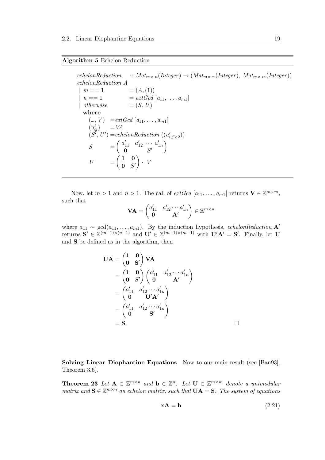#### Algorithm 5 Echelon Reduction

 $echelon Reduction :: Mat_{m \times n}(Integer) \rightarrow (Mat_{m \times n}(Integer), Mat_{m \times m}(Integer))$ echelonReduction A  $m == 1$   $= (A,(1))$  $n == 1$   $= extGcd [a_{11}, \ldots, a_{m1}]$ | otherwise  $= (S, U)$ where  $(-, V) = extGcd [a_{11}, \ldots, a_{m1}]$  $(a'_{ij})$  = VA  $(S^{\prime}, U^{\prime}) = echelon Reduction\ ((a_{i,j\geq 2}^{\prime}))$  $S =$  $\begin{pmatrix} a'_{11} & a'_{12} & \cdots & a'_{1n} \end{pmatrix}$  $\mathbf{0}$   $S'$  $\setminus$  $U =$  $\begin{pmatrix} 1 & 0 \end{pmatrix}$  $0 \quad S'$  $\setminus$  $\cdot$  V

Now, let  $m > 1$  and  $n > 1$ . The call of  $extGcd [a_{11}, \ldots, a_{m1}]$  returns  $\mathbf{V} \in \mathbb{Z}^{m \times m}$ , such that

$$
\mathbf{VA} = \begin{pmatrix} a'_{11} & a'_{12} \cdots a'_{1n} \\ \mathbf{0} & \mathbf{A'} \end{pmatrix} \in \mathbb{Z}^{m \times n}
$$

where  $a_{11} \sim \text{gcd}(a_{11}, \ldots, a_{m1})$ . By the induction hypothesis, echelonReduction A' returns  $S' \in \mathbb{Z}^{(m-1)\times(n-1)}$  and  $U' \in \mathbb{Z}^{(m-1)\times(m-1)}$  with  $U'A' = S'$ . Finally, let U and S be defined as in the algorithm, then

$$
\mathbf{UA} = \begin{pmatrix} 1 & \mathbf{0} \\ \mathbf{0} & \mathbf{S}' \end{pmatrix} \mathbf{VA}
$$
  
=  $\begin{pmatrix} 1 & \mathbf{0} \\ \mathbf{0} & S' \end{pmatrix} \begin{pmatrix} a'_{11} & a'_{12} \cdots a'_{1n} \\ \mathbf{0} & \mathbf{U}'\mathbf{A}' \end{pmatrix}$   
=  $\begin{pmatrix} a'_{11} & a'_{12} \cdots a'_{1n} \\ \mathbf{0} & \mathbf{U}'\mathbf{A}' \end{pmatrix}$   
=  $\begin{pmatrix} a'_{11} & a'_{12} \cdots a'_{1n} \\ \mathbf{0} & \mathbf{S}' \end{pmatrix}$   
=  $\mathbf{S}$ .

Solving Linear Diophantine Equations Now to our main result (see [Ban93], Theorem 3.6).

**Theorem 23** Let  $A \in \mathbb{Z}^{m \times n}$  and  $b \in \mathbb{Z}^n$ . Let  $U \in \mathbb{Z}^{m \times m}$  denote a unimodular matrix and  $\mathbf{S} \in \mathbb{Z}^{m \times n}$  an echelon matrix, such that  $\mathbf{UA} = \mathbf{S}$ . The system of equations

$$
xA = b \tag{2.21}
$$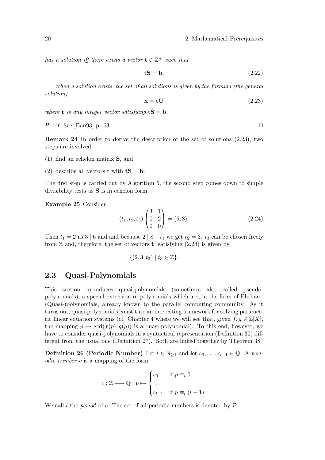has a solution iff there exists a vector  $\mathbf{t} \in \mathbb{Z}^m$  such that

$$
tS = b. \t(2.22)
$$

When a solution exists, the set of all solutions is given by the formula (the general solution)

$$
x = tU \tag{2.23}
$$

where **t** is any integer vector satisfying  $tS = b$ .

Proof. See [Ban93] p. 63.  $\Box$ 

Remark 24 In order to derive the description of the set of solutions (2.23), two steps are involved

- (1) find an echelon matrix S, and
- (2) describe all vectors **t** with  $tS = b$ .

The first step is carried out by Algorithm 5, the second step comes down to simple divisibility tests as  $S$  is in echelon form.

Example 25 Consider

$$
(t_1, t_2, t_3) \begin{pmatrix} 3 & 1 \\ 0 & 2 \\ 0 & 0 \end{pmatrix} = (6, 8). \tag{2.24}
$$

Then  $t_1 = 2$  as 3 | 6 and and because  $2 \mid 8 - t_1$  we get  $t_2 = 3$ .  $t_3$  can be chosen freely from  $\mathbb Z$  and, therefore, the set of vectors **t** satisfying (2.24) is given by

$$
\{(2,3,t_3)\mid t_3\in\mathbb{Z}\}.
$$

#### 2.3 Quasi-Polynomials

This section introduces quasi-polynomials (sometimes also called pseudopolynomials), a special extension of polynomials which are, in the form of Ehrhart- (Quasi-)polynomials, already known to the parallel computing community. As it turns out, quasi-polynomials constitute an interesting framework for solving parametric linear equation systems (cf. Chapter 4 where we will see that, given  $f, g \in \mathbb{Z}[X]$ , the mapping  $p \mapsto \gcd(f(p), g(p))$  is a quasi-polynomial). To this end, however, we have to consider quasi-polynomials in a syntactical representation (Definition 30) different from the usual one (Definition 27). Both are linked together by Theorem 38.

**Definition 26 (Periodic Number)** Let  $l \in \mathbb{N}_{\geq 1}$  and let  $c_0, \ldots, c_{l-1} \in \mathbb{Q}$ . A periodic number c is a mapping of the form

$$
c: \mathbb{Z} \longrightarrow \mathbb{Q}: p \mapsto \begin{cases} c_0 & \text{if } p \equiv_l 0 \\ \dots \\ c_{l-1} & \text{if } p \equiv_l (l-1). \end{cases}
$$

We call l the *period* of c. The set of all periodic numbers is denoted by  $P$ .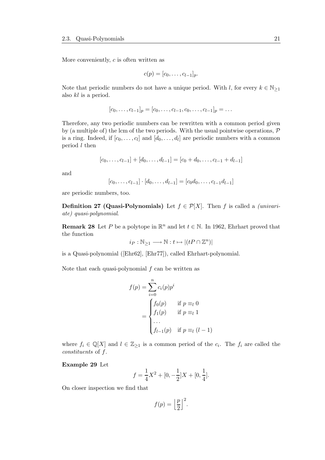More conveniently,  $c$  is often written as

$$
c(p)=[c_0,\ldots,c_{l-1}]_p.
$$

Note that periodic numbers do not have a unique period. With l, for every  $k \in \mathbb{N}_{\geq 1}$ also kl is a period.

$$
[c_0, \ldots, c_{l-1}]_p = [c_0, \ldots, c_{l-1}, c_0, \ldots, c_{l-1}]_p = \ldots
$$

Therefore, any two periodic numbers can be rewritten with a common period given by (a multiple of) the lcm of the two periods. With the usual pointwise operations,  $\mathcal P$ is a ring. Indeed, if  $[c_0, \ldots, c_l]$  and  $[d_0, \ldots, d_l]$  are periodic numbers with a common period l then

$$
[c_0, \ldots, c_{l-1}] + [d_0, \ldots, d_{l-1}] = [c_0 + d_0, \ldots, c_{l-1} + d_{l-1}]
$$

and

$$
[c_0, \ldots, c_{l-1}] \cdot [d_0, \ldots, d_{l-1}] = [c_0 d_0, \ldots, c_{l-1} d_{l-1}]
$$

are periodic numbers, too.

**Definition 27 (Quasi-Polynomials)** Let  $f \in \mathcal{P}[X]$ . Then f is called a *(univari*ate) quasi-polynomial.

**Remark 28** Let P be a polytope in  $\mathbb{R}^n$  and let  $t \in \mathbb{N}$ . In 1962, Ehrhart proved that the function

$$
i_P : \mathbb{N}_{\geq 1} \longrightarrow \mathbb{N} : t \mapsto |(tP \cap \mathbb{Z}^n)|
$$

is a Quasi-polynomial ([Ehr62], [Ehr77]), called Ehrhart-polynomial.

Note that each quasi-polynomial  $f$  can be written as

$$
f(p) = \sum_{i=0}^{n} c_i(p)p^i
$$
  
= 
$$
\begin{cases} f_0(p) & \text{if } p \equiv_l 0 \\ f_1(p) & \text{if } p \equiv_l 1 \\ \dots \\ f_{l-1}(p) & \text{if } p \equiv_l (l-1) \end{cases}
$$

where  $f_i \in \mathbb{Q}[X]$  and  $l \in \mathbb{Z}_{\geq 1}$  is a common period of the  $c_i$ . The  $f_i$  are called the constituents of f.

#### Example 29 Let

$$
f = \frac{1}{4}X^2 + [0, -\frac{1}{2}]X + [0, \frac{1}{4}].
$$

On closer inspection we find that

$$
f(p) = \left\lfloor \frac{p}{2} \right\rfloor^2.
$$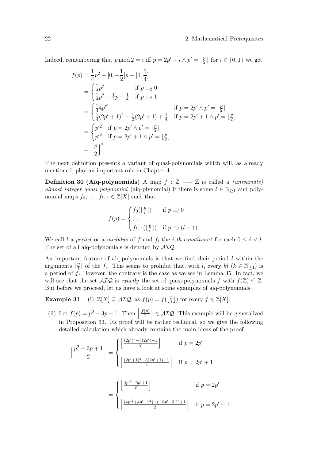Indeed, remembering that  $p \mod 2 = i$  iff  $p = 2p' + i \wedge p' = \lfloor \frac{p}{2} \rfloor$  $\frac{p}{2}$  for  $i \in \{0,1\}$  we get

$$
f(p) = \frac{1}{4}p^2 + [0, -\frac{1}{2}]p + [0, \frac{1}{4}]
$$
  
\n
$$
= \begin{cases} \frac{1}{4}p^2 & \text{if } p \equiv_2 0\\ \frac{1}{4}p^2 - \frac{1}{2}p + \frac{1}{4} & \text{if } p \equiv_2 1 \end{cases}
$$
  
\n
$$
= \begin{cases} \frac{1}{4}4p'^2 & \text{if } p = 2p' \land p' = \lfloor \frac{p}{2} \rfloor\\ \frac{1}{4}(2p' + 1)^2 - \frac{1}{2}(2p' + 1) + \frac{1}{4} & \text{if } p = 2p' + 1 \land p' = \lfloor \frac{p}{2} \rfloor \end{cases}
$$
  
\n
$$
= \begin{cases} p'^2 & \text{if } p = 2p' \land p' = \lfloor \frac{p}{2} \rfloor\\ p'^2 & \text{if } p = 2p' + 1 \land p' = \lfloor \frac{p}{2} \rfloor \end{cases}
$$
  
\n
$$
= \lfloor \frac{p}{2} \rfloor^2
$$

The next definition presents a variant of quasi-polynomials which will, as already mentioned, play an important role in Chapter 4.

Definition 30 (Aiq-polynomials) A map  $f : \mathbb{Z} \longrightarrow \mathbb{Z}$  is called a *(univariate)* almost integer quasi polynomial (aiq-plynomial) if there is some  $l \in \mathbb{N}_{\geq 1}$  and polynomial maps  $f_0, \ldots, f_{l-1} \in \mathbb{Z}[X]$  such that

$$
f(p) = \begin{cases} f_0(\lfloor \frac{p}{l} \rfloor) & \text{if } p \equiv_l 0 \\ \dots \\ f_{l-1}(\lfloor \frac{p}{l} \rfloor) & \text{if } p \equiv_l (l-1). \end{cases}
$$

We call l a period or a modulus of f and  $f_i$  the *i*-th constituent for each  $0 \leq i \leq l$ . The set of all aiq-polynomials is denoted by  $AIO$ .

An important feature of aiq-polynomials is that we find their period  $l$  within the arguments  $\frac{p}{l}$  $\frac{p}{l}$  of the  $f_i$ . This seems to prohibit that, with l, every kl  $(k \in \mathbb{N}_{\geq 1})$  is a period of  $f$ . However, the contrary is the case as we see in Lemma 35. In fact, we will see that the set  $\mathcal{AIQ}$  is exactly the set of quasi-polynomials f with  $f(\mathbb{Z}) \subseteq \mathbb{Z}$ . But before we proceed, let us have a look at some examples of aiq-polynomials.

**Example 31** (i)  $\mathbb{Z}[X] \subseteq \mathcal{AIQ}$ , as  $f(p) = f(\frac{p}{p})$  $\frac{p}{1}$ ) for every  $f \in \mathbb{Z}[X]$ .

(ii) Let  $f(p) = p^2 - 3p + 1$ . Then  $\frac{f(p)}{2}$ 2  $\epsilon \in \mathcal{AIQ}$ . This example will be generalized in Proposition 33. Its proof will be rather technical, so we give the following detailed calculation which already contains the main ideas of the proof.

$$
\left\lfloor \frac{p^2 - 3p + 1}{2} \right\rfloor = \begin{cases} \left\lfloor \frac{(2p')^2 - 3(2p') + 1}{2} \right\rfloor & \text{if } p = 2p' \\ \\ \left\lfloor \frac{(2p' + 1)^2 - 3(2p' + 1) + 1}{2} \right\rfloor & \text{if } p = 2p' + 1 \end{cases}
$$

$$
= \begin{cases} \left\lfloor \frac{4p'^2 - 6p' + 1}{2} \right\rfloor & \text{if } p = 2p' \\ \\ \left\lfloor \frac{(4p'^2 + 4p' + 1^2) + (-6p' - 3 \cdot 1) + 1}{2} \right\rfloor & \text{if } p = 2p' + 1 \end{cases}
$$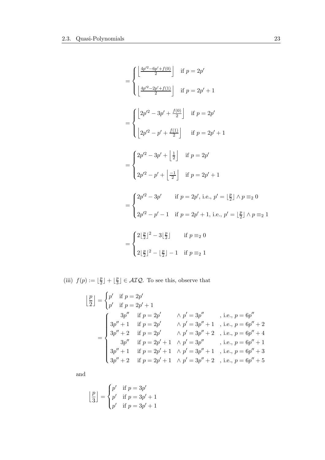$$
= \begin{cases} \left\lfloor \frac{4p'^2 - 6p' + f(0)}{2} \right\rfloor & \text{if } p = 2p' \\ \left\lfloor \frac{4p'^2 - 2p' + f(1)}{2} \right\rfloor & \text{if } p = 2p' + 1 \end{cases}
$$
  
\n
$$
= \begin{cases} \left\lfloor 2p'^2 - 3p' + \frac{f(0)}{2} \right\rfloor & \text{if } p = 2p' \\ \left\lfloor 2p'^2 - p' + \frac{f(1)}{2} \right\rfloor & \text{if } p = 2p' + 1 \end{cases}
$$
  
\n
$$
= \begin{cases} 2p'^2 - 3p' + \left\lfloor \frac{1}{2} \right\rfloor & \text{if } p = 2p' \\ 2p'^2 - p' + \left\lfloor \frac{-1}{2} \right\rfloor & \text{if } p = 2p' + 1 \end{cases}
$$
  
\n
$$
= \begin{cases} 2p'^2 - 3p' & \text{if } p = 2p', \text{ i.e., } p' = \left\lfloor \frac{p}{2} \right\rfloor \land p \equiv_2 0 \\ 2p'^2 - p' - 1 & \text{if } p = 2p' + 1, \text{ i.e., } p' = \left\lfloor \frac{p}{2} \right\rfloor \land p \equiv_2 1 \end{cases}
$$
  
\n
$$
= \begin{cases} 2\left\lfloor \frac{p}{2} \right\rfloor^2 - 3\left\lfloor \frac{p}{2} \right\rfloor & \text{if } p \equiv_2 0 \\ 2\left\lfloor \frac{p}{2} \right\rfloor^2 - \left\lfloor \frac{p}{2} \right\rfloor - 1 & \text{if } p \equiv_2 1 \end{cases}
$$

(iii)  $f(p) := \lfloor \frac{p}{2} \rfloor$  $\frac{p}{2}$  | +  $\left\lfloor \frac{p}{3} \right\rfloor$  $\left[\frac{p}{3}\right] \in \mathcal{AIQ}$ . To see this, observe that

$$
\begin{aligned}\n\left[\frac{p}{2}\right] &= \begin{cases}\np' & \text{if } p = 2p' \\
p' & \text{if } p = 2p' + 1\n\end{cases} \\
& \text{if } p = 2p' \\
\text{if } p = 2p' \\
\text{if } p = 2p' \\
\text{if } p = 2p' \\
\text{if } p = 2p' \\
\text{if } p = 2p' \\
\text{if } p = 2p' \\
\text{if } p = 2p' + 1 \\
\text{if } p = 2p' + 1 \\
\text{if } p = 2p' + 1 \\
\text{if } p = 2p' + 1 \\
\text{if } p = 2p' + 1 \\
\text{if } p = 2p' + 1 \\
\text{if } p = 2p' + 1 \\
\text{if } p = 2p' + 1 \\
\text{if } p = 2p' + 1 \\
\text{if } p = 2p' + 1 \\
\text{if } p = 2p' + 1 \\
\text{if } p = 2p' + 1 \\
\text{if } p' = 3p'' + 2 \\
\text{if } p = 2p' + 1 \\
\text{if } p' = 3p'' + 2 \\
\text{if } p = 6p'' + 5\n\end{cases}\n\end{aligned}
$$

and

$$
\left\lfloor \frac{p}{3} \right\rfloor = \begin{cases} p' & \text{if } p = 3p' \\ p' & \text{if } p = 3p' + 1 \\ p' & \text{if } p = 3p' + 1 \end{cases}
$$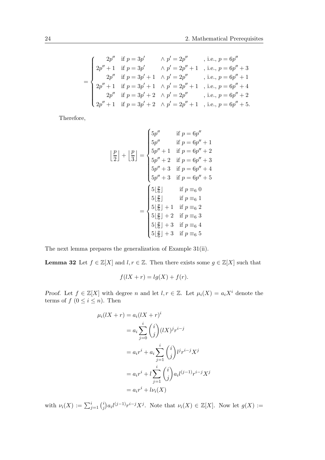$$
\begin{array}{l} 2p'' \quad \text{if } p = 3p'\\ 2p'' + 1 \quad \text{if } p = 3p'\\ 2p'' \quad \text{if } p = 3p'\\ 2p'' \quad \text{if } p = 3p' + 1\\ \wedge p' = 2p'' \quad \text{, i.e., } p = 6p'' + 3\\ 2p'' \quad \text{if } p = 3p' + 1\\ quad \wedge p' = 2p'' \quad \text{, i.e., } p = 6p'' + 1\\ 2p'' + 1 \quad \text{if } p = 3p' + 2\\ quad \wedge p' = 2p'' \quad \text{, i.e., } p = 6p'' + 4\\ 2p'' \quad \text{if } p = 3p' + 2\\ quad \wedge p' = 2p'' \quad \text{, i.e., } p = 6p'' + 2\\ 2p'' + 1 \quad \text{if } p = 3p' + 2\\ quad \wedge p' = 2p'' + 1 \quad \text{, i.e., } p = 6p'' + 5. \end{array}
$$

Therefore,

$$
\left\lfloor \frac{p}{2} \right\rfloor + \left\lfloor \frac{p}{3} \right\rfloor = \begin{cases} 5p'' & \text{if } p = 6p'' \\ 5p'' & \text{if } p = 6p'' + 1 \\ 5p'' + 1 & \text{if } p = 6p'' + 2 \\ 5p'' + 2 & \text{if } p = 6p'' + 3 \\ 5p'' + 3 & \text{if } p = 6p'' + 4 \\ 5p'' + 3 & \text{if } p = 6p'' + 5 \end{cases}
$$

$$
= \begin{cases} 5\left\lfloor \frac{p}{6} \right\rfloor & \text{if } p \equiv_{6} 0 \\ 5\left\lfloor \frac{p}{6} \right\rfloor & \text{if } p \equiv_{6} 1 \\ 5\left\lfloor \frac{p}{6} \right\rfloor + 1 & \text{if } p \equiv_{6} 2 \\ 5\left\lfloor \frac{p}{6} \right\rfloor + 2 & \text{if } p \equiv_{6} 3 \\ 5\left\lfloor \frac{p}{6} \right\rfloor + 3 & \text{if } p \equiv_{6} 4 \\ 5\left\lfloor \frac{p}{6} \right\rfloor + 3 & \text{if } p \equiv_{6} 5 \end{cases}
$$

The next lemma prepares the generalization of Example 31(ii).

**Lemma 32** Let  $f \in \mathbb{Z}[X]$  and  $l, r \in \mathbb{Z}$ . Then there exists some  $g \in \mathbb{Z}[X]$  such that

$$
f(lX + r) = lg(X) + f(r).
$$

Proof. Let  $f \in \mathbb{Z}[X]$  with degree n and let  $l, r \in \mathbb{Z}$ . Let  $\mu_i(X) = a_i X^i$  denote the terms of  $f(0 \leq i \leq n)$ . Then

$$
\mu_i(lX+r) = a_i(lX+r)^i
$$
  
\n
$$
= a_i \sum_{j=0}^i \binom{i}{j} (lX)^j r^{i-j}
$$
  
\n
$$
= a_i r^i + a_i \sum_{j=1}^i \binom{i}{j} l^j r^{i-j} X^j
$$
  
\n
$$
= a_i r^i + l \sum_{j=1}^i \binom{i}{j} a_i l^{(j-1)} r^{i-j} X^j
$$
  
\n
$$
= a_i r^i + l \nu_i(X)
$$

with  $\nu_i(X) := \sum_{j=1}^i {i \choose j}$  $\mathcal{L}_j^i$ ) $a_i l^{(j-1)} r^{i-j} X^j$ . Note that  $\nu_i(X) \in \mathbb{Z}[X]$ . Now let  $g(X) :=$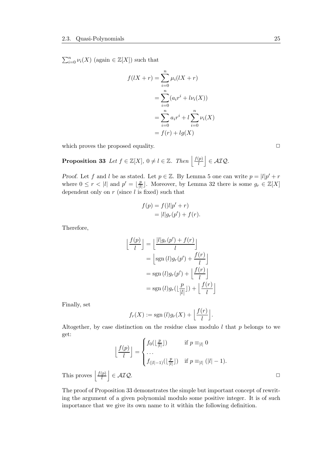$\sum_{i=0}^{n} \nu_i(X)$  (again  $\in \mathbb{Z}[X]$ ) such that

$$
f(lX + r) = \sum_{i=0}^{n} \mu_i (lX + r)
$$
  
= 
$$
\sum_{i=0}^{n} (a_i r^i + l\nu_i(X))
$$
  
= 
$$
\sum_{i=0}^{n} a_i r^i + l \sum_{i=0}^{n} \nu_i(X)
$$
  
= 
$$
f(r) + lg(X)
$$

which proves the proposed equality.  $\Box$ 

**Proposition 33** Let  $f \in \mathbb{Z}[X]$ ,  $0 \neq l \in \mathbb{Z}$ . Then  $\left| \frac{f(p)}{l}\right|$ l  $\vert$   $\in$  AIQ.

Proof. Let f and l be as stated. Let  $p \in \mathbb{Z}$ . By Lemma 5 one can write  $p = |l|p' + r$ where  $0 \leq r < |l|$  and  $p' = \lfloor \frac{p}{|l|} \rfloor$  $\frac{p}{|l|}$ . Moreover, by Lemma 32 there is some  $g_r \in \mathbb{Z}[X]$ dependent only on  $r$  (since  $l$  is fixed) such that

$$
f(p) = f(|l|p' + r)
$$
  
= 
$$
|l|g_r(p') + f(r).
$$

Therefore,

$$
\left\lfloor \frac{f(p)}{l} \right\rfloor = \left\lfloor \frac{|l|g_r(p') + f(r)}{l} \right\rfloor
$$

$$
= \left\lfloor \text{sgn}(l)g_r(p') + \frac{f(r)}{l} \right\rfloor
$$

$$
= \text{sgn}(l)g_r(p') + \left\lfloor \frac{f(r)}{l} \right\rfloor
$$

$$
= \text{sgn}(l)g_r(\left\lfloor \frac{p}{|l|} \right\rfloor) + \left\lfloor \frac{f(r)}{l} \right\rfloor
$$

Finally, set

$$
f_r(X) := \mathrm{sgn}\,(l)g_r(X) + \left\lfloor \frac{f(r)}{l} \right\rfloor.
$$

Altogether, by case distinction on the residue class modulo  $l$  that  $p$  belongs to we get:  $\overline{a}$ 

$$
\left\lfloor \frac{f(p)}{l} \right\rfloor = \begin{cases} f_0(\lfloor \frac{p}{|l|} \rfloor) & \text{if } p \equiv_{|l|} 0 \\ \dots \\ f_{(|l|-1)}(\lfloor \frac{p}{|l|} \rfloor) & \text{if } p \equiv_{|l|} (|l|-1). \end{cases}
$$

$$
\left\lfloor \frac{f(p)}{l} \right\rfloor \in \mathcal{AIQ}. \square
$$

This proves l

The proof of Proposition 33 demonstrates the simple but important concept of rewriting the argument of a given polynomial modulo some positive integer. It is of such importance that we give its own name to it within the following definition.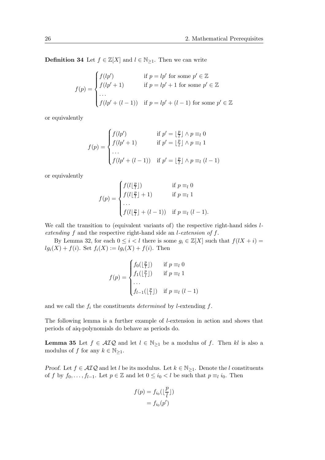**Definition 34** Let  $f \in \mathbb{Z}[X]$  and  $l \in \mathbb{N}_{\geq 1}$ . Then we can write

$$
f(p) = \begin{cases} f(lp') & \text{if } p = lp' \text{ for some } p' \in \mathbb{Z} \\ f(lp' + 1) & \text{if } p = lp' + 1 \text{ for some } p' \in \mathbb{Z} \\ \dots \\ f(lp' + (l - 1)) & \text{if } p = lp' + (l - 1) \text{ for some } p' \in \mathbb{Z} \end{cases}
$$

or equivalently

$$
f(p) = \begin{cases} f(lp') & \text{if } p' = \lfloor \frac{p}{l} \rfloor \land p \equiv_l 0 \\ f(lp' + 1) & \text{if } p' = \lfloor \frac{p}{l} \rfloor \land p \equiv_l 1 \\ \cdots \\ f(lp' + (l-1)) & \text{if } p' = \lfloor \frac{p}{l} \rfloor \land p \equiv_l (l-1) \end{cases}
$$

or equivalently

$$
f(p) = \begin{cases} f(l\lfloor \frac{p}{l} \rfloor) & \text{if } p \equiv_l 0 \\ f(l\lfloor \frac{p}{l} \rfloor + 1) & \text{if } p \equiv_l 1 \\ \cdots & \cdots \\ f(l\lfloor \frac{p}{l} \rfloor + (l-1)) & \text{if } p \equiv_l (l-1). \end{cases}
$$

We call the transition to (equivalent variants of) the respective right-hand sides  $l$ extending f and the respective right-hand side an l-extension of f.

By Lemma 32, for each  $0 \leq i < l$  there is some  $g_i \in \mathbb{Z}[X]$  such that  $f(lX + i) =$  $lg_i(X) + f(i)$ . Set  $f_i(X) := lg_i(X) + f(i)$ . Then

$$
f(p) = \begin{cases} f_0(\lfloor \frac{p}{l} \rfloor) & \text{if } p \equiv_l 0 \\ f_1(\lfloor \frac{p}{l} \rfloor) & \text{if } p \equiv_l 1 \\ \cdots \\ f_{l-1}(\lfloor \frac{p}{l} \rfloor) & \text{if } p \equiv_l (l-1) \end{cases}
$$

and we call the  $f_i$  the constituents *determined* by *l*-extending  $f$ .

The following lemma is a further example of l-extension in action and shows that periods of aiq-polynomials do behave as periods do.

**Lemma 35** Let  $f \in \mathcal{AIQ}$  and let  $l \in \mathbb{N}_{\geq 1}$  be a modulus of f. Then kl is also a modulus of f for any  $k \in \mathbb{N}_{\geq 1}$ .

Proof. Let  $f \in \mathcal{AIQ}$  and let l be its modulus. Let  $k \in \mathbb{N}_{\geq 1}$ . Denote the l constituents of f by  $f_0, \ldots, f_{l-1}$ . Let  $p \in \mathbb{Z}$  and let  $0 \leq i_0 < l$  be such that  $p \equiv_l i_0$ . Then

$$
f(p) = f_{i_0}(\lfloor \frac{p}{l} \rfloor)
$$

$$
= f_{i_0}(p')
$$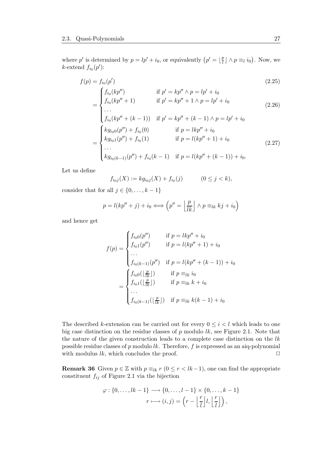where p' is determined by  $p = lp' + i_0$ , or equivalently  $(p' = \lfloor \frac{p}{l} \rfloor)$  $\frac{p}{l} \rfloor \wedge p \equiv_l i_0$ . Now, we *k*-extend  $f_{i_0}(p')$ :

$$
f(p) = f_{i_0}(p')
$$
  
\n
$$
\int f_{i_0}(kp'') \qquad \text{if } p' = kp'' \land p = lp' + i_0
$$
\n(2.25)

$$
\begin{aligned}\n\frac{\partial f_{i_0}(kp')}{\partial f_{i_0}(kp''+1)} & \text{if } p' = kp'' + 1 \land p = lp' + i_0 \\
& \text{if } p' = kp'' + 1 \land p = lp' + i_0\n\end{aligned}\n\tag{2.26}
$$

$$
\begin{cases}\n\cdots \\
f_{i_0}(kp'' + (k-1)) & \text{if } p' = kp'' + (k-1) \land p = lp' + i_0 \\
\hspace{1cm}\text{if } p = lkp'' + i_0 \\
\hspace{1cm}\text{if } p = lkp'' + i_0 \\
\hspace{1cm}\text{if } p = l(kp'' + 1) + i_0 \\
\cdots \\
\hspace{1cm}\text{if } g_{i_0(1)}(p'') + f_{i_0}(1) \\
\hspace{1cm}\text{if } p = l(kp'' + 1) + i_0 \\
\cdots \\
\hspace{1cm}\text{if } g_{i_0(k-1)}(p'') + f_{i_0}(k-1) & \text{if } p = l(kp'' + (k-1)) + i_0.\n\end{cases} \tag{2.27}
$$

Let us define

$$
f_{i_0j}(X) := k g_{i_0j}(X) + f_{i_0}(j) \qquad (0 \le j < k),
$$

consider that for all  $j \in \{0, \ldots, k-1\}$ 

$$
p = l(kp'' + j) + i_0 \Longleftrightarrow \left(p'' = \left\lfloor \frac{p}{lk} \right\rfloor \land p \equiv_{lk} kj + i_0\right)
$$

and hence get

$$
f(p) = \begin{cases} f_{i_00}(p'') & \text{if } p = lkp'' + i_0 \\ f_{i_01}(p'') & \text{if } p = l(kp'' + 1) + i_0 \\ \cdots \\ f_{i_0(k-1)}(p'') & \text{if } p = l(kp'' + (k-1)) + i_0 \\ f_{i_00}(\lfloor \frac{p}{lk} \rfloor) & \text{if } p \equiv_{lk} i_0 \\ f_{i_01}(\lfloor \frac{p}{lk} \rfloor) & \text{if } p \equiv_{lk} k + i_0 \\ \cdots \\ f_{i_0(k-1)}(\lfloor \frac{p}{lk} \rfloor) & \text{if } p \equiv_{lk} k(k-1) + i_0 \end{cases}
$$

The described k-extension can be carried out for every  $0 \leq i \leq l$  which leads to one big case distinction on the residue classes of  $p$  modulo  $lk$ , see Figure 2.1. Note that the nature of the given construction leads to a complete case distinction on the  $lk$ possible residue classes of  $p$  modulo  $lk$ . Therefore,  $f$  is expressed as an aiq-polynomial with modulus  $lk$ , which concludes the proof.  $\Box$ 

**Remark 36** Given  $p \in \mathbb{Z}$  with  $p \equiv_{lk} r$   $(0 \leq r < lk-1)$ , one can find the appropriate constituent  $f_{ij}$  of Figure 2.1 via the bijection

$$
\varphi: \{0, \ldots, lk-1\} \longrightarrow \{0, \ldots, l-1\} \times \{0, \ldots, k-1\}
$$

$$
r \longmapsto (i, j) = \left(r - \left\lfloor \frac{r}{l} \right\rfloor l, \left\lfloor \frac{r}{l} \right\rfloor \right),
$$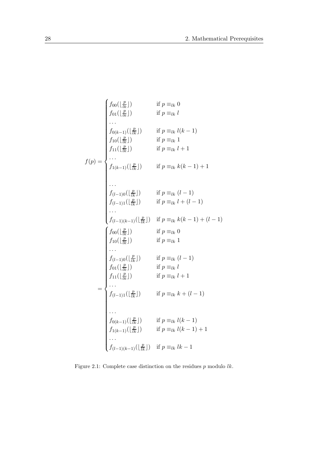$$
\begin{cases}\nf_{00}(\lfloor \frac{p}{tk} \rfloor) & \text{if } p \equiv_{lk} 0 \\
f_{01}(\lfloor \frac{p}{tk} \rfloor) & \text{if } p \equiv_{lk} l \\
\cdots \\
f_{0(k-1)}(\lfloor \frac{p}{tk} \rfloor) & \text{if } p \equiv_{lk} l(k-1) \\
f_{10}(\lfloor \frac{p}{tk} \rfloor) & \text{if } p \equiv_{lk} l+1 \\
\cdots \\
f_{1(k-1)}(\lfloor \frac{p}{tk} \rfloor) & \text{if } p \equiv_{lk} k(k-1)+1 \\
\cdots \\
f_{(l-1)0}(\lfloor \frac{p}{tk} \rfloor) & \text{if } p \equiv_{lk} k(k-1)+1 \\
\cdots \\
f_{(l-1)1}(\lfloor \frac{p}{tk} \rfloor) & \text{if } p \equiv_{lk} l + (l-1) \\
\cdots \\
f_{(l-1)1}(\lfloor \frac{p}{tk} \rfloor) & \text{if } p \equiv_{lk} l + (l-1) \\
\cdots \\
f_{(l-1)(k-1)}(\lfloor \frac{p}{tk} \rfloor) & \text{if } p \equiv_{lk} k(k-1) + (l-1) \\
f_{10}(\lfloor \frac{p}{tk} \rfloor) & \text{if } p \equiv_{lk} 0 \\
f_{10}(\lfloor \frac{p}{tk} \rfloor) & \text{if } p \equiv_{lk} l \\
\cdots \\
f_{(l-1)0}(\lfloor \frac{p}{tk} \rfloor) & \text{if } p \equiv_{lk} l \\
f_{11}(\lfloor \frac{p}{tk} \rfloor) & \text{if } p \equiv_{lk} l + 1 \\
\cdots \\
f_{(l-1)1}(\lfloor \frac{p}{tk} \rfloor) & \text{if } p \equiv_{lk} k + (l-1) \\
\cdots \\
f_{0(k-1)}(\lfloor \frac{p}{tk} \rfloor) & \text{if } p \equiv_{lk} k + (l-1) \\
\cdots \\
f_{0(k-1)}(\lfloor \frac{p}{tk} \rfloor) & \text{if } p \equiv_{lk} l(k-1) \\
f_{1(k-1)}(\lfloor \frac{p}{tk} \rfloor) & \text{if } p \equiv_{lk} l(k-1) + 1 \\
\cdots \\
f_{(l-1)(k-1)}(\lfloor \frac{p}{tk} \rfloor) & \text{if } p \equiv_{lk} l(k-1) + 1 \\
\cd
$$

Figure 2.1: Complete case distinction on the residues  $p$  modulo  $lk.$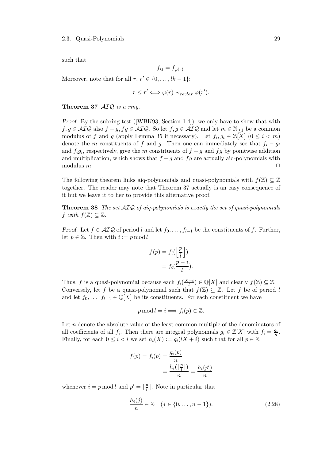such that

$$
f_{ij} = f_{\varphi(r)}
$$

.

Moreover, note that for all  $r, r' \in \{0, \ldots, lk - 1\}$ :

$$
r \leq r' \Longleftrightarrow \varphi(r) \prec_{revlex} \varphi(r').
$$

Theorem 37 AIQ is a ring.

Proof. By the subring test ([WBK93, Section 1.4]), we only have to show that with  $f, g \in \mathcal{AIQ}$  also  $f - g, fg \in \mathcal{AIQ}$ . So let  $f, g \in \mathcal{AIQ}$  and let  $m \in \mathbb{N}_{\geq 1}$  be a common modulus of f and g (apply Lemma 35 if necessary). Let  $f_i, g_i \in \mathbb{Z}[X]$   $(0 \leq i \leq m)$ denote the m constituents of f and g. Then one can immediately see that  $f_i - g_i$ and  $f_i g_i$ , respectively, give the m constituents of  $f - g$  and  $fg$  by pointwise addition and multiplication, which shows that  $f - g$  and  $fg$  are actually aiq-polynomials with modulus  $m$ .

The following theorem links aiq-polynomials and quasi-polynomials with  $f(\mathbb{Z}) \subseteq \mathbb{Z}$ together. The reader may note that Theorem 37 actually is an easy consequence of it but we leave it to her to provide this alternative proof.

**Theorem 38** The set  $\mathcal{AIQ}$  of aiq-polynomials is exactly the set of quasi-polynomials f with  $f(\mathbb{Z}) \subseteq \mathbb{Z}$ .

Proof. Let  $f \in \mathcal{AIQ}$  of period l and let  $f_0, \ldots, f_{l-1}$  be the constituents of f. Further, let  $p \in \mathbb{Z}$ . Then with  $i := p \mod l$ 

$$
f(p) = f_i\left(\frac{p}{l}\right) \\
= f_i\left(\frac{p-i}{l}\right).
$$

Thus, f is a quasi-polynomial because each  $f_i(\frac{X-i}{l}) \in \mathbb{Q}[X]$  and clearly  $f(\mathbb{Z}) \subseteq \mathbb{Z}$ . Conversely, let f be a quasi-polynomial such that  $f(\mathbb{Z}) \subseteq \mathbb{Z}$ . Let f be of period l and let  $f_0, \ldots, f_{l-1} \in \mathbb{Q}[X]$  be its constituents. For each constituent we have

$$
p \bmod l = i \Longrightarrow f_i(p) \in \mathbb{Z}.
$$

Let n denote the absolute value of the least common multiple of the denominators of all coefficients of all  $f_i$ . Then there are integral polynomials  $g_i \in \mathbb{Z}[X]$  with  $f_i = \frac{g_i}{n}$ . Finally, for each  $0 \leq i < l$  we set  $h_i(X) := g_i(lX + i)$  such that for all  $p \in \mathbb{Z}$ 

$$
f(p) = f_i(p) = \frac{g_i(p)}{n}
$$

$$
= \frac{h_i(\lfloor \frac{p}{l} \rfloor)}{n} = \frac{h_i(p')}{n}
$$

whenever  $i = p \mod l$  and  $p' = \lfloor \frac{p}{l} \rfloor$  $\frac{p}{l}$ . Note in particular that

$$
\frac{h_i(j)}{n} \in \mathbb{Z} \quad (j \in \{0, \dots, n-1\}).
$$
\n(2.28)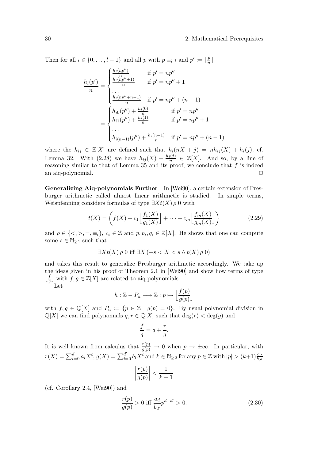Then for all  $i \in \{0, \ldots, l-1\}$  and all p with  $p \equiv_l i$  and  $p' := \lfloor \frac{p}{n} \rfloor$  $\frac{p}{n}$ 

$$
\frac{h_i(p')}{n} = \begin{cases}\n\frac{h_i(np'')}{n} & \text{if } p' = np'' \\
\frac{h_i(np'' + 1)}{n} & \text{if } p' = np'' + 1 \\
\cdots \\
\frac{h_i(np'' + n - 1)}{n} & \text{if } p' = np'' + (n - 1) \\
h_{i0}(p'') + \frac{h_i(0)}{n} & \text{if } p' = np'' \\
h_{i1}(p'') + \frac{h_i(1)}{n} & \text{if } p' = np'' + 1 \\
\cdots \\
h_{i(n-1)}(p'') + \frac{h_i(n-1)}{n} & \text{if } p' = np'' + (n - 1)\n\end{cases}
$$

where the  $h_{ij} \in \mathbb{Z}[X]$  are defined such that  $h_i(nX + j) = nh_{ij}(X) + h_i(j)$ , cf. Lemma 32. With (2.28) we have  $h_{ij}(X) + \frac{h_i(j)}{n} \in \mathbb{Z}[X]$ . And so, by a line of reasoning similar to that of Lemma 35 and its proof, we conclude that  $f$  is indeed an aiq-polynomial.

Generalizing Aiq-polynomials Further In [Wei90], a certain extension of Presburger arithmetic called almost linear arithmetic is studied. In simple terms, Weispfenning considers formulas of type  $\exists X t(X) \rho 0$  with

$$
t(X) = \left(f(X) + c_1 \left\lfloor \frac{f_1(X)}{g_1(X)} \right\rfloor + \dots + c_m \left\lfloor \frac{f_m(X)}{g_m(X)} \right\rfloor \right) \tag{2.29}
$$

and  $\rho \in \{<, >, =, \equiv_l\}, c_i \in \mathbb{Z}$  and  $p, p_i, q_i \in \mathbb{Z}[X]$ . He shows that one can compute some  $s \in \mathbb{N}_{\geq 1}$  such that

$$
\exists X t(X) \rho \neq 0 \text{ iff } \exists X \ (-s < X < s \land t(X) \rho \neq 0)
$$

and takes this result to generalize Presburger arithmetic accordingly. We take up the ideas given in his proof of Theorem 2.1 in [Wei90] and show how terms of type  $\frac{f}{a}$  $\frac{f}{g}$  with  $f, g \in \mathbb{Z}[X]$  are related to aiq-polynomials.

Let

$$
h: \mathbb{Z} - P_u \longrightarrow \mathbb{Z} : p \mapsto \left\lfloor \frac{f(p)}{g(p)} \right\rfloor
$$

with  $f, g \in \mathbb{Q}[X]$  and  $P_u := \{p \in \mathbb{Z} \mid g(p) = 0\}$ . By usual polynomial division in  $\mathbb{Q}[X]$  we can find polynomials  $q, r \in \mathbb{Q}[X]$  such that  $\deg(r) < \deg(g)$  and

$$
\frac{f}{g} = q + \frac{r}{g}.
$$

It is well known from calculus that  $\frac{r(p)}{g(p)} \to 0$  when  $p \to \pm \infty$ . In particular, with  $r(X) = \sum_{i=0}^d a_i X^i$ ,  $g(X) = \sum_{i=0}^{d'} b_i X^i$  and  $k \in \mathbb{N}_{\geq 2}$  for any  $p \in \mathbb{Z}$  with  $|p| > (k+1) \frac{a_d}{b_{d'}}$ 

$$
\left|\frac{r(p)}{g(p)}\right| < \frac{1}{k-1}
$$

(cf. Corollary 2.4, [Wei90]) and

$$
\frac{r(p)}{g(p)} > 0 \text{ iff } \frac{a_d}{b_{d'}} p^{d - d'} > 0. \tag{2.30}
$$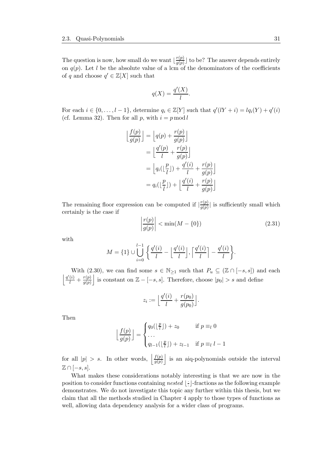The question is now, how small do we want  $\lfloor \frac{r(p)}{q(p)} \rfloor$  $\frac{r(p)}{g(p)}$  to be? The answer depends entirely on  $q(p)$ . Let l be the absolute value of a lcm of the denominators of the coefficients of q and choose  $q' \in \mathbb{Z}[X]$  such that

$$
q(X) = \frac{q'(X)}{l}.
$$

For each  $i \in \{0, \ldots, l-1\}$ , determine  $q_i \in \mathbb{Z}[Y]$  such that  $q'(lY + i) = lq_i(Y) + q'(i)$ (cf. Lemma 32). Then for all p, with  $i = p \mod l$ 

$$
\left\lfloor \frac{f(p)}{g(p)} \right\rfloor = \left\lfloor q(p) + \frac{r(p)}{g(p)} \right\rfloor
$$

$$
= \left\lfloor \frac{q'(p)}{l} + \frac{r(p)}{g(p)} \right\rfloor
$$

$$
= \left\lfloor q_i(\left\lfloor \frac{p}{l} \right\rfloor) + \frac{q'(i)}{l} + \frac{r(p)}{g(p)} \right\rfloor
$$

$$
= q_i(\left\lfloor \frac{p}{l} \right\rfloor) + \left\lfloor \frac{q'(i)}{l} + \frac{r(p)}{g(p)} \right\rfloor
$$

The remaining floor expression can be computed if  $\frac{r(p)}{q(p)}$  $\frac{r(p)}{g(p)}$  is sufficiently small which certainly is the case if

$$
\left|\frac{r(p)}{g(p)}\right| < \min(M - \{0\})\tag{2.31}
$$

 $\overline{\phantom{a}}$ 

 $\overline{\phantom{a}}$ 

with

$$
M = \{1\} \cup \bigcup_{i=0}^{l-1} \left\{ \frac{q'(i)}{l} - \left\lfloor \frac{q'(i)}{l} \right\rfloor, \left\lceil \frac{q'(i)}{l} \right\rceil - \frac{q'(i)}{l} \right\}.
$$

With (2.30), we can find some  $s \in \mathbb{N}_{\geq 1}$  such that  $P_u \subseteq (\mathbb{Z} \cap [-s, s])$  and each  $\frac{q'(i)}{l}+\frac{r(p)}{g(p)}$  $g(p)$ is constant on  $\mathbb{Z} - [-s, s]$ . Therefore, choose  $|p_0| > s$  and define

$$
z_i := \left\lfloor \frac{q'(i)}{l} + \frac{r(p_0)}{g(p_0)} \right\rfloor.
$$

Then

$$
\left\lfloor \frac{f(p)}{g(p)} \right\rfloor = \begin{cases} q_0(\lfloor \frac{p}{l} \rfloor) + z_0 & \text{if } p \equiv_l 0 \\ \dots \\ q_{l-1}(\lfloor \frac{p}{l} \rfloor) + z_{l-1} & \text{if } p \equiv_l l-1 \end{cases}
$$

for all  $|p| > s$ . In other words,  $\frac{f(p)}{q(p)}$  $g(p)$ is an aiq-polynomials outside the interval  $\mathbb{Z} \cap [-s, s].$ 

What makes these considerations notably interesting is that we are now in the position to consider functions containing nested  $\frac{1}{2}$ · ⌋-fractions as the following example demonstrates. We do not investigate this topic any further within this thesis, but we claim that all the methods studied in Chapter 4 apply to those types of functions as well, allowing data dependency analysis for a wider class of programs.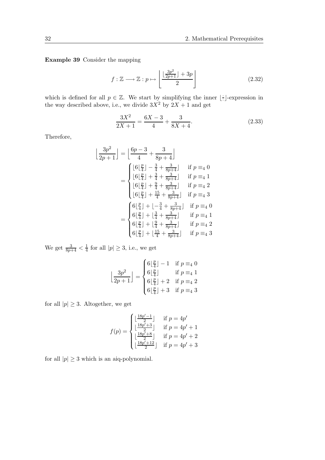Example 39 Consider the mapping

$$
f: \mathbb{Z} \longrightarrow \mathbb{Z}: p \mapsto \left\lfloor \frac{\lfloor \frac{3p^2}{2p+1} \rfloor + 3p}{2} \right\rfloor \tag{2.32}
$$

which is defined for all  $p \in \mathbb{Z}$ . We start by simplifying the inner  $|\frac{1}{n}\rangle$ · ⌋-expression in the way described above, i.e., we divide  $3X^2$  by  $2X + 1$  and get

$$
\frac{3X^2}{2X+1} = \frac{6X-3}{4} + \frac{3}{8X+4}.\tag{2.33}
$$

Therefore,

$$
\frac{3p^2}{2p+1} = \left[\frac{6p-3}{4} + \frac{3}{8p+4}\right]
$$
  
\n
$$
= \begin{cases}\n\left[6\left(\frac{p}{4}\right) - \frac{3}{4} + \frac{3}{8p+4}\right] & \text{if } p \equiv 4 \ 0 \\
\left[6\left(\frac{p}{4}\right) + \frac{3}{4} + \frac{3}{8p+4}\right] & \text{if } p \equiv 4 \ 1 \\
\left[6\left(\frac{p}{4}\right) + \frac{9}{4} + \frac{3}{8p+4}\right] & \text{if } p \equiv 4 \ 2 \\
\left[6\left(\frac{p}{4}\right) + \frac{15}{4} + \frac{3}{8p+4}\right] & \text{if } p \equiv 4 \ 3\n\end{cases}
$$
  
\n
$$
= \begin{cases}\n6\left(\frac{p}{4}\right) + \left[-\frac{3}{4} + \frac{3}{8p+4}\right] & \text{if } p \equiv 4 \ 0 \\
6\left(\frac{p}{4}\right) + \left[\frac{3}{4} + \frac{3}{8p+4}\right] & \text{if } p \equiv 4 \ 1 \\
6\left(\frac{p}{4}\right) + \left[\frac{9}{4} + \frac{3}{8p+4}\right] & \text{if } p \equiv 4 \ 2 \\
6\left(\frac{p}{4}\right) + \left[\frac{15}{4} + \frac{3}{8p+4}\right] & \text{if } p \equiv 4 \ 3\n\end{cases}
$$

We get  $\frac{3}{8p+4} < \frac{1}{4}$  $\frac{1}{4}$  for all  $|p| \geq 3$ , i.e., we get

j

$$
\left\lfloor \frac{3p^2}{2p+1} \right\rfloor = \begin{cases} 6\left\lfloor \frac{p}{4} \right\rfloor - 1 & \text{if } p \equiv_4 0\\ 6\left\lfloor \frac{p}{4} \right\rfloor & \text{if } p \equiv_4 1\\ 6\left\lfloor \frac{p}{4} \right\rfloor + 2 & \text{if } p \equiv_4 2\\ 6\left\lfloor \frac{p}{4} \right\rfloor + 3 & \text{if } p \equiv_4 3 \end{cases}
$$

for all  $|p| \geq 3$ . Altogether, we get

$$
f(p) = \begin{cases} \lfloor \frac{18p'-1}{2} \rfloor & \text{if } p = 4p'\\ \lfloor \frac{18p'+3}{2} \rfloor & \text{if } p = 4p'+1\\ \lfloor \frac{18p'+8}{2} \rfloor & \text{if } p = 4p'+2\\ \lfloor \frac{18p'+12}{2} \rfloor & \text{if } p = 4p'+3 \end{cases}
$$

for all  $|p|\geq 3$  which is an aiq-polynomial.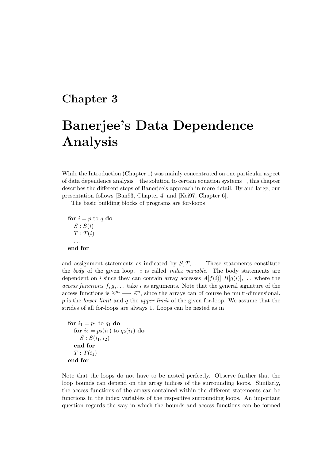# Chapter 3

# Banerjee's Data Dependence Analysis

While the Introduction (Chapter 1) was mainly concentrated on one particular aspect of data dependence analysis – the solution to certain equation systems –, this chapter describes the different steps of Banerjee's approach in more detail. By and large, our presentation follows [Ban93, Chapter 4] and [Kei97, Chapter 6].

The basic building blocks of programs are for-loops

for  $i = p$  to q do  $S: S(i)$  $T: T(i)$ . . . end for

and assignment statements as indicated by  $S, T, \ldots$ . These statements constitute the body of the given loop. i is called *index variable*. The body statements are dependent on i since they can contain array accesses  $A[f(i)], B[g(i)], \ldots$  where the access functions  $f, g, \ldots$  take i as arguments. Note that the general signature of the access functions is  $\mathbb{Z}^m \longrightarrow \mathbb{Z}^n$ , since the arrays can of course be multi-dimensional. p is the *lower limit* and q the upper limit of the given for-loop. We assume that the strides of all for-loops are always 1. Loops can be nested as in

```
for i_1 = p_1 to q_1 do
  for i_2 = p_2(i_1) to q_2(i_1) do
     S: S(i_1, i_2)end for
  T: T(i_1)end for
```
Note that the loops do not have to be nested perfectly. Observe further that the loop bounds can depend on the array indices of the surrounding loops. Similarly, the access functions of the arrays contained within the different statements can be functions in the index variables of the respective surrounding loops. An important question regards the way in which the bounds and access functions can be formed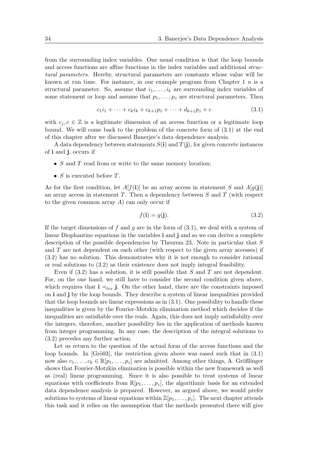from the surrounding index variables. One usual condition is that the loop bounds and access functions are affine functions in the index variables and additional structural parameters. Hereby, structural parameters are constants whose value will be known at run time. For instance, in our example program from Chapter 1  $n$  is a structural parameter. So, assume that  $i_1, \ldots, i_k$  are surrounding index variables of some statement or loop and assume that  $p_1, \ldots, p_z$  are structural parameters. Then

$$
c_1 i_1 + \dots + c_k i_k + c_{k+1} p_1 + \dots + d_{k+z} p_z + c \tag{3.1}
$$

with  $c_i, c \in \mathbb{Z}$  is a legitimate dimension of an access function or a legitimate loop bound. We will come back to the problem of the concrete form of (3.1) at the end of this chapter after we discussed Banerjee's data dependence analysis.

A data dependency between statements  $S(i)$  and  $T(j)$ , for given concrete instances of i and j, occurs if

- $S$  and  $T$  read from or write to the same memory location;
- $S$  is executed before  $T$ .

As for the first condition, let  $A[f(i)]$  be an array access in statement S and  $A[g(j)]$ an array access in statement  $T$ . Then a dependency between  $S$  and  $T$  (with respect to the given common array  $A$ ) can only occur if

$$
f(\mathbf{i}) = g(\mathbf{j}).\tag{3.2}
$$

If the target dimensions of f and g are in the form of  $(3.1)$ , we deal with a system of linear Diophantine equations in the variables i and j and so we can derive a complete description of the possible dependencies by Theorem 23. Note in particular that S and T are not dependent on each other (with respect to the given array accesses) if (3.2) has no solution. This demonstrates why it is not enough to consider rational or real solutions to (3.2) as their existence does not imply integral feasibility.

Even if  $(3.2)$  has a solution, it is still possible that S and T are not dependent. For, on the one hand, we still have to consider the second condition given above, which requires that  $\mathbf{i} \prec_{lex} \mathbf{j}$ . On the other hand, there are the constraints imposed on i and j by the loop bounds. They describe a system of linear inequalities provided that the loop bounds are linear expressions as in (3.1). One possibility to handle these inequalities is given by the Fourier-Motzkin elimination method which decides if the inequalities are satisfiable over the reals. Again, this does not imply satisfiabilty over the integers, therefore, another possibility lies in the application of methods known from integer programming. In any case, the description of the integral solutions to (3.2) precedes any further action.

Let us return to the question of the actual form of the access functions and the loop bounds. In  $[Grö03]$ , the restriction given above was eased such that in  $(3.1)$ now also  $c_1, \ldots, c_k \in \mathbb{R}[p_1, \ldots, p_z]$  are admitted. Among other things, A. Größlinger shows that Fourier-Motzkin elimination is possible within the new framework as well as (real) linear programming. Since it is also possible to treat systems of linear equations with coefficients from  $\mathbb{R}[p_1,\ldots,p_z]$ , the algorithmic basis for an extended data dependence analysis is prepared. However, as argued above, we would prefer solutions to systems of linear equations within  $\mathbb{Z}[p_1,\ldots,p_z]$ . The next chapter attends this task and it relies on the assumption that the methods presented there will give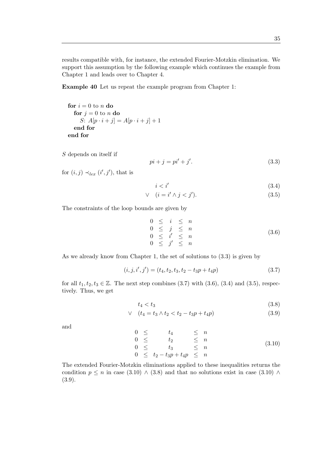results compatible with, for instance, the extended Fourier-Motzkin elimination. We support this assumption by the following example which continues the example from Chapter 1 and leads over to Chapter 4.

Example 40 Let us repeat the example program from Chapter 1:

for  $i = 0$  to n do for  $j = 0$  to n do S:  $A[p \cdot i + j] = A[p \cdot i + j] + 1$ end for end for

S depends on itself if

$$
pi + j = pi' + j'.\tag{3.3}
$$

for  $(i, j) \prec_{lex} (i', j')$ , that is

$$
i < i' \tag{3.4}
$$

$$
\vee \quad (i = i' \wedge j < j'). \tag{3.5}
$$

The constraints of the loop bounds are given by

$$
0 \leq i \leq n
$$
  
\n
$$
0 \leq j \leq n
$$
  
\n
$$
0 \leq i' \leq n
$$
  
\n
$$
0 \leq j' \leq n
$$
  
\n(3.6)

As we already know from Chapter 1, the set of solutions to (3.3) is given by

$$
(i, j, i', j') = (t_4, t_2, t_3, t_2 - t_3p + t_4p)
$$
\n(3.7)

for all  $t_1, t_2, t_3 \in \mathbb{Z}$ . The next step combines (3.7) with (3.6), (3.4) and (3.5), respectively. Thus, we get

$$
t_4 < t_3 \tag{3.8}
$$

$$
\vee \quad (t_4 = t_3 \wedge t_2 < t_2 - t_3 p + t_4 p) \tag{3.9}
$$

and

$$
0 \leq t_4 \leq n
$$
  
\n
$$
0 \leq t_2 \leq n
$$
  
\n
$$
0 \leq t_3 \leq n
$$
  
\n
$$
0 \leq t_2 - t_3 p + t_4 p \leq n
$$
\n(3.10)

The extended Fourier-Motzkin eliminations applied to these inequalities returns the condition  $p \leq n$  in case (3.10) ∧ (3.8) and that no solutions exist in case (3.10) ∧ (3.9).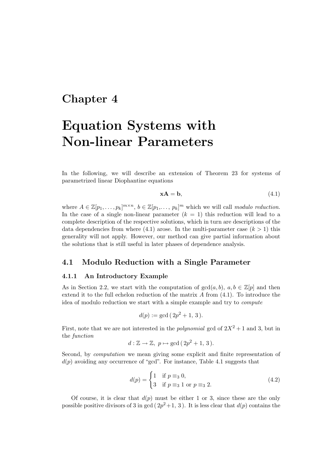# Chapter 4

# Equation Systems with Non-linear Parameters

In the following, we will describe an extension of Theorem 23 for systems of parametrized linear Diophantine equations

$$
xA = b,\t(4.1)
$$

where  $A \in \mathbb{Z}[p_1,\ldots,p_k]^{m \times n}, b \in \mathbb{Z}[p_1,\ldots,p_k]^m$  which we will call modulo reduction. In the case of a single non-linear parameter  $(k = 1)$  this reduction will lead to a complete description of the respective solutions, which in turn are descriptions of the data dependencies from where (4.1) arose. In the multi-parameter case  $(k > 1)$  this generality will not apply. However, our method can give partial information about the solutions that is still useful in later phases of dependence analysis.

# 4.1 Modulo Reduction with a Single Parameter

#### 4.1.1 An Introductory Example

As in Section 2.2, we start with the computation of  $gcd(a, b)$ ,  $a, b \in \mathbb{Z}[p]$  and then extend it to the full echelon reduction of the matrix  $A$  from  $(4.1)$ . To introduce the idea of modulo reduction we start with a simple example and try to compute

$$
d(p) := \gcd(2p^2 + 1, 3).
$$

First, note that we are not interested in the *polynomial* gcd of  $2X^2 + 1$  and 3, but in the function

$$
d: \mathbb{Z} \to \mathbb{Z}, \ p \mapsto \gcd(2p^2 + 1, 3).
$$

Second, by computation we mean giving some explicit and finite representation of  $d(p)$  avoiding any occurrence of "gcd". For instance, Table 4.1 suggests that

$$
d(p) = \begin{cases} 1 & \text{if } p \equiv_3 0, \\ 3 & \text{if } p \equiv_3 1 \text{ or } p \equiv_3 2. \end{cases}
$$
 (4.2)

Of course, it is clear that  $d(p)$  must be either 1 or 3, since these are the only possible positive divisors of 3 in gcd  $(2p^2+1, 3)$ . It is less clear that  $d(p)$  contains the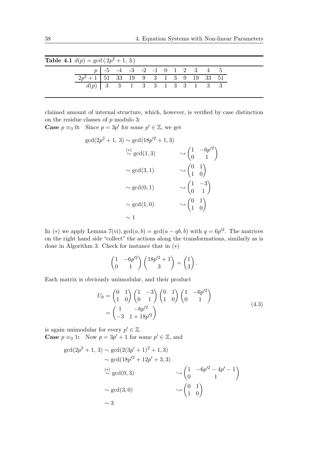| <b>Table 4.1</b> $d(p) = \gcd(2p^2 + 1, 3)$ |                                                |                                  |  |  |  |  |  |
|---------------------------------------------|------------------------------------------------|----------------------------------|--|--|--|--|--|
|                                             |                                                | $p$   -5 -4 -3 -2 -1 0 1 2 3 4 5 |  |  |  |  |  |
|                                             | $\boxed{2p^2+1}$   51 33 19 9 3 1 3 9 19 33 51 |                                  |  |  |  |  |  |
|                                             | $d(p)$ 3 3 1 3 3 1 3 3 1 3 3                   |                                  |  |  |  |  |  |

claimed amount of internal structure, which, however, is verified by case distinction on the residue classes of  $p$  modulo 3:

**Case**  $p \equiv_3 0$ : Since  $p = 3p'$  for some  $p' \in \mathbb{Z}$ , we get

$$
\gcd(2p^2 + 1, 3) \sim \gcd(18p^2 + 1, 3)
$$
  
\n
$$
\stackrel{(*)}{\sim} \gcd(1,3) \qquad \sim \begin{pmatrix} 1 & -6p^2 \\ 0 & 1 \end{pmatrix}
$$
  
\n
$$
\sim \gcd(3,1) \qquad \sim \begin{pmatrix} 0 & 1 \\ 1 & 0 \end{pmatrix}
$$
  
\n
$$
\sim \gcd(0,1) \qquad \sim \begin{pmatrix} 1 & -3 \\ 0 & 1 \end{pmatrix}
$$
  
\n
$$
\sim \gcd(1,0) \qquad \sim \begin{pmatrix} 0 & 1 \\ 1 & 0 \end{pmatrix}
$$
  
\n
$$
\sim 1
$$

In (\*) we apply Lemma  $7(\text{vi})$ ,  $\gcd(a, b) = \gcd(a - qb, b)$  with  $q = 6p^2$ . The matrices on the right hand side "collect" the actions along the transformations, similarly as is done in Algorithm 3. Check for instance that in (∗)

$$
\begin{pmatrix} 1 & -6p^2 \\ 0 & 1 \end{pmatrix} \begin{pmatrix} 18p^2 + 1 \\ 3 \end{pmatrix} = \begin{pmatrix} 1 \\ 3 \end{pmatrix}.
$$

Each matrix is obviously unimodular, and their product

$$
U_0 = \begin{pmatrix} 0 & 1 \\ 1 & 0 \end{pmatrix} \begin{pmatrix} 1 & -3 \\ 0 & 1 \end{pmatrix} \begin{pmatrix} 0 & 1 \\ 1 & 0 \end{pmatrix} \begin{pmatrix} 1 & -6p'^2 \\ 0 & 1 \end{pmatrix}
$$
  
= 
$$
\begin{pmatrix} 1 & -6p'^2 \\ -3 & 1+18p'^2 \end{pmatrix}
$$
 (4.3)

is again unimodular for every  $p' \in \mathbb{Z}$ . **Case**  $p \equiv_3 1$ : Now  $p = 3p' + 1$  for some  $p' \in \mathbb{Z}$ , and

$$
\gcd(2p^2 + 1, 3) \sim \gcd(2(3p' + 1)^2 + 1, 3)
$$
  
\n
$$
\sim \gcd(18p'^2 + 12p' + 3, 3)
$$
  
\n
$$
\stackrel{(*)}{\sim} \gcd(0, 3) \qquad \longrightarrow \begin{pmatrix} 1 & -6p'^2 - 4p' - 1 \\ 0 & 1 \end{pmatrix}
$$
  
\n
$$
\sim \gcd(3, 0) \qquad \longrightarrow \begin{pmatrix} 0 & 1 \\ 1 & 0 \end{pmatrix}
$$
  
\n
$$
\sim 3
$$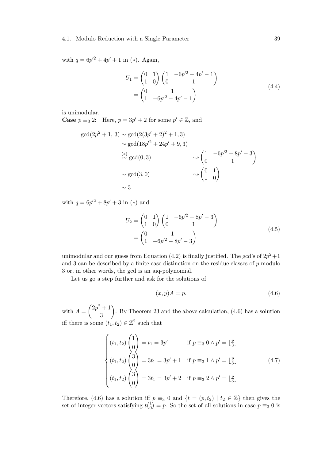with  $q = 6p'^2 + 4p' + 1$  in (\*). Again,

$$
U_1 = \begin{pmatrix} 0 & 1 \\ 1 & 0 \end{pmatrix} \begin{pmatrix} 1 & -6p^2 - 4p^{\prime} - 1 \\ 0 & 1 \end{pmatrix}
$$
  
= 
$$
\begin{pmatrix} 0 & 1 \\ 1 & -6p^{\prime 2} - 4p^{\prime} - 1 \end{pmatrix}
$$
 (4.4)

is unimodular.

**Case**  $p \equiv_3 2$ : Here,  $p = 3p' + 2$  for some  $p' \in \mathbb{Z}$ , and

$$
\gcd(2p^2 + 1, 3) \sim \gcd(2(3p' + 2)^2 + 1, 3)
$$
  
\n
$$
\sim \gcd(18p'^2 + 24p' + 9, 3)
$$
  
\n
$$
\stackrel{(*)}{\sim} \gcd(0, 3) \qquad \sim \begin{pmatrix} 1 & -6p'^2 - 8p' - 3 \\ 0 & 1 \end{pmatrix}
$$
  
\n
$$
\sim \gcd(3, 0) \qquad \sim \begin{pmatrix} 0 & 1 \\ 1 & 0 \end{pmatrix}
$$
  
\n
$$
\sim 3
$$

with  $q = 6p'^2 + 8p' + 3$  in (\*) and

$$
U_2 = \begin{pmatrix} 0 & 1 \\ 1 & 0 \end{pmatrix} \begin{pmatrix} 1 & -6p^2 - 8p^2 - 3 \\ 0 & 1 \end{pmatrix}
$$
  
= 
$$
\begin{pmatrix} 0 & 1 \\ 1 & -6p^2 - 8p^2 - 3 \end{pmatrix}
$$
 (4.5)

unimodular and our guess from Equation (4.2) is finally justified. The gcd's of  $2p^2+1$ and 3 can be described by a finite case distinction on the residue classes of  $p$  modulo 3 or, in other words, the gcd is an aiq-polynomial.

Let us go a step further and ask for the solutions of

$$
(x, y)A = p.\t\t(4.6)
$$

with  $A =$  $(2p^2+1)$ 3  $\setminus$ . By Theorem 23 and the above calculation, (4.6) has a solution iff there is some  $(t_1, t_2) \in \mathbb{Z}^2$  such that

$$
\begin{cases}\n(t_1, t_2) \begin{pmatrix} 1 \\ 0 \end{pmatrix} = t_1 = 3p' & \text{if } p \equiv_3 0 \land p' = \lfloor \frac{p}{3} \rfloor \\
(t_1, t_2) \begin{pmatrix} 3 \\ 0 \end{pmatrix} = 3t_1 = 3p' + 1 & \text{if } p \equiv_3 1 \land p' = \lfloor \frac{p}{3} \rfloor \\
(t_1, t_2) \begin{pmatrix} 3 \\ 0 \end{pmatrix} = 3t_1 = 3p' + 2 & \text{if } p \equiv_3 2 \land p' = \lfloor \frac{p}{3} \rfloor\n\end{cases}
$$
\n(4.7)

Therefore, (4.6) has a solution iff  $p \equiv_3 0$  and  $\{t = (p, t_2) \mid t_2 \in \mathbb{Z}\}\)$  then gives the set of integer vectors satisfying  $t\binom{1}{0}$  $\binom{1}{0} = p$ . So the set of all solutions in case  $p \equiv_3 0$  is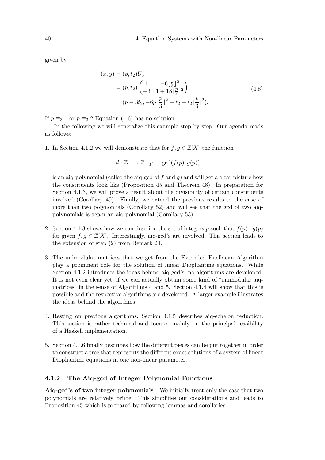given by

$$
(x,y) = (p, t_2)U_0
$$
  
=  $(p, t_2) \begin{pmatrix} 1 & -6\lfloor \frac{p}{3} \rfloor^2 \\ -3 & 1 + 18\lfloor \frac{p}{3} \rfloor^2 \end{pmatrix}$   
=  $(p - 3t_2, -6p\lfloor \frac{p}{3} \rfloor^2 + t_2 + t_2\lfloor \frac{p}{3} \rfloor^2).$  (4.8)

If  $p \equiv_3 1$  or  $p \equiv_3 2$  Equation (4.6) has no solution.

In the following we will generalize this example step by step. Our agenda reads as follows:

1. In Section 4.1.2 we will demonstrate that for  $f, g \in \mathbb{Z}[X]$  the function

$$
d: \mathbb{Z} \longrightarrow \mathbb{Z} : p \mapsto \gcd(f(p), g(p))
$$

is an aiq-polynomial (called the aiq-gcd of f and q) and will get a clear picture how the constituents look like (Proposition 45 and Theorem 48). In preparation for Section 4.1.3, we will prove a result about the divisibility of certain constituents involved (Corollary 49). Finally, we extend the previous results to the case of more than two polynomials (Corollary 52) and will see that the gcd of two aiqpolynomials is again an aiq-polynomial (Corollary 53).

- 2. Section 4.1.3 shows how we can describe the set of integers p such that  $f(p) | g(p)$ for given  $f, g \in \mathbb{Z}[X]$ . Interestingly, aiq-gcd's are involved. This section leads to the extension of step (2) from Remark 24.
- 3. The unimodular matrices that we get from the Extended Euclidean Algorithm play a prominent role for the solution of linear Diophantine equations. While Section 4.1.2 introduces the ideas behind aiq-gcd's, no algorithms are developed. It is not even clear yet, if we can actually obtain some kind of "unimodular aiqmatrices" in the sense of Algorithms 4 and 5. Section 4.1.4 will show that this is possible and the respective algorithms are developed. A larger example illustrates the ideas behind the algorithms.
- 4. Resting on previous algorithms, Section 4.1.5 describes aiq-echelon reduction. This section is rather technical and focuses mainly on the principal feasibility of a Haskell implementation.
- 5. Section 4.1.6 finally describes how the different pieces can be put together in order to construct a tree that represents the different exact solutions of a system of linear Diophantine equations in one non-linear parameter.

#### 4.1.2 The Aiq-gcd of Integer Polynomial Functions

Aiq-gcd's of two integer polynomials We initially treat only the case that two polynomials are relatively prime. This simplifies our considerations and leads to Proposition 45 which is prepared by following lemmas and corollaries.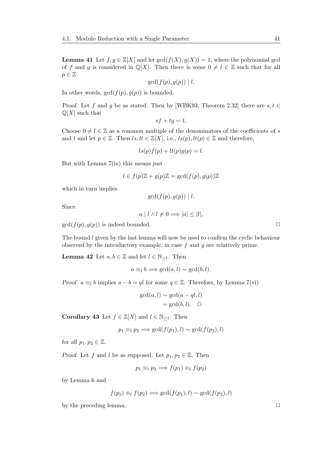**Lemma 41** Let  $f, g \in \mathbb{Z}[X]$  and let  $gcd(f(X), g(X)) = 1$ , where the polynomial gcd of f and g is considered in  $\mathbb{Q}[X]$ . Then there is some  $0 \neq l \in \mathbb{Z}$  such that for all  $p \in \mathbb{Z}$ 

 $gcd(f(p), q(p)) \mid l.$ 

In other words,  $gcd(f(p), g(p))$  is bounded.

Proof. Let f and g be as stated. Then by [WBK93, Theorem 2.32] there are  $s, t \in$  $\mathbb{Q}[X]$  such that

$$
sf+tg=1.
$$

Choose  $0 \neq l \in \mathbb{Z}$  as a common multiple of the denominators of the coefficients of s and t and let  $p \in \mathbb{Z}$ . Then  $ls, lt \in \mathbb{Z}[X]$ , i.e.,  $ls(p), lt(p) \in \mathbb{Z}$  and therefore,

$$
ls(p)f(p) + lt(p)g(p) = l.
$$

But with Lemma  $7(ix)$  this means just

$$
l \in f(p)\mathbb{Z} + g(p)\mathbb{Z} = \gcd(f(p), g(p))\mathbb{Z}
$$

which in turn implies

$$
\gcd(f(p),g(p)) \mid l.
$$

Since

$$
a \mid l \wedge l \neq 0 \Longrightarrow |a| \leq |l|,
$$

 $gcd(f(p), g(p))$  is indeed bounded.

The bound  $l$  given by the last lemma will now be used to confirm the cyclic behaviour observed by the introductory example, in case  $f$  and  $g$  are relatively prime.

**Lemma 42** Let  $a, b \in \mathbb{Z}$  and let  $l \in \mathbb{N}_{\geq 1}$ . Then

$$
a \equiv_l b \Longrightarrow \gcd(a, l) \sim \gcd(b, l).
$$

*Proof.*  $a \equiv_l b$  implies  $a - b = ql$  for some  $q \in \mathbb{Z}$ . Therefore, by Lemma 7(vi)

$$
\gcd(a, l) \sim \gcd(a - ql, l)
$$

$$
= \gcd(b, l). \quad \Box
$$

Corollary 43 Let  $f \in \mathbb{Z}[X]$  and  $l \in \mathbb{N}_{\geq 1}$ . Then

$$
p_1 \equiv_l p_2 \Longrightarrow \gcd(f(p_1), l) \sim \gcd(f(p_2), l)
$$

for all  $p_1, p_2 \in \mathbb{Z}$ .

*Proof.* Let f and l be as supposed. Let  $p_1, p_2 \in \mathbb{Z}$ . Then

$$
p_1 \equiv_l p_2 \Longrightarrow f(p_1) \equiv_l f(p_2)
$$

by Lemma 6 and

$$
f(p_1) \equiv_l f(p_2) \Longrightarrow \gcd(f(p_1), l) \sim \gcd(f(p_2), l)
$$

by the preceding lemma.  $\Box$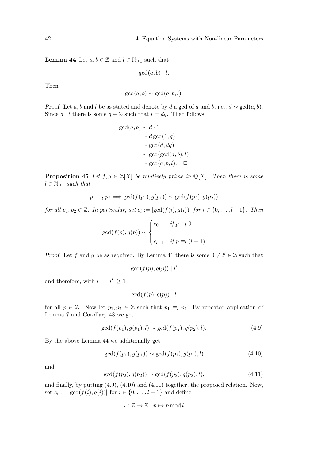**Lemma 44** Let  $a, b \in \mathbb{Z}$  and  $l \in \mathbb{N}_{\geq 1}$  such that

 $gcd(a, b) | l.$ 

Then

$$
\gcd(a, b) \sim \gcd(a, b, l).
$$

Proof. Let a, b and l be as stated and denote by d a gcd of a and b, i.e.,  $d \sim \gcd(a, b)$ . Since  $d \mid l$  there is some  $q \in \mathbb{Z}$  such that  $l = dq$ . Then follows

$$
gcd(a, b) \sim d \cdot 1
$$
  
\sim d gcd(1, q)  
\sim gcd(d, dq)  
\sim gcd(gcd(a, b), l)  
\sim gcd(a, b, l).  $\square$ 

**Proposition 45** Let  $f, g \in \mathbb{Z}[X]$  be relatively prime in  $\mathbb{Q}[X]$ . Then there is some  $l \in \mathbb{N}_{\geq 1}$  such that

$$
p_1 \equiv_l p_2 \Longrightarrow \gcd(f(p_1), g(p_1)) \sim \gcd(f(p_2), g(p_2))
$$

for all  $p_1, p_2 \in \mathbb{Z}$ . In particular, set  $c_i := |\gcd(f(i), g(i))|$  for  $i \in \{0, \ldots, l-1\}$ . Then

$$
\gcd(f(p), g(p)) \sim \begin{cases} c_0 & \text{if } p \equiv_l 0 \\ \dots \\ c_{l-1} & \text{if } p \equiv_l (l-1) \end{cases}
$$

Proof. Let f and g be as required. By Lemma 41 there is some  $0 \neq l' \in \mathbb{Z}$  such that

$$
\gcd(f(p),g(p)) \mid l'
$$

and therefore, with  $l := |l'| \geq 1$ 

$$
\gcd(f(p), g(p)) \mid l
$$

for all  $p \in \mathbb{Z}$ . Now let  $p_1, p_2 \in \mathbb{Z}$  such that  $p_1 \equiv_l p_2$ . By repeated application of Lemma 7 and Corollary 43 we get

$$
\gcd(f(p_1), g(p_1), l) \sim \gcd(f(p_2), g(p_2), l). \tag{4.9}
$$

By the above Lemma 44 we additionally get

$$
\gcd(f(p_1), g(p_1)) \sim \gcd(f(p_1), g(p_1), l) \tag{4.10}
$$

and

$$
\gcd(f(p_2), g(p_2)) \sim \gcd(f(p_2), g(p_2), l),\tag{4.11}
$$

and finally, by putting (4.9), (4.10) and (4.11) together, the proposed relation. Now, set  $c_i := |\gcd(f(i), g(i))|$  for  $i \in \{0, \ldots, l-1\}$  and define

$$
\iota : \mathbb{Z} \to \mathbb{Z} : p \mapsto p \bmod l
$$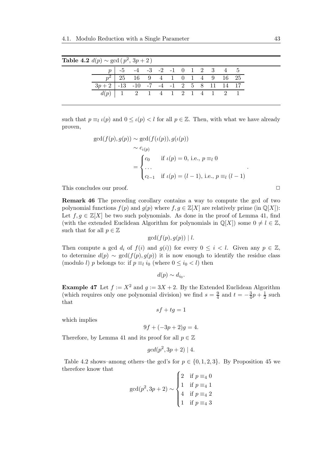| <b>Table 4.2</b> $d(p) \sim \gcd(p^2, 3p + 2)$ |                                                  |                                          |                                      |  |  |  |  |  |
|------------------------------------------------|--------------------------------------------------|------------------------------------------|--------------------------------------|--|--|--|--|--|
|                                                |                                                  |                                          | $-5$ $-4$ $-3$ $-2$ $-1$ 0 1 2 3 4 5 |  |  |  |  |  |
|                                                |                                                  | $\boxed{p^2$   25 16 9 4 1 0 1 4 9 16 25 |                                      |  |  |  |  |  |
|                                                | $3p+2$ $-13$ $-10$ $-7$ $-4$ $-1$ 2 5 8 11 14 17 |                                          |                                      |  |  |  |  |  |
|                                                |                                                  |                                          |                                      |  |  |  |  |  |

such that  $p \equiv_l \iota(p)$  and  $0 \leq \iota(p) < l$  for all  $p \in \mathbb{Z}$ . Then, with what we have already proven,

$$
\gcd(f(p), g(p)) \sim \gcd(f(\iota(p)), g(\iota(p))
$$
  
\n
$$
\sim c_{\iota(p)}
$$
  
\n
$$
= \begin{cases} c_0 & \text{if } \iota(p) = 0, \text{ i.e., } p \equiv_l 0 \\ \dots \\ c_{l-1} & \text{if } \iota(p) = (l-1), \text{ i.e., } p \equiv_l (l-1) \end{cases}.
$$

This concludes our proof.  $\Box$ 

Remark 46 The preceding corollary contains a way to compute the gcd of two polynomial functions  $f(p)$  and  $g(p)$  where  $f, g \in \mathbb{Z}[X]$  are relatively prime (in  $\mathbb{Q}[X]$ ): Let  $f, g \in \mathbb{Z}[X]$  be two such polynomials. As done in the proof of Lemma 41, find (with the extended Euclidean Algorithm for polynomials in  $\mathbb{Q}[X]$ ) some  $0 \neq l \in \mathbb{Z}$ , such that for all  $p \in \mathbb{Z}$ 

$$
\gcd(f(p), g(p)) \mid l.
$$

Then compute a gcd  $d_i$  of  $f(i)$  and  $g(i)$  for every  $0 \leq i \leq l$ . Given any  $p \in \mathbb{Z}$ , to determine  $d(p) \sim \gcd(f(p), g(p))$  it is now enough to identify the residue class (modulo l) p belongs to: if  $p \equiv_l i_0$  (where  $0 \le i_0 < l$ ) then

$$
d(p) \sim d_{i_0}.
$$

**Example 47** Let  $f := X^2$  and  $g := 3X + 2$ . By the Extended Euclidean Algorithm (which requires only one polynomial division) we find  $s = \frac{9}{4}$  $\frac{9}{4}$  and  $t = -\frac{3}{4}$  $\frac{3}{4}p + \frac{1}{2}$  $rac{1}{2}$  such that

$$
sf+tg=1
$$

which implies

 $9f + (-3p + 2)q = 4.$ 

Therefore, by Lemma 41 and its proof for all  $p \in \mathbb{Z}$ 

$$
gcd(p^2, 3p + 2) | 4.
$$

Table 4.2 shows–among others–the gcd's for  $p \in \{0, 1, 2, 3\}$ . By Proposition 45 we therefore know that

$$
\gcd(p^2, 3p + 2) \sim \begin{cases} 2 & \text{if } p \equiv_4 0 \\ 1 & \text{if } p \equiv_4 1 \\ 4 & \text{if } p \equiv_4 2 \\ 1 & \text{if } p \equiv_4 3 \end{cases}
$$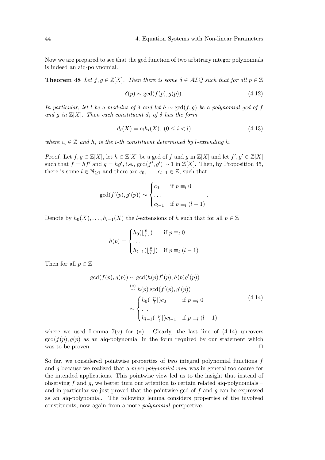Now we are prepared to see that the gcd function of two arbitrary integer polynomials is indeed an aiq-polynomial.

**Theorem 48** Let  $f, g \in \mathbb{Z}[X]$ . Then there is some  $\delta \in \mathcal{AIQ}$  such that for all  $p \in \mathbb{Z}$ 

$$
\delta(p) \sim \gcd(f(p), g(p)).\tag{4.12}
$$

In particular, let l be a modulus of  $\delta$  and let  $h \sim \gcd(f, g)$  be a polynomial gcd of f and g in  $\mathbb{Z}[X]$ . Then each constituent  $d_i$  of  $\delta$  has the form

$$
d_i(X) = c_i h_i(X), \ (0 \le i < l) \tag{4.13}
$$

where  $c_i \in \mathbb{Z}$  and  $h_i$  is the *i*-th constituent determined by *l*-extending *h*.

Proof. Let  $f, g \in \mathbb{Z}[X]$ , let  $h \in \mathbb{Z}[X]$  be a gcd of f and g in  $\mathbb{Z}[X]$  and let  $f', g' \in \mathbb{Z}[X]$ such that  $f = hf'$  and  $g = hg'$ , i.e.,  $gcd(f', g') \sim 1$  in  $\mathbb{Z}[X]$ . Then, by Proposition 45, there is some  $l \in \mathbb{N}_{\geq 1}$  and there are  $c_0, \ldots, c_{l-1} \in \mathbb{Z}$ , such that

$$
\gcd(f'(p), g'(p)) \sim \begin{cases} c_0 & \text{if } p \equiv_l 0 \\ \dots & \\ c_{l-1} & \text{if } p \equiv_l (l-1) \end{cases}.
$$

Denote by  $h_0(X), \ldots, h_{l-1}(X)$  the l-extensions of h such that for all  $p \in \mathbb{Z}$ 

$$
h(p) = \begin{cases} h_0(\lfloor \frac{p}{l} \rfloor) & \text{if } p \equiv_l 0 \\ \dots \\ h_{l-1}(\lfloor \frac{p}{l} \rfloor) & \text{if } p \equiv_l (l-1) \end{cases}
$$

Then for all  $p \in \mathbb{Z}$ 

$$
\gcd(f(p), g(p)) \sim \gcd(h(p)f'(p), h(p)g'(p))
$$
  
\n
$$
\stackrel{(*)}{\sim} h(p) \gcd(f'(p), g'(p))
$$
  
\n
$$
\sim \begin{cases} h_0(\lfloor \frac{p}{l} \rfloor)c_0 & \text{if } p \equiv_l 0 \\ \cdots \\ h_{l-1}(\lfloor \frac{p}{l} \rfloor)c_{l-1} & \text{if } p \equiv_l (l-1) \end{cases}
$$
\n
$$
(4.14)
$$

where we used Lemma  $7(v)$  for (\*). Clearly, the last line of  $(4.14)$  uncovers  $gcd(f(p), g(p))$  as an aiq-polynomial in the form required by our statement which was to be proven.  $\Box$ 

So far, we considered pointwise properties of two integral polynomial functions  $f$ and g because we realized that a mere polynomial view was in general too coarse for the intended applications. This pointwise view led us to the insight that instead of observing f and q, we better turn our attention to certain related aiq-polynomials – and in particular we just proved that the pointwise gcd of  $f$  and  $g$  can be expressed as an aiq-polynomial. The following lemma considers properties of the involved constituents, now again from a more polynomial perspective.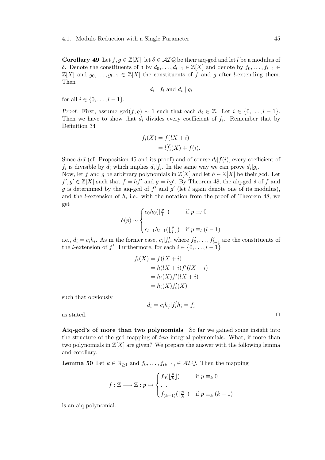**Corollary 49** Let  $f, g \in \mathbb{Z}[X]$ , let  $\delta \in \mathcal{AIQ}$  be their aiq-gcd and let l be a modulus of δ. Denote the constituents of δ by  $d_0, \ldots, d_{l-1} \in \mathbb{Z}[X]$  and denote by  $f_0, \ldots, f_{l-1} \in$  $\mathbb{Z}[X]$  and  $g_0, \ldots, g_{l-1} \in \mathbb{Z}[X]$  the constituents of f and g after l-extending them. Then

$$
d_i | f_i \text{ and } d_i | g_i
$$

for all  $i \in \{0, \ldots, l-1\}$ .

*Proof.* First, assume  $gcd(f, g) \sim 1$  such that each  $d_i \in \mathbb{Z}$ . Let  $i \in \{0, \ldots, l-1\}$ . Then we have to show that  $d_i$  divides every coefficient of  $f_i$ . Remember that by Definition 34

$$
f_i(X) = f(lX + i)
$$
  
=  $l\hat{f}_i(X) + f(i)$ .

Since  $d_i | l$  (cf. Proposition 45 and its proof) and of course  $d_i | f(i)$ , every coefficient of  $f_i$  is divisible by  $d_i$  which implies  $d_i | f_i$ . In the same way we can prove  $d_i | g_i$ .

Now, let f and g be arbitrary polynomials in  $\mathbb{Z}[X]$  and let  $h \in \mathbb{Z}[X]$  be their gcd. Let  $f', g' \in \mathbb{Z}[X]$  such that  $f = hf'$  and  $g = hg'$ . By Theorem 48, the aiq-gcd  $\delta$  of f and g is determined by the aiq-gcd of  $f'$  and  $g'$  (let l again denote one of its modulus), and the *l*-extension of  $h$ , i.e., with the notation from the proof of Theorem 48, we get

$$
\delta(p) \sim \begin{cases} c_0 h_0(\lfloor \frac{p}{l} \rfloor) & \text{if } p \equiv_l 0 \\ \dots \\ c_{l-1} h_{l-1}(\lfloor \frac{p}{l} \rfloor) & \text{if } p \equiv_l (l-1) \end{cases}
$$

i.e.,  $d_i = c_i h_i$ . As in the former case,  $c_i | f'_i$ , where  $f'_0, \ldots, f'_{l-1}$  are the constituents of the *l*-extension of  $f'$ . Furthermore, for each  $i \in \{0, \ldots, l-1\}$ 

$$
f_i(X) = f(lX + i)
$$
  
=  $h(lX + i) f'(lX + i)$   
=  $h_i(X) f'(lX + i)$   
=  $h_i(X) f'_i(X)$ 

such that obviously

 $d_i = c_i h_j | f'_i h_i = f_i$ 

as stated.  $\Box$ 

Aiq-gcd's of more than two polynomials So far we gained some insight into the structure of the gcd mapping of two integral polynomials. What, if more than two polynomials in  $\mathbb{Z}[X]$  are given? We prepare the answer with the following lemma and corollary.

**Lemma 50** Let  $k \in \mathbb{N}_{\geq 1}$  and  $f_0, \ldots, f_{(k-1)} \in \mathcal{AIQ}$ . Then the mapping

$$
f: \mathbb{Z} \longrightarrow \mathbb{Z} : p \mapsto \begin{cases} f_0(\lfloor \frac{p}{k} \rfloor) & \text{if } p \equiv_k 0 \\ \dots \\ f_{(k-1)}(\lfloor \frac{p}{k} \rfloor) & \text{if } p \equiv_k (k-1) \end{cases}
$$

is an aiq-polynomial.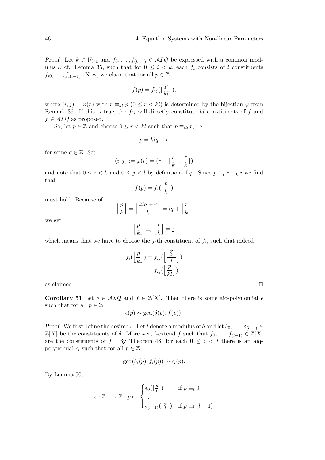Proof. Let  $k \in \mathbb{N}_{\geq 1}$  and  $f_0, \ldots, f_{(k-1)} \in \mathcal{AIQ}$  be expressed with a common modulus l, cf. Lemma 35, such that for  $0 \leq i \leq k$ , each  $f_i$  consists of l constituents  $f_{i0}, \ldots, f_{i(l-1)}$ . Now, we claim that for all  $p \in \mathbb{Z}$ 

$$
f(p) = f_{ij}(\lfloor \frac{p}{kl} \rfloor),
$$

where  $(i, j) = \varphi(r)$  with  $r \equiv_{kl} p$   $(0 \leq r < kl)$  is determined by the bijection  $\varphi$  from Remark 36. If this is true, the  $f_{ij}$  will directly constitute kl constituents of f and  $f \in \mathcal{AIQ}$  as proposed.

So, let  $p \in \mathbb{Z}$  and choose  $0 \leq r < kl$  such that  $p \equiv_{lk} r$ , i.e.,

$$
p = klq + r
$$

for some  $q \in \mathbb{Z}$ . Set

$$
(i,j) := \varphi(r) = (r - \lfloor \frac{r}{k} \rfloor, \lfloor \frac{r}{k} \rfloor)
$$

and note that  $0 \le i < k$  and  $0 \le j < l$  by definition of  $\varphi$ . Since  $p \equiv_l r \equiv_k i$  we find that

$$
f(p) = f_i(\lfloor \frac{p}{k} \rfloor)
$$

must hold. Because of

$$
\left\lfloor \frac{p}{k} \right\rfloor = \left\lfloor \frac{klq+r}{k} \right\rfloor = lq + \left\lfloor \frac{r}{k} \right\rfloor
$$

we get

$$
\left\lfloor \frac{p}{k} \right\rfloor \equiv_l \left\lfloor \frac{r}{k} \right\rfloor = j
$$

which means that we have to choose the  $j$ -th constituent of  $f_i$ , such that indeed

$$
f_i\left(\left\lfloor \frac{p}{k} \right\rfloor\right) = f_{ij}\left(\left\lfloor \frac{\left\lfloor \frac{p}{k} \right\rfloor}{l} \right\rfloor\right) \\
= f_{ij}\left(\left\lfloor \frac{p}{kl} \right\rfloor\right)
$$

as claimed.  $\Box$ 

Corollary 51 Let  $\delta \in \mathcal{AIQ}$  and  $f \in \mathbb{Z}[X]$ . Then there is some aiq-polynomial  $\epsilon$ such that for all  $p \in \mathbb{Z}$ 

$$
\epsilon(p) \sim \gcd(\delta(p), f(p)).
$$

Proof. We first define the desired  $\epsilon$ . Let l denote a modulus of  $\delta$  and let  $\delta_0, \ldots, \delta_{(l-1)} \in$  $\mathbb{Z}[X]$  be the constituents of  $\delta$ . Moreover, *l*-extend f such that  $f_0, \ldots, f_{(l-1)} \in \mathbb{Z}[X]$ are the constituents of f. By Theorem 48, for each  $0 \leq i \leq l$  there is an aiqpolynomial  $\epsilon_i$  such that for all  $p \in \mathbb{Z}$ 

$$
\gcd(\delta_i(p), f_i(p)) \sim \epsilon_i(p).
$$

By Lemma 50,

$$
\epsilon : \mathbb{Z} \longrightarrow \mathbb{Z} : p \mapsto \begin{cases} \epsilon_0(\lfloor \frac{p}{l} \rfloor) & \text{if } p \equiv_l 0 \\ \dots \\ \epsilon_{(l-1)}(\lfloor \frac{p}{l} \rfloor) & \text{if } p \equiv_l (l-1) \end{cases}
$$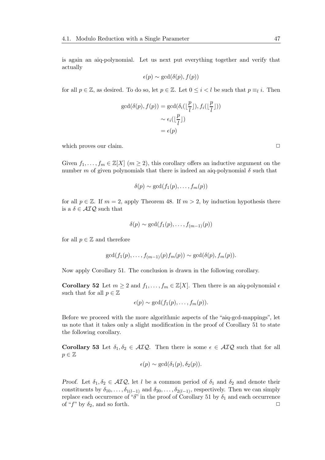is again an aiq-polynomial. Let us next put everything together and verify that actually

$$
\epsilon(p) \sim \gcd(\delta(p), f(p))
$$

for all  $p \in \mathbb{Z}$ , as desired. To do so, let  $p \in \mathbb{Z}$ . Let  $0 \leq i < l$  be such that  $p \equiv_l i$ . Then

$$
\gcd(\delta(p), f(p)) = \gcd(\delta_i(\lfloor \frac{p}{l} \rfloor), f_i(\lfloor \frac{p}{l} \rfloor))
$$

$$
\sim \epsilon_i(\lfloor \frac{p}{l} \rfloor)
$$

$$
= \epsilon(p)
$$

which proves our claim.  $\Box$ 

Given  $f_1, \ldots, f_m \in \mathbb{Z}[X]$   $(m \geq 2)$ , this corollary offers an inductive argument on the number m of given polynomials that there is indeed an aig-polynomial  $\delta$  such that

$$
\delta(p) \sim \gcd(f_1(p), \ldots, f_m(p))
$$

for all  $p \in \mathbb{Z}$ . If  $m = 2$ , apply Theorem 48. If  $m > 2$ , by induction hypothesis there is a  $\delta \in \mathcal{AIQ}$  such that

$$
\delta(p) \sim \gcd(f_1(p), \ldots, f_{(m-1)}(p))
$$

for all  $p \in \mathbb{Z}$  and therefore

$$
\gcd(f_1(p),\ldots,f_{(m-1)}(p)f_m(p))\sim \gcd(\delta(p),f_m(p)).
$$

Now apply Corollary 51. The conclusion is drawn in the following corollary.

Corollary 52 Let  $m \geq 2$  and  $f_1, \ldots, f_m \in \mathbb{Z}[X]$ . Then there is an aiq-polynomial  $\epsilon$ such that for all  $p \in \mathbb{Z}$ 

$$
\epsilon(p) \sim \gcd(f_1(p), \ldots, f_m(p)).
$$

Before we proceed with the more algorithmic aspects of the "aiq-gcd-mappings", let us note that it takes only a slight modification in the proof of Corollary 51 to state the following corollary.

Corollary 53 Let  $\delta_1, \delta_2 \in \mathcal{AIQ}$ . Then there is some  $\epsilon \in \mathcal{AIQ}$  such that for all  $p \in \mathbb{Z}$ 

$$
\epsilon(p) \sim \gcd(\delta_1(p), \delta_2(p)).
$$

Proof. Let  $\delta_1, \delta_2 \in \mathcal{AIQ}$ , let l be a common period of  $\delta_1$  and  $\delta_2$  and denote their constituents by  $\delta_{10}, \ldots, \delta_{1(l-1)}$  and  $\delta_{20}, \ldots, \delta_{2(l-1)}$ , respectively. Then we can simply replace each occurrence of " $\delta$ " in the proof of Corollary 51 by  $\delta_1$  and each occurrence of "f" by  $\delta_2$ , and so forth.  $\Box$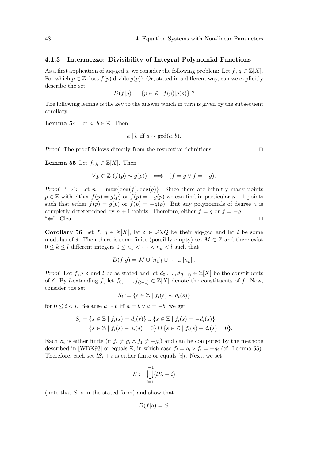#### 4.1.3 Intermezzo: Divisibility of Integral Polynomial Functions

As a first application of aiq-gcd's, we consider the following problem: Let  $f, g \in \mathbb{Z}[X]$ . For which  $p \in \mathbb{Z}$  does  $f(p)$  divide  $g(p)$ ? Or, stated in a different way, can we explicitly describe the set

$$
D(f|g) := \{ p \in \mathbb{Z} \mid f(p)|g(p) \} ?
$$

The following lemma is the key to the answer which in turn is given by the subsequent corollary.

**Lemma 54** Let  $a, b \in \mathbb{Z}$ . Then

$$
a \mid b
$$
 iff  $a \sim \gcd(a, b)$ .

Proof. The proof follows directly from the respective definitions.  $\Box$ 

**Lemma 55** Let  $f, g \in \mathbb{Z}[X]$ . Then

$$
\forall p \in \mathbb{Z} \ (f(p) \sim g(p)) \iff (f = g \lor f = -g).
$$

Proof. " $\Rightarrow$ ": Let  $n = \max{\deg(f), \deg(g)}$ . Since there are infinitly many points  $p \in \mathbb{Z}$  with either  $f(p) = g(p)$  or  $f(p) = -g(p)$  we can find in particular  $n+1$  points such that either  $f(p) = g(p)$  or  $f(p) = -g(p)$ . But any polynomials of degree *n* is completly detetermined by  $n + 1$  points. Therefore, either  $f = g$  or  $f = -g$ .  $\stackrel{\text{{\tiny def}}}{\leftarrow}$  : Clear.

Corollary 56 Let  $f, g \in \mathbb{Z}[X]$ , let  $\delta \in \mathcal{AIQ}$  be their aiq-gcd and let l be some modulus of  $\delta$ . Then there is some finite (possibly empty) set  $M \subset \mathbb{Z}$  and there exist  $0 \leq k \leq l$  different integers  $0 \leq n_1 < \cdots < n_k < l$  such that

$$
D(f|g) = M \cup [n_1]_l \cup \cdots \cup [n_k]_l.
$$

Proof. Let f, g,  $\delta$  and l be as stated and let  $d_0 \ldots, d_{(l-1)} \in \mathbb{Z}[X]$  be the constituents of  $\delta$ . By l-extending f, let  $f_0, \ldots, f_{(l-1)} \in \mathbb{Z}[X]$  denote the constituents of f. Now, consider the set

$$
S_i := \{ s \in \mathbb{Z} \mid f_i(s) \sim d_i(s) \}
$$

for  $0 \leq i \leq l$ . Because  $a \sim b$  iff  $a = b \vee a = -b$ , we get

$$
S_i = \{ s \in \mathbb{Z} \mid f_i(s) = d_i(s) \} \cup \{ s \in \mathbb{Z} \mid f_i(s) = -d_i(s) \}
$$
  
= 
$$
\{ s \in \mathbb{Z} \mid f_i(s) - d_i(s) = 0 \} \cup \{ s \in \mathbb{Z} \mid f_i(s) + d_i(s) = 0 \}.
$$

Each  $S_i$  is either finite (if  $f_i \neq g_i \wedge f_1 \neq -g_i$ ) and can be computed by the methods described in [WBK93] or equals  $\mathbb{Z}$ , in which case  $f_i = g_i \vee f_i = -g_i$  (cf. Lemma 55). Therefore, each set  $lS_i + i$  is either finite or equals  $[i]_l$ . Next, we set

$$
S := \bigcup_{i=1}^{l-1} (lS_i + i)
$$

(note that  $S$  is in the stated form) and show that

$$
D(f|g) = S.
$$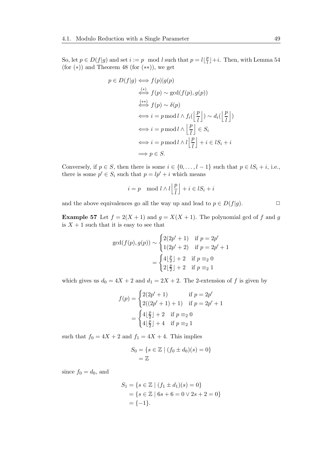So, let  $p \in D(f|g)$  and set  $i := p \mod l$  such that  $p = l\left\lfloor \frac{p}{l}\right\rfloor$  $\lceil \frac{p}{l} \rceil + i$ . Then, with Lemma 54 (for  $(*)$ ) and Theorem 48 (for  $(**)$ ), we get

$$
p \in D(f|g) \iff f(p)|g(p)
$$
  
\n
$$
\stackrel{(*)}{\iff} f(p) \sim \gcd(f(p), g(p))
$$
  
\n
$$
\stackrel{(**)}{\iff} f(p) \sim \delta(p)
$$
  
\n
$$
\iff i = p \mod l \land f_i\left(\left\lfloor \frac{p}{l} \right\rfloor\right) \sim d_i\left(\left\lfloor \frac{p}{l} \right\rfloor\right)
$$
  
\n
$$
\iff i = p \mod l \land \left\lfloor \frac{p}{l} \right\rfloor \in S_i
$$
  
\n
$$
\iff i = p \mod l \land l\left\lfloor \frac{p}{l} \right\rfloor + i \in lS_i + i
$$
  
\n
$$
\implies p \in S.
$$

Conversely, if  $p \in S$ , then there is some  $i \in \{0, \ldots, l-1\}$  such that  $p \in IS_i + i$ , i.e., there is some  $p' \in S_i$  such that  $p = lp' + i$  which means

$$
i = p \mod l \wedge l \left\lfloor \frac{p}{l} \right\rfloor + i \in lS_i + i
$$

and the above equivalences go all the way up and lead to  $p \in D(f|g)$ .

 $\overline{a}$ 

**Example 57** Let  $f = 2(X + 1)$  and  $g = X(X + 1)$ . The polynomial gcd of f and g is  $X + 1$  such that it is easy to see that

$$
\gcd(f(p), g(p)) \sim \begin{cases} 2(2p' + 1) & \text{if } p = 2p' \\ 1(2p' + 2) & \text{if } p = 2p' + 1 \end{cases}
$$

$$
= \begin{cases} 4\lfloor \frac{p}{2} \rfloor + 2 & \text{if } p \equiv_2 0 \\ 2\lfloor \frac{p}{2} \rfloor + 2 & \text{if } p \equiv_2 1 \end{cases}
$$

which gives us  $d_0 = 4X + 2$  and  $d_1 = 2X + 2$ . The 2-extension of f is given by

$$
f(p) = \begin{cases} 2(2p' + 1) & \text{if } p = 2p' \\ 2((2p' + 1) + 1) & \text{if } p = 2p' + 1 \end{cases}
$$

$$
= \begin{cases} 4\lfloor \frac{p}{2} \rfloor + 2 & \text{if } p \equiv_2 0 \\ 4\lfloor \frac{p}{2} \rfloor + 4 & \text{if } p \equiv_2 1 \end{cases}
$$

such that  $f_0 = 4X + 2$  and  $f_1 = 4X + 4$ . This implies

$$
S_0 = \{ s \in \mathbb{Z} \mid (f_0 \pm d_0)(s) = 0 \}
$$
  
=  $\mathbb{Z}$ 

since  $f_0 = d_0$ , and

$$
S_1 = \{ s \in \mathbb{Z} \mid (f_1 \pm d_1)(s) = 0 \}
$$
  
= \{ s \in \mathbb{Z} \mid 6s + 6 = 0 \lor 2s + 2 = 0 \}  
= \{-1\}.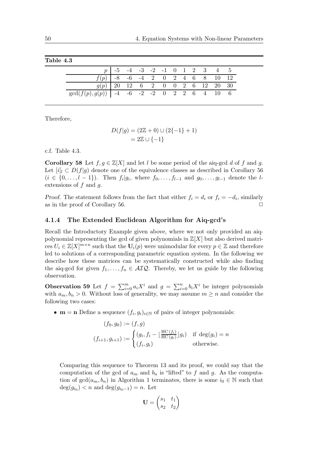|                                                      |  |  |  |  | $p$ $-5$ $-4$ $-3$ $-2$ $-1$ 0 1 2 3 4 5 |  |
|------------------------------------------------------|--|--|--|--|------------------------------------------|--|
| $f(p)$ -8 -6 -4 2 0 2 4 6 8 10 12                    |  |  |  |  |                                          |  |
| $g(p)$ 20 12 6 2 0 0 2 6 12 20 30                    |  |  |  |  |                                          |  |
| $gcd(f(p), g(p))$ $-4$ $-6$ $-2$ $-2$ 0 2 2 6 4 10 6 |  |  |  |  |                                          |  |

Table 4.3

Therefore,

$$
D(f|g) = (2\mathbb{Z} + 0) \cup (2\{-1\} + 1) = 2\mathbb{Z} \cup \{-1\}
$$

c.f. Table 4.3.

**Corollary 58** Let  $f, g \in \mathbb{Z}[X]$  and let l be some period of the aiq-gcd d of f and g. Let  $[i]_l \subset D(f|q)$  denote one of the equivalence classes as described in Corollary 56  $(i \in \{0, \ldots, l-1\})$ . Then  $f_i|g_i$ , where  $f_0, \ldots, f_{l-1}$  and  $g_0, \ldots, g_{l-1}$  denote the lextensions of  $f$  and  $g$ .

Proof. The statement follows from the fact that either  $f_i = d_i$  or  $f_i = -d_i$ , similarly as in the proof of Corollary 56.  $\Box$ 

### 4.1.4 The Extended Euclidean Algorithm for Aiq-gcd's

Recall the Introductory Example given above, where we not only provided an aiqpolynomial representing the gcd of given polynomials in  $\mathbb{Z}[X]$  but also derived matrices  $U_i \in \mathbb{Z}[X]^{m \times n}$  such that the  $\mathbf{U}_i(p)$  were unimodular for every  $p \in \mathbb{Z}$  and therefore led to solutions of a corresponding parametric equation system. In the following we describe how these matrices can be systematically constructed while also finding the aiq-gcd for given  $f_1, \ldots, f_n \in \mathcal{AIQ}$ . Thereby, we let us guide by the following observation.

**Observation 59** Let  $f = \sum_{i=0}^{m} a_i X^i$  and  $g = \sum_{i=0}^{n} b_i X^i$  be integer polynomials with  $a_m, b_n > 0$ . Without loss of generality, we may assume  $m \geq n$  and consider the following two cases:

•  $\mathbf{m} = \mathbf{n}$  Define a sequence  $(f_i, g_i)_{i \in \mathbb{N}}$  of pairs of integer polynomials:

$$
(f_0, g_0) := (f, g)
$$
  

$$
(f_{i+1}, g_{i+1}) := \begin{cases} (g_i, f_i - \lfloor \frac{\text{HC}(f_i)}{\text{HC}(g_i)} \rfloor g_i) & \text{if } \deg(g_i) = n \\ (f_i, g_i) & \text{otherwise.} \end{cases}
$$

Comparing this sequence to Theorem 13 and its proof, we could say that the computation of the gcd of  $a_m$  and  $b_n$  is "lifted" to f and g. As the computation of  $gcd(a_m, b_n)$  in Algorithm 1 terminates, there is some  $i_0 \in \mathbb{N}$  such that  $deg(g_{i_0}) < n$  and  $deg(g_{i_0-1}) = n$ . Let

$$
\mathbf{U} = \begin{pmatrix} s_1 & t_1 \\ s_2 & t_2 \end{pmatrix}
$$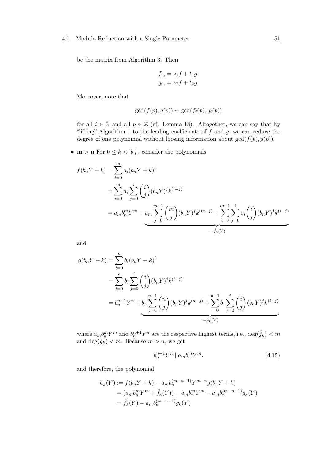be the matrix from Algorithm 3. Then

$$
f_{i_0} = s_1 f + t_1 g
$$
  

$$
g_{i_0} = s_2 f + t_2 g.
$$

Moreover, note that

$$
\gcd(f(p), g(p)) \sim \gcd(f_i(p), g_i(p))
$$

for all  $i \in \mathbb{N}$  and all  $p \in \mathbb{Z}$  (cf. Lemma 18). Altogether, we can say that by "lifting" Algorithm 1 to the leading coefficients of  $f$  and  $g$ , we can reduce the degree of one polynomial without loosing information about  $gcd(f(p), g(p))$ .

•  $m > n$  For  $0 \leq k < |b_n|$ , consider the polynomials

$$
f(b_n Y + k) = \sum_{i=0}^{m} a_i (b_n Y + k)^i
$$
  
= 
$$
\sum_{i=0}^{m} a_i \sum_{j=0}^{i} {i \choose j} (b_n Y)^j k^{(i-j)}
$$
  
= 
$$
a_m b_n^m Y^m + a_m \sum_{j=0}^{m-1} {m \choose j} (b_n Y)^j k^{(m-j)} + \sum_{i=0}^{m-1} \sum_{j=0}^{i} a_i {i \choose j} (b_n Y)^j k^{(i-j)}
$$
  
= 
$$
\sum_{i=\hat{f}_k(Y)}^{i} f(\hat{f}_k)
$$

and

$$
g(b_n Y + k) = \sum_{i=0}^{n} b_i (b_n Y + k)^i
$$
  
= 
$$
\sum_{i=0}^{n} b_i \sum_{j=0}^{i} {i \choose j} (b_n Y)^j k^{(i-j)}
$$
  
= 
$$
b_n^{n+1} Y^n + b_n \sum_{j=0}^{n-1} {n \choose j} (b_n Y)^j k^{(n-j)} + \sum_{i=0}^{n-1} b_i \sum_{j=0}^{i} {i \choose j} (b_n Y)^j k^{(i-j)}
$$
  
:= 
$$
\underbrace{\qquad \qquad }_{\mathbf{i} = \mathbf{0}} \mathbf{y}(\mathbf{x})
$$

where  $a_m b_n^m Y^m$  and  $b_n^{n+1} Y^n$  are the respective highest terms, i.e.,  $\deg(\hat{f}_k) < m$ and  $\deg(\hat{g}_k)$  < m. Because  $m > n$ , we get

$$
b_n^{n+1}Y^n \mid a_mb_n^mY^m. \tag{4.15}
$$

and therefore, the polynomial

$$
h_k(Y) := f(b_nY + k) - a_mb_n^{(m-n-1)}Y^{m-n}g(b_nY + k)
$$
  
=  $(a_mb_n^mY^m + \hat{f}_k(Y)) - a_mb_n^mY^m - a_mb_n^{(m-n-1)}\hat{g}_k(Y)$   
=  $\hat{f}_k(Y) - a_mb_n^{(m-n-1)}\hat{g}_k(Y)$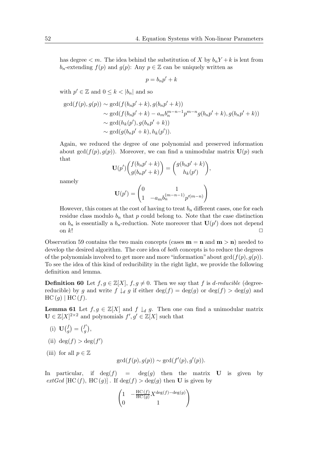has degree  $\lt m$ . The idea behind the substitution of X by  $b_n Y + k$  is lent from  $b_n$ -extending  $f(p)$  and  $g(p)$ : Any  $p \in \mathbb{Z}$  can be uniquely written as

$$
p = b_n p' + k
$$

with  $p' \in \mathbb{Z}$  and  $0 \leq k < |b_n|$  and so

$$
gcd(f(p), g(p)) \sim gcd(f(b_n p' + k), g(b_n p' + k))
$$
  
\n
$$
\sim gcd(f(b_n p' + k) - a_m b_n^{m-n-1} p^{m-n} g(b_n p' + k), g(b_n p' + k))
$$
  
\n
$$
\sim gcd(h_k(p'), g(b_n p' + k))
$$
  
\n
$$
\sim gcd(g(b_n p' + k), h_k(p')).
$$

Again, we reduced the degree of one polynomial and preserved information about gcd( $f(p)$ ,  $g(p)$ ). Moreover, we can find a unimodular matrix  $\mathbf{U}(p)$  such that

$$
\mathbf{U}(p')\begin{pmatrix}f(b_np'+k)\\g(b_np'+k)\end{pmatrix} = \begin{pmatrix}g(b_np'+k)\\h_k(p')\end{pmatrix},\,
$$

namely

$$
\mathbf{U}(p')=\begin{pmatrix}0&1\\1&-a_mb_n^{(m-n-1)}p'^{(m-n)}\end{pmatrix}
$$

However, this comes at the cost of having to treat  $b_n$  different cases, one for each residue class modulo  $b_n$  that p could belong to. Note that the case distinction on  $b_n$  is essentially a  $b_n$ -reduction. Note moreover that  $\mathbf{U}(p')$  does not depend on  $k!$ 

Observation 59 contains the two main concepts (cases  $m = n$  and  $m > n$ ) needed to develop the desired algorithm. The core idea of *both* concepts is to reduce the degrees of the polynomials involved to get more and more "information" about  $gcd(f(p), g(p))$ . To see the idea of this kind of reducibility in the right light, we provide the following definition and lemma.

**Definition 60** Let  $f, g \in \mathbb{Z}[X]$ ,  $f, g \neq 0$ . Then we say that f is d-reducible (degreereducible) by g and write  $f \downarrow_d g$  if either  $\deg(f) = \deg(g)$  or  $\deg(f) > \deg(g)$  and  $HC(g) | HC(f).$ 

**Lemma 61** Let  $f, g \in \mathbb{Z}[X]$  and  $f \downarrow_d g$ . Then one can find a unimodular matrix  $\mathbf{U} \in \mathbb{Z}[X]^{2\times 2}$  and polynomials  $f', g' \in \mathbb{Z}[X]$  such that

- (i)  $\mathbf{U}(\begin{matrix}f\\a\end{matrix})$  $\binom{f}{g} = \binom{f'}{g}$  $f_{g}^{\prime}\big),$
- (ii)  $\deg(f) > \deg(f')$
- (iii) for all  $p \in \mathbb{Z}$

$$
\gcd(f(p), g(p)) \sim \gcd(f'(p), g'(p)).
$$

In particular, if  $deg(f) = deg(g)$  then the matrix **U** is given by  $extGcd$  [HC (f), HC (g)]. If  $\deg(f) > \deg(g)$  then **U** is given by

$$
\begin{pmatrix} 1 & -\frac{\text{HC}\,(f)}{\text{HC}\,(g)} X^{\deg(f) - \deg(g)} \\ 0 & 1 \end{pmatrix}
$$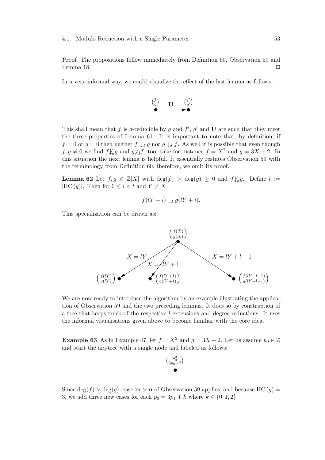Proof. The propositions follow immediately from Definition 60, Observation 59 and Lemma 18.  $\Box$ 

In a very informal way, we could visualize the effect of the last lemma as follows:



This shall mean that f is d-reducible by g and  $f'$ , g' and U are such that they meet the three properties of Lemma 61. It is important to note that, by definition, if  $f = 0$  or  $g = 0$  then neither  $f \downarrow_d g$  nor  $g \downarrow_d f$ . As well it is possible that even though  $f, g \neq 0$  we find  $f \not\downarrow_d g$  and  $g \not\downarrow_d f$ , too, take for instance  $f = X^2$  and  $g = 3X + 2$ . In this situation the next lemma is helpful. It essentially restates Observation 59 with the terminology from Definition 60, therefore, we omit its proof.

**Lemma 62** Let  $f, g \in \mathbb{Z}[X]$  with  $\deg(f) > \deg(g) \geq 0$  and  $f\mathcal{V}_d g$ . Define  $l :=$ |HC  $(g)$ |. Then for  $0 \leq i < l$  and  $Y \neq X$ 

$$
f(lY+i) \downarrow_d g(lY+i).
$$

This specialization can be drawn as:



We are now ready to introduce the algorithm by an example illustrating the application of Observation 59 and the two preceding lemmas. It does so by construction of a tree that keeps track of the respective l-extensions and degree-reductions. It uses the informal visualisations given above to become familiar with the core idea.

**Example 63** As in Example 47, let  $f = X^2$  and  $g = 3X + 2$ . Let us assume  $p_0 \in \mathbb{Z}$ and start the aiq-tree with a single node and labeled as follows:



Since deg(f)  $> deg(g)$ , case **m**  $>$  **n** of Observation 59 applies, and because HC (g) = 3, we add three new cases for each  $p_0 = 3p_1 + k$  where  $k \in \{0, 1, 2\}$ :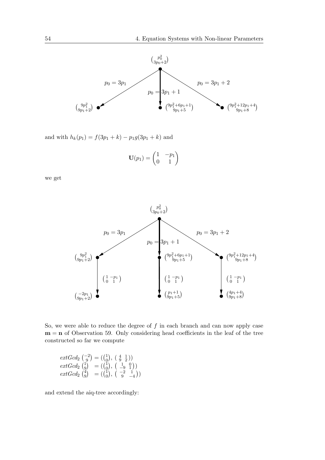

and with  $h_k(p_1) = f(3p_1 + k) - p_1g(3p_1 + k)$  and

$$
\mathbf{U}(p_1) = \begin{pmatrix} 1 & -p_1 \\ 0 & 1 \end{pmatrix}
$$

we get



So, we were able to reduce the degree of  $f$  in each branch and can now apply case  $m = n$  of Observation 59. Only considering head coefficients in the leaf of the tree constructed so far we compute

$$
extGcd2 \begin{pmatrix} -2 \\ 9 \end{pmatrix} = \begin{pmatrix} 1 \\ 0 \end{pmatrix}, \begin{pmatrix} 4 & 1 \\ 9 & 2 \end{pmatrix}) extGcd2 \begin{pmatrix} 1 \\ 0 \end{pmatrix} = \begin{pmatrix} 1 \\ 0 \end{pmatrix}, \begin{pmatrix} 1 & 0 \\ -9 & 1 \end{pmatrix}) extGcd2 \begin{pmatrix} 4 \\ 9 \end{pmatrix} = \begin{pmatrix} 1 \\ 0 \end{pmatrix}, \begin{pmatrix} -2 & 1 \\ 9 & -4 \end{pmatrix})
$$

and extend the aiq-tree accordingly: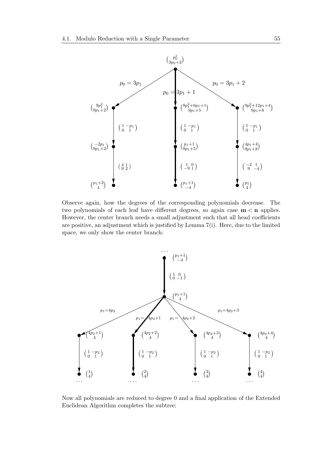

Observe again, how the degrees of the corresponding polynomials decrease. The two polynomials of each leaf have different degrees, so again case  $m < n$  applies. However, the center branch needs a small adjustment such that all head coefficients are positive, an adjustment which is justified by Lemma 7(i). Here, due to the limited space, we only show the center branch:

![](_page_62_Figure_3.jpeg)

Now all polynomials are reduced to degree 0 and a final application of the Extended Euclidean Algorithm completes the subtree: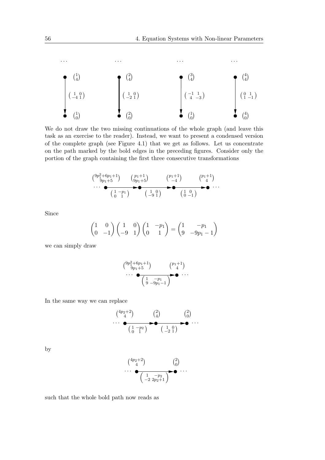![](_page_63_Figure_1.jpeg)

We do not draw the two missing continuations of the whole graph (and leave this task as an exercise to the reader). Instead, we want to present a condensed version of the complete graph (see Figure 4.1) that we get as follows. Let us concentrate on the path marked by the bold edges in the preceding figures. Consider only the portion of the graph containing the first three consecutive transformations

$$
\begin{pmatrix} 9p_1^2 + 6p_1 + 1 \ 9p_1 + 5 \end{pmatrix} \qquad \begin{pmatrix} p_1 + 1 \ 9p_1 + 5 \end{pmatrix} \qquad \begin{pmatrix} p_1 + 1 \ -4 \end{pmatrix} \qquad \begin{pmatrix} p_1 + 1 \ -4 \end{pmatrix} \cdots \qquad \begin{pmatrix} 1 & -p_1 \ 0 & 1 \end{pmatrix}
$$

Since

$$
\begin{pmatrix} 1 & 0 \ 0 & -1 \end{pmatrix} \begin{pmatrix} 1 & 0 \ -9 & 1 \end{pmatrix} \begin{pmatrix} 1 & -p_1 \ 0 & 1 \end{pmatrix} = \begin{pmatrix} 1 & -p_1 \ 9 & -9p_1 - 1 \end{pmatrix}
$$

we can simply draw

$$
\begin{pmatrix}9p_1^2+6p_1+1\\9p_1+5\end{pmatrix}\n\qquad\n\begin{pmatrix}p_1+1\\4\end{pmatrix}\n\cdots
$$
\n
$$
\begin{pmatrix}\n1 & -p_1 \\
9 & -9p_1-1\n\end{pmatrix}\n\qquad\n\begin{pmatrix}\n0 & -1\\1 & -1\end{pmatrix}
$$

In the same way we can replace

$$
\begin{array}{ccc}\n\binom{4p_2+2}{4} & \binom{2}{4} & \binom{2}{0} \\
\cdots & \bullet & \bullet & \bullet \\
\hline\n\binom{1-p_2}{0 & 1} & \binom{1 & 0}{-2 & 1}\n\end{array}
$$

by

$$
\begin{pmatrix}4p_2+2\\4\end{pmatrix}\n\begin{pmatrix}2\\0\end{pmatrix}\n\cdots
$$
\n
$$
\begin{pmatrix}\n1 & -p_2\\-2 & 2p_2+1\n\end{pmatrix}\n\begin{pmatrix}2\\0\end{pmatrix}\n\cdots
$$

such that the whole bold path now reads as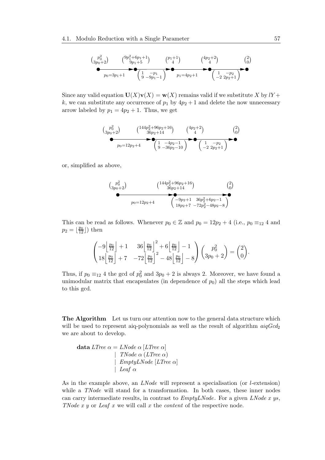$$
\begin{array}{cc}\n\left(\begin{array}{cc}p_0^2\\3p_0+2\end{array}\right) & \left(\begin{array}{c}9p_1^2+6p_1+1\\9p_1+5\end{array}\right) & \left(\begin{array}{c}p_1+1\\4\end{array}\right) & \left(\begin{array}{c}4p_2+2\\4\end{array}\right) & \left(\begin{array}{c}2\\0\end{array}\right) \\
\underbrace{\bullet}_{p_0=3p_1+1} & \left(\begin{array}{cc}1&-p_1\\9&-9p_1-1\end{array}\right) & \bullet \\
\underbrace{\bullet}_{p_1=q_2+1} & \left(\begin{array}{cc}1&-p_2\\-2&2p_2+1\end{array}\right) & \bullet\n\end{array}
$$

Since any valid equation  $U(X)v(X) = w(X)$  remains valid if we substitute X by  $lY + w(X)$ k, we can substitute any occurrence of  $p_1$  by  $4p_2 + 1$  and delete the now unnecessary arrow labeled by  $p_1 = 4p_2 + 1$ . Thus, we get

$$
\begin{array}{cc}\n\left(\begin{array}{cc}\np_0^2 \\
3p_0+2\n\end{array}\right) & \left(\begin{array}{cc}\n144p_2^2+96p_2+16 \\
36p_2+14\n\end{array}\right) & \left(\begin{array}{cc}\n4p_2+2 \\
4\n\end{array}\right) & \left(\begin{array}{cc}\n2 \\
0\n\end{array}\right) \\
p_0=12p_2+4 & \left(\begin{array}{cc}\n1 & -4p_2-1 \\
9 & -36p_2-10\n\end{array}\right) & \left(\begin{array}{cc}\n1 & -p_2 \\
-2 & 2p_2+1\n\end{array}\right) \\
\end{array}
$$

or, simplified as above,

 p 2 0 3p0+2 144p 2 <sup>2</sup>+96p2+16 36p2+14 <sup>p</sup>0=12p2+4 −9p2+1 36p 2 <sup>2</sup>+6p2−1 18p2+7 −72p 2 <sup>2</sup>−48p2−8 2 0 

This can be read as follows. Whenever  $p_0 \in \mathbb{Z}$  and  $p_0 = 12p_2 + 4$  (i.e.,  $p_0 \equiv_{12} 4$  and  $p_2 = \lfloor \frac{p_0}{12} \rfloor$ ) then

$$
\begin{pmatrix}\n-9\left\lfloor \frac{p_0}{12} \right\rfloor + 1 & 36\left\lfloor \frac{p_0}{12} \right\rfloor^2 + 6\left\lfloor \frac{p_0}{12} \right\rfloor - 1 \\
18\left\lfloor \frac{p_0}{12} \right\rfloor + 7 & -72\left\lfloor \frac{p_0}{12} \right\rfloor^2 - 48\left\lfloor \frac{p_0}{12} \right\rfloor - 8\n\end{pmatrix}\n\begin{pmatrix}\np_0^2 \\
3p_0 + 2\n\end{pmatrix} = \begin{pmatrix}\n2 \\
0\n\end{pmatrix}.
$$

Thus, if  $p_0 \equiv_{12} 4$  the gcd of  $p_0^2$  and  $3p_0 + 2$  is always 2. Moreover, we have found a unimodular matrix that encapsulates (in dependence of  $p_0$ ) all the steps which lead to this gcd.

The Algorithm Let us turn our attention now to the general data structure which will be used to represent aiq-polynomials as well as the result of algorithm  $aiqGcd_2$ we are about to develop.

$$
\begin{array}{ll}\textbf{data }LTree \; \alpha = \textit{LNode} \; \alpha \; [\textit{LTree} \; \alpha] \\ & | \ \ \, \textit{TNode} \; \alpha \; (\textit{LTree} \; \alpha) \\ & | \ \ \, \textit{Empty} \textit{LNode} \; [\textit{LTree} \; \alpha] \\ & | \ \ \, \textit{Leaf} \; \alpha \end{array}
$$

As in the example above, an LNode will represent a specialisation (or l-extension) while a TNode will stand for a transformation. In both cases, these inner nodes can carry intermediate results, in contrast to  $EmptyLNode$ . For a given  $LNode$  x ys, TNode x y or Leaf x we will call x the content of the respective node.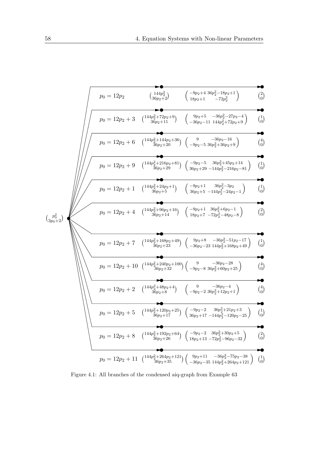$$
p_{0} = 12p_{2} + 3 \tbinom{144p_{2}^{2} + 14p_{2} + 13p_{2} + 1}{48p_{2} + 1} - 72p_{2}^{2} \tbinom{2}{0} \tbinom{2}{0} \tbinom{2}{18p_{2} + 1} - 72p_{2}^{2} + 1} \tbinom{2}{0} \tbinom{2}{0} \tbinom{2}{0} \tbinom{2}{0} \tbinom{2}{0} \tbinom{2}{0} \tbinom{2}{0} \tbinom{2}{0} \tbinom{2}{0} \tbinom{2}{0} \tbinom{2}{1} \tbinom{2}{1} \tbinom{2}{1} \tbinom{2}{1} \tbinom{2}{1} \tbinom{2}{1} \tbinom{2}{1} \tbinom{2}{1} \tbinom{2}{1} \tbinom{2}{1} \tbinom{2}{1} \tbinom{2}{1} \tbinom{2}{1} \tbinom{2}{1} \tbinom{2}{1} \tbinom{2}{1} \tbinom{2}{1} \tbinom{2}{1} \tbinom{2}{1} \tbinom{2}{1} \tbinom{2}{1} \tbinom{2}{1} \tbinom{2}{1} \tbinom{2}{1} \tbinom{2}{1} \tbinom{2}{1} \tbinom{2}{1} \tbinom{2}{1} \tbinom{2}{1} \tbinom{2}{1} \tbinom{2}{1} \tbinom{2}{1} \tbinom{2}{1} \tbinom{2}{1} \tbinom{2}{1} \tbinom{2}{1} \tbinom{2}{1} \tbinom{2}{1} \tbinom{2}{1} \tbinom{2}{1} \tbinom{2}{1} \tbinom{2}{1} \tbinom{2}{1} \tbinom{2}{1} \tbinom{2}{1} \tbinom{2}{1} \tbinom{2}{1} \tbinom{2}{1} \tbinom{2}{1} \tbinom{2}{1} \tbinom{2}{1} \tbinom{2}{1} \tbinom{2}{1} \tbinom{2}{1} \tbinom{2}{1} \tbinom{2}{1} \tbinom{2}{1} \tbinom{2}{1} \tbinom{2}{1} \tbinom{2}{1} \tbinom{2}{1
$$

Figure 4.1: All branches of the condensed aiq-graph from Example 63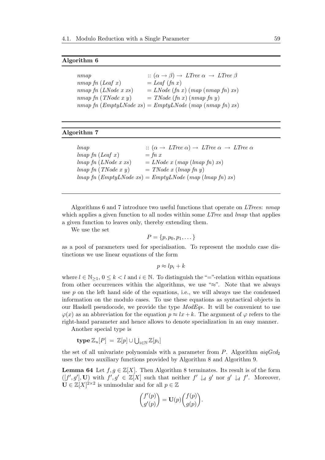#### Algorithm 6

| nmap                   | $\therefore (\alpha \rightarrow \beta) \rightarrow LTree \alpha \rightarrow LTree \beta$ |
|------------------------|------------------------------------------------------------------------------------------|
| $nmap$ fn (Leaf x)     | $=$ Leaf (fn x)                                                                          |
| $nmap$ fn (LNode x xs) | $= LNode(fn x) (map(nmapfn) xs)$                                                         |
| $nmap$ fn (TNode x y)  | $= TNode(fn x)(nmapfn y)$                                                                |
|                        | $nmap\ f n \ (EmptyLNode\ xs) = EmptyLNode\ (map\ (nmap\ f n)\ xs)$                      |

#### Algorithm 7

| lmap                                    | $\therefore (\alpha \rightarrow LTree \alpha) \rightarrow LTree \alpha \rightarrow LTree \alpha$                                                                                                                                                                                                                                                                                                                               |
|-----------------------------------------|--------------------------------------------------------------------------------------------------------------------------------------------------------------------------------------------------------------------------------------------------------------------------------------------------------------------------------------------------------------------------------------------------------------------------------|
| $\lim_{ap}$ fn (Leaf x)                 | $=$ fn x                                                                                                                                                                                                                                                                                                                                                                                                                       |
| $\{map\ f n \ (LNode\ x\ xs)\}$         | $= LNode \; x \; (map \; (lmap \; fn) \; xs)$                                                                                                                                                                                                                                                                                                                                                                                  |
| $\{map\ f n \ ( \textit{TNode} x y) \}$ | $= TNode\ x (lmap\ fn\ y)$                                                                                                                                                                                                                                                                                                                                                                                                     |
|                                         | $\langle \text{Im} \, \text{Im} \, \text{Im} \, \text{Im} \, \text{Im} \, \text{Im} \, \text{Im} \, \text{Im} \, \text{Im} \, \text{Im} \, \text{Im} \, \text{Im} \, \text{Im} \, \text{Im} \, \text{Im} \, \text{Im} \, \text{Im} \, \text{Im} \, \text{Im} \, \text{Im} \, \text{Im} \, \text{Im} \, \text{Im} \, \text{Im} \, \text{Im} \, \text{Im} \, \text{Im} \, \text{Im} \, \text{Im} \, \text{Im} \, \text{Im} \, \$ |

Algorithms 6 and 7 introduce two useful functions that operate on LTrees: nmap which applies a given function to all nodes within some *LTree* and *lmap* that applies a given function to leaves only, thereby extending them.

We use the set

$$
P = \{p, p_0, p_1, \dots\}
$$

as a pool of parameters used for specialisation. To represent the modulo case distinctions we use linear equations of the form

 $p \approx lp_i + k$ 

where  $l \in \mathbb{N}_{\geq 1}$ ,  $0 \leq k < l$  and  $i \in \mathbb{N}$ . To distinguish the "="-relation within equations from other occurrences within the algorithms, we use " $\approx$ ". Note that we always use  $p$  on the left hand side of the equations, i.e., we will always use the condensed information on the modulo cases. To use these equations as syntactical objects in our Haskell pseudocode, we provide the type ModEqs. It will be convenient to use  $\varphi(x)$  as an abbreviation for the equation  $p \approx l x + k$ . The argument of  $\varphi$  refers to the right-hand parameter and hence allows to denote specialization in an easy manner.

Another special type is

 $\operatorname{type}\, {\mathbb Z}_u[P] \ = \ {\mathbb Z}[p] \cup \bigcup_{i \in {\mathbb N}} {\mathbb Z}[p_i]$ 

the set of all univariate polynomials with a parameter from  $P$ . Algorithm  $aiqGcd_2$ uses the two auxiliary functions provided by Algorithm 8 and Algorithm 9.

**Lemma 64** Let  $f, g \in \mathbb{Z}[X]$ . Then Algorithm 8 terminates. Its result is of the form  $([f', g'], \mathbf{U})$  with  $f', g' \in \mathbb{Z}[X]$  such that neither  $f' \downarrow_d g'$  nor  $g' \downarrow_d f'$ . Moreover,  $\mathbf{U} \in \mathbb{Z}[X]^{2\times 2}$  is unimodular and for all  $p \in \mathbb{Z}$ 

$$
\begin{pmatrix} f'(p) \\ g'(p) \end{pmatrix} = \mathbf{U}(p) \begin{pmatrix} f(p) \\ g(p) \end{pmatrix}.
$$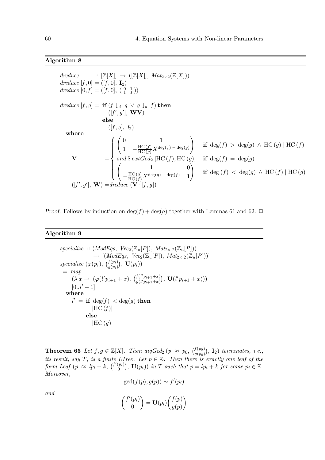## Algorithm 8

 $dreduce \qquad :: [\mathbb{Z}[X]] \rightarrow ([\mathbb{Z}[X]], Mat_{2\times 2}(\mathbb{Z}[X]))$ dreduce  $[f, 0] = ([f, 0], \mathbf{I}_2)$ dreduce  $[0, f] = ([f, 0], (\begin{smallmatrix} 0 & 1 \\ 1 & 0 \end{smallmatrix}))$ dreduce  $[f, g] = \textbf{if} (f \downarrow_d g \lor g \downarrow_d f) \textbf{ then}$  $([f', g'], \mathbf{WV})$ else  $([f, g], I_2)$ where  $V =$  $\sqrt{ }$  $\int$  $\overline{\mathcal{L}}$  $\begin{array}{ccc} \hline 0 & & 1 \end{array}$  $1 - \frac{\text{HC}(f)}{\text{HC}(g)} X^{\deg(f) - \deg(g)}$ ! if deg $(f) > \deg(g) \wedge \text{HC}(g) | \text{HC}(f)$  $\mathop{\mathrm{ord}}\nolimits\$ \mathop{\mathrm{ext}}\nolimits\mathop{\mathrm{Gcd}}\nolimits_2 [\mathrm{HC}\,(f), \mathrm{HC}\,(g)]$  if  $\deg(f) = \deg(g)$  $\begin{pmatrix} 1 & 0 \\ 0 & 0 \end{pmatrix}$  $-\frac{\text{HC}(g)}{\text{HC}(f)}X^{\deg(g)-\deg(f)}$  1 ! if deg  $(f) <$  deg $(g) \wedge$  HC  $(f)$  | HC  $(g)$  $([f', g'], \mathbf{W}) = \text{dreduce } (\mathbf{V} \cdot [f, g])$ 

*Proof.* Follows by induction on  $\deg(f) + \deg(g)$  together with Lemmas 61 and 62.  $\Box$ 

#### Algorithm 9

 $specialize :: (ModEqs, Vec_2(\mathbb{Z}_u[P]), Mat_{2\times 2}(\mathbb{Z}_u[P]))$  $\rightarrow [(ModEqs, Vec_2(\mathbb{Z}_u[P]), Mat_{2\times 2}(\mathbb{Z}_u[P]))]$ specialize  $(\varphi(p_i), \, \binom{f(p_i)}{g(p_i)}, \, \mathbf{U}(p_i))$  $=$  map  $(\lambda x \to (\varphi(l'p_{i+1}+x),\ \binom{f(l'p_{i+1}+x)}{g(l'p_{i+1}+x)})$  $_{g(l'p_{i+1}+x)}^{f(l'p_{i+1}+x)}$ ,  $\mathbf{U}(l'p_{i+1}+x)))$  $[0..l'-1]$ where  $l' = \mathbf{if} \deg(f) < \deg(g) \mathbf{then}$  $|HC(f)|$ else  $|HC (q)|$ 

**Theorem 65** Let  $f, g \in \mathbb{Z}[X]$ . Then  $aiqGcd_2$   $(p \approx p_0, \binom{f(p_0)}{g(p_0)}, I_2)$  terminates, i.e., its result, say T, is a finite LTree. Let  $p \in \mathbb{Z}$ . Then there is exactly one leaf of the form Leaf  $(p \approx lp_i + k, \binom{f'(p_i)}{0}$  $\mathcal{O}(p_i)$ ,  $\mathbf{U}(p_i)$  in T such that  $p = lp_i + k$  for some  $p_i \in \mathbb{Z}$ . Moreover,

$$
\gcd(f(p), g(p)) \sim f'(p_i)
$$

and

$$
\binom{f'(p_i)}{0} = \mathbf{U}(p_i) \binom{f(p)}{g(p)}
$$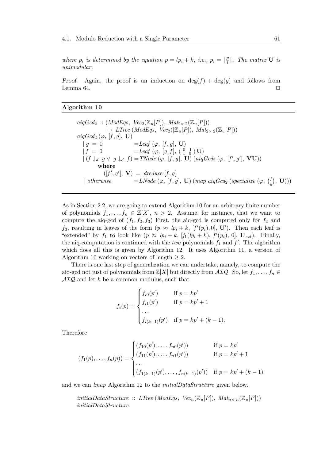where  $p_i$  is determined by the equation  $p = lp_i + k$ , i.e.,  $p_i = \lfloor \frac{p}{l} \rfloor$  $\frac{p}{l}$ ]. The matrix **U** is unimodular.

Proof. Again, the proof is an induction on  $\deg(f) + \deg(g)$  and follows from Lemma 64.  $\Box$ 

#### Algorithm 10

 $aiqGcd_2 :: (ModEqs, Vec_2(\mathbb{Z}_u[P]), Mat_{2\times 2}(\mathbb{Z}_u[P]))$  $\rightarrow$  LTree (ModEqs, Vec<sub>2</sub>([Z<sub>u</sub>[P]), Mat<sub>2×2</sub>(Z<sub>u</sub>[P]))  $aiqGcd_2(\varphi, [f, g], U)$  $| g = 0$  = Leaf ( $\varphi$ , [f, g], **U**)  $| f = 0$  = Leaf ( $\varphi$ , [g, f], ( $\begin{pmatrix} 0 & 1 \\ 1 & 0 \end{pmatrix}$  U)  $|(f \downarrow_d g \vee g \downarrow_d f) = \text{TNode} (\varphi, [f, g], \mathbf{U}) (aiqGcd_2 (\varphi, [f', g'], \mathbf{VU}))$ where  $([f', g'], \mathbf{V}) = \text{dreduce } [f, g]$ | otherwise  $=LNode(\varphi, [f, g], \mathbf{U})$  (map aiq $Gcd_2$  (specialize  $(\varphi, [f, g], \mathbf{U})$ )  $_{g}^{f}),\,$   $\bf U)))$ 

As in Section 2.2, we are going to extend Algorithm 10 for an arbitrary finite number of polynomials  $f_1, \ldots, f_n \in \mathbb{Z}[X], n > 2$ . Assume, for instance, that we want to compute the aiq-gcd of  $(f_1, f_2, f_3)$  First, the aiq-gcd is computed only for  $f_2$  and  $f_3$ , resulting in leaves of the form  $(p \approx lp_i + k, [f'(p_i), 0], \mathbf{U}')$ . Then each leaf is "extended" by  $f_1$  to look like  $(p \approx lp_i + k, [f_1(lp_i + k), f'(p_i), 0], \mathbf{U}_{ext})$ . Finally, the aiq-computation is continued with the *two* polynomials  $f_1$  and  $f'$ . The algorithm which does all this is given by Algorithm 12. It uses Algorithm 11, a version of Algorithm 10 working on vectors of length  $\geq 2$ .

There is one last step of generalization we can undertake, namely, to compute the aiq-gcd not just of polynomials from  $\mathbb{Z}[X]$  but directly from  $\mathcal{AIQ}$ . So, let  $f_1, \ldots, f_n \in$  $\mathcal{AIQ}$  and let k be a common modulus, such that

$$
f_i(p) = \begin{cases} f_{i0}(p') & \text{if } p = kp' \\ f_{i1}(p') & \text{if } p = kp' + 1 \\ \cdots \\ f_{i(k-1)}(p') & \text{if } p = kp' + (k-1). \end{cases}
$$

Therefore

$$
(f_1(p), \ldots, f_n(p)) = \begin{cases} (f_{10}(p'), \ldots, f_{n0}(p')) & \text{if } p = kp' \\ (f_{11}(p'), \ldots, f_{n1}(p')) & \text{if } p = kp' + 1 \\ \ldots \\ (f_{1(k-1)}(p'), \ldots, f_{n(k-1)}(p')) & \text{if } p = kp' + (k-1) \end{cases}
$$

and we can lmap Algorithm 12 to the initialDataStructure given below.

initialDataStructure :: LTree (ModEqs,  $Vec_n(\mathbb{Z}_n[P])$ ,  $Mat_{n \times n}(\mathbb{Z}_n[P]))$ initialDataStructure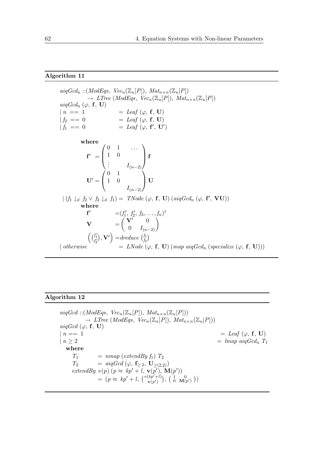### Algorithm 11

 $aiqGcd_n :: (ModEqs, \; Vec_n(\mathbb{Z}_u[P]), \; Mat_{n\times n}(\mathbb{Z}_u[P])$  $\rightarrow$  LTree (ModEqs, Vec<sub>n</sub>(Z<sub>u</sub>[P]), Mat<sub>n×n</sub>(Z<sub>u</sub>[P]) aiq $Gcd_n$  ( $\varphi$ ,  $f$ , U)  $| n == 1$   $=$  Leaf  $(\varphi, \mathbf{f}, \mathbf{U})$  $| f_2 \; == \; 0 \qquad \qquad = \; \textit{Leaf} \; (\varphi, \; \mathbf{f}, \; \mathbf{U})$  $| f_1 \; == \; 0 \qquad \qquad = \; \text{Leaf} \; (\varphi, \; \mathbf{f}', \; \mathbf{U}')$ where  $f' =$  $\sqrt{ }$  $\overline{ }$  $0 \quad 1 \quad \dots$ 1 0  $\vdots$   $I_{(n-2)}$  $\setminus$  $\int$  $\mathbf{U}' =$  $\sqrt{ }$  $\mathbf{I}$ 0 1 1 0  $I_{(n-2)}$  $\setminus$  $\vert$  U  $|(f_1 \downarrow_d f_2 \vee f_2 \downarrow_d f_1) = \text{TNode}(\varphi, \mathbf{f}, \mathbf{U}) (\text{aiqGcd}_n (\varphi, \mathbf{f}', \mathbf{VU}))$ where  $f' = (f'_1, f'_2, f_3, \ldots, f_n)^t$  $\mathbf{V}$  =  $\begin{pmatrix} \mathbf{V'} & 0 \\ 0 & I_{(n-2)} \end{pmatrix}$  $\Big(\binom{f_1'}{f_2'}$  $\mathbf{y} \cdot \mathbf{V}'$  = dreduce  $\begin{pmatrix} f_1 \\ f_2 \end{pmatrix}$  $\left(\begin{matrix} f_1 \ f_2 \end{matrix}\right)$ | otherwise  $= LNode (\varphi, f, U)$  (map aiq $Gcd_n$  (specialize  $(\varphi, f, U))$ )

## Algorithm 12

```
aiqGcd :: (ModEqs, Vec_n(\mathbb{Z}_u[P]), Mat_{n\times n}(\mathbb{Z}_u[P]))\rightarrow LTree (ModEqs, Vec<sub>n</sub>(Z<sub>u</sub>[P]), Mat<sub>n×n</sub>(Z<sub>u</sub>[P]))
aigGcd (\varphi, f, U)| n = 1 = Leaf (\varphi, \mathbf{f}, \mathbf{U})
| n \geq 2 = lmap aig Gcd<sub>n</sub> T_1where
     T_1 = nmap (extendBy f<sub>1</sub>) T_2T_2 = a i q G c d (\varphi, f_{\geq 2}, U_{\geq (2,2)})extendBy v(p) (p \approx kp' + l, \mathbf{v}(p'), \mathbf{M}(p'))= (p \approx kp' + l, (v(kp'+l)) , (l, 0, 0, 0, 0))
```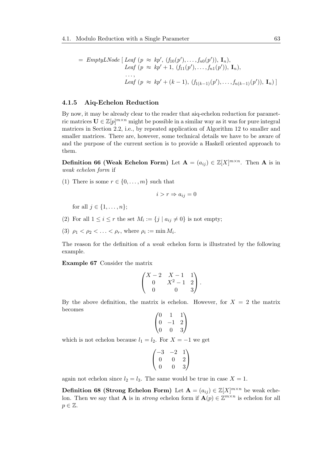= 
$$
EmptyLNode
$$
 [ $Leaf (p \approx kp', (f_{10}(p'),...,f_{n0}(p')), \mathbf{I}_n),$   
Leaf  $(p \approx kp' + 1, (f_{11}(p'),...,f_{n1}(p')), \mathbf{I}_n),$   
...;  
Leaf  $(p \approx kp' + (k - 1), (f_{1(k-1)}(p'),...,f_{n(k-1)}(p')), \mathbf{I}_n)$ ]

#### 4.1.5 Aiq-Echelon Reduction

By now, it may be already clear to the reader that aiq-echelon reduction for parametric matrices  $\mathbf{U} \in \mathbb{Z}[p]^{m \times n}$  might be possible in a similar way as it was for pure integral matrices in Section 2.2, i.e., by repeated application of Algorithm 12 to smaller and smaller matrices. There are, however, some technical details we have to be aware of and the purpose of the current section is to provide a Haskell oriented approach to them.

**Definition 66 (Weak Echelon Form)** Let  $A = (a_{ij}) \in \mathbb{Z}[X]^{m \times n}$ . Then A is in weak echelon form if

(1) There is some  $r \in \{0, \ldots, m\}$  such that

$$
i > r \Rightarrow a_{ij} = 0
$$

for all  $j \in \{1, \ldots, n\}$ ;

- (2) For all  $1 \leq i \leq r$  the set  $M_i := \{j \mid a_{ij} \neq 0\}$  is not empty;
- (3)  $\rho_1 < \rho_2 < \ldots < \rho_r$ , where  $\rho_i := \min M_i$ .

The reason for the definition of a weak echelon form is illustrated by the following example.

Example 67 Consider the matrix

$$
\begin{pmatrix} X-2 & X-1 & 1 \ 0 & X^2-1 & 2 \ 0 & 0 & 3 \end{pmatrix}.
$$

By the above definition, the matrix is echelon. However, for  $X = 2$  the matrix becomes

$$
\begin{pmatrix} 0 & 1 & 1 \\ 0 & -1 & 2 \\ 0 & 0 & 3 \end{pmatrix}
$$

which is not echelon because  $l_1 = l_2$ . For  $X = -1$  we get

$$
\begin{pmatrix} -3 & -2 & 1 \\ 0 & 0 & 2 \\ 0 & 0 & 3 \end{pmatrix}
$$

again not echelon since  $l_2 = l_3$ . The same would be true in case  $X = 1$ .

**Definition 68 (Strong Echelon Form)** Let  $A = (a_{ij}) \in \mathbb{Z}[X]^{m \times n}$  be weak echelon. Then we say that **A** is in *strong* echelon form if  $\mathbf{A}(p) \in \mathbb{Z}^{m \times n}$  is echelon for all  $p \in \mathbb{Z}$ .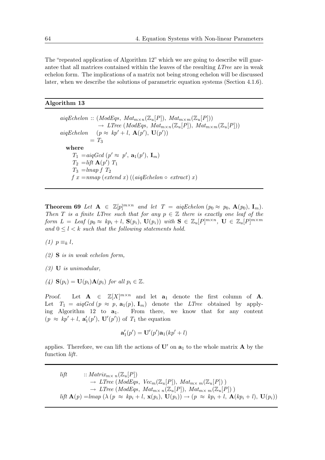The "repeated application of Algorithm 12" which we are going to describe will guarantee that all matrices contained within the leaves of the resulting LTree are in weak echelon form. The implications of a matrix not being strong echelon will be discussed later, when we describe the solutions of parametric equation systems (Section 4.1.6).

#### Algorithm 13

 $aigEchelon :: (ModEqs, Mat<sub>m×n</sub>(\mathbb{Z}_u[P]), Mat<sub>m×m</sub>(\mathbb{Z}_u[P]))$  $\rightarrow$  LTree (ModEqs, Mat<sub>m×n</sub>(Z<sub>u</sub>[P]), Mat<sub>m×m</sub>(Z<sub>u</sub>[P])) aiqEchelon  $(p \approx kp' + l, \mathbf{A}(p'), \mathbf{U}(p'))$  $= T_3$ where  $T_1 = \alpha i q Gcd (p' \approx p', \mathbf{a}_1(p'), \mathbf{I}_m)$  $T_2 =$ lift  $\mathbf{A}(p')$   $T_1$  $T_3 =$ lmap  $fT_2$ f  $x = nmap$  (extend x) ((aigEchelon  $\circ$  extract) x)

**Theorem 69** Let  $\mathbf{A} \in \mathbb{Z}[p]^{m \times n}$  and let  $T = \text{aiqEchelon } (p_0 \approx p_0, \mathbf{A}(p_0), \mathbf{I}_m)$ . Then T is a finite LTree such that for any  $p \in \mathbb{Z}$  there is exactly one leaf of the form  $L =$  Leaf  $(p_0 \approx kp_i + l, S(p_i), U(p_i))$  with  $S \in \mathbb{Z}_u[P]^{m \times n}, U \in \mathbb{Z}_u[P]^{m \times m}$ and  $0 \leq l \leq k$  such that the following statements hold.

 $(1)$   $p \equiv_k l$ ,

(2) S is in weak echelon form,

 $(3)$  **U** is unimodular,

(4)  $\mathbf{S}(p_i) = \mathbf{U}(p_i) \mathbf{A}(p_i)$  for all  $p_i \in \mathbb{Z}$ .

Proof. Let  $A \in \mathbb{Z}[X]^{m \times n}$  and let  $a_1$  denote the first column of A. Let  $T_1 = aiqGcd (p \approx p, a_1(p), I_m)$  denote the *LTree* obtained by applying Algorithm 12 to  $a_1$ . From there, we know that for any content  $(p \approx kp' + l, \mathbf{a}'_1(p'), \mathbf{U}'(p'))$  of  $T_1$  the equation

$$
\mathbf{a}'_1(p') = \mathbf{U}'(p')\mathbf{a}_1(kp'+l)
$$

applies. Therefore, we can lift the actions of  $\mathbf{U}'$  on  $\mathbf{a}_1$  to the whole matrix **A** by the function lift.

lift  $: Matrix_{m \times n}(\mathbb{Z}_u[P])$  $\rightarrow$  LTree (ModEqs, Vec<sub>m</sub>( $\mathbb{Z}_u[P]$ ), Mat<sub>m $\times$ m</sub>( $\mathbb{Z}_u[P]$ ))  $\rightarrow$  LTree (ModEqs, Mat<sub>m×n</sub>( $\mathbb{Z}_u[P]$ ), Mat<sub>m×n</sub>( $\mathbb{Z}_u[P]$ )) lift  $\mathbf{A}(p) = \text{Im}ap \ (\lambda \ (p \approx kp_i + l, \mathbf{x}(p_i), \mathbf{U}(p_i)) \rightarrow (p \approx kp_i + l, \mathbf{A}(kp_i + l), \mathbf{U}(p_i))$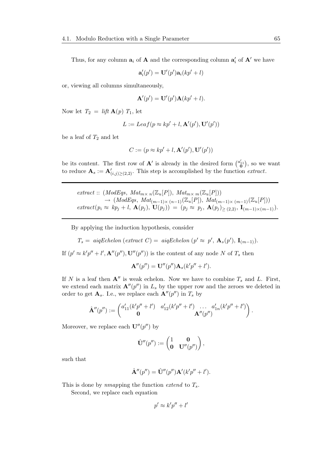Thus, for any column  $a_i$  of **A** and the corresponding column  $a'_i$  of **A'** we have

$$
\mathbf{a}'_i(p') = \mathbf{U}'(p')\mathbf{a}_i(kp'+l)
$$

or, viewing all columns simultaneously,

$$
\mathbf{A}'(p') = \mathbf{U}'(p')\mathbf{A}(kp'+l).
$$

Now let  $T_2 = \textit{lift } \mathbf{A}(p)$   $T_1$ , let

$$
L := Leaf(p \approx kp' + l, \mathbf{A}'(p'), \mathbf{U}'(p'))
$$

be a leaf of  $T_2$  and let

$$
C := (p \approx kp' + l, \mathbf{A}'(p'), \mathbf{U}'(p'))
$$

be its content. The first row of  $\mathbf{A}'$  is already in the desired form  $\binom{a'_{11}}{0}$ , so we want to reduce  $\mathbf{A}_s := \mathbf{A}'_{(i,j)\geq (2,2)}$ . This step is accomplished by the function extract.

extract ::  $(ModEqs, Mat_{m \times n}(\mathbb{Z}_u[P]), Mat_{m \times m}(\mathbb{Z}_u[P]))$  $\rightarrow$   $(ModEqs, Mat_{(m-1)\times (n-1)}(\mathbb{Z}_u[P]), Mat_{(m-1)\times (m-1)}(\mathbb{Z}_u[P]))$  $\mathit{extract}(p_i \approx kp_j + l, \mathbf{A}(p_j), \mathbf{U}(p_j)) = (p_j \approx p_j, \mathbf{A}(p_j)_{\geq (2,2)}, \mathbf{I}_{(m-1)\times (m-1)}).$ 

By applying the induction hypothesis, consider

 $T_s = \text{aigEchelon} (\text{extract } C) = \text{aigEchelon} (p' \approx p', \mathbf{A}_s(p'), \mathbf{I}_{(m-1)}).$ 

If  $(p' \approx k'p'' + l', \mathbf{A}''(p''), \mathbf{U}''(p''))$  is the content of any node N of  $T_s$  then

$$
\mathbf{A}''(p'') = \mathbf{U}''(p'')\mathbf{A}_s(k'p'' + l').
$$

If N is a leaf then  $\mathbf{A}''$  is weak echelon. Now we have to combine  $T_s$  and L. First, we extend each matrix  $\mathbf{A}''(p'')$  in  $L_s$  by the upper row and the zeroes we deleted in order to get  $\mathbf{A}_s$ . I.e., we replace each  $\mathbf{A}''(p'')$  in  $T_s$  by

$$
\hat{\mathbf{A}}''(p''):=\begin{pmatrix} a'_{11}(k'p''+l') & a'_{12}(k'p''+l') & \dots & a'_{1n}(k'p''+l') \\ \mathbf{0} & \mathbf{A}''(p'')\end{pmatrix}.
$$

Moreover, we replace each  $\mathbf{U}''(p'')$  by

$$
\hat{\mathbf{U}}''(p'') := \begin{pmatrix} 1 & \mathbf{0} \\ \mathbf{0} & \mathbf{U}''(p'') \end{pmatrix},
$$

such that

$$
\hat{\mathbf{A}}''(p'') = \hat{\mathbf{U}}''(p'')\mathbf{A}'(k'p'' + l').
$$

This is done by nmapping the function extend to  $T_s$ .

Second, we replace each equation

$$
p' \approx k'p'' + l'
$$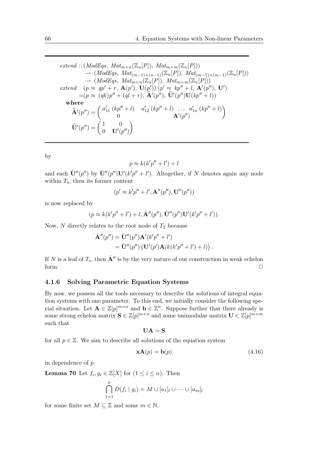extend :: (ModEqs,  $Mat_{m \times n}(\mathbb{Z}_u[P]), Mat_{m \times m}(\mathbb{Z}_u[P]))$  $\rightarrow$  (ModEqs, Mat<sub>(m-1)×(n-1)</sub>(Z<sub>u</sub>[P]), Mat<sub>(m-1)×(m-1)</sub>(Z<sub>u</sub>[P]))  $\rightarrow$  (ModEqs, Mat<sub>m×n</sub>( $\mathbb{Z}_u[P]$ ), Mat<sub>m×m</sub>( $\mathbb{Z}_u[P]$ )) extend  $(p \approx qp' + r, \mathbf{A}(p'), \mathbf{U}(p')) (p' \approx kp'' + l, \mathbf{A}'(p''), \mathbf{U}')$  $=(p \approx (qk)p'' + (ql + r), \hat{\mathbf{A}}'(p''), \hat{\mathbf{U}}'(p'')\mathbf{U}(kp'' + l))$ where  $\hat{\mathbf{A}}'(p'') = \begin{pmatrix} a'_{11} (kp''+l) & a'_{12} (kp''+l) & a'_{1n} (kp''+l) \\ 0 & A'(p'') \end{pmatrix}$ 0  $\mathbf{A}'(p'')$  $\setminus$  $\widehat{\mathbf{U}}'(p'') = \begin{pmatrix} 1 & 0 \\ 0 & \mathbf{U}'(r) \end{pmatrix}$  $0$   $\mathbf{U}'(p'')$  $\setminus$ 

by

$$
p \approx k(k'p'' + l') + l
$$

and each  $\hat{\mathbf{U}}''(p'')$  by  $\hat{\mathbf{U}}''(p'')\mathbf{U}'(k'p'' + l')$ . Altogether, if N denotes again any node within  $T_s$ , then its former content

$$
(p' \approx k'p'' + l', \mathbf{A}''(p''), \mathbf{U}''(p''))
$$

is now replaced by

$$
(p \approx k(k'p'' + l') + l, \hat{\mathbf{A}}''(p''), \hat{\mathbf{U}}''(p'')\mathbf{U}'(k'p'' + l')).
$$

Now,  $N$  directly relates to the root node of  $T_2$  because

$$
\hat{\mathbf{A}}''(p'') = \hat{\mathbf{U}}''(p'')\mathbf{A}'(k'p'' + l')
$$
  
= 
$$
\hat{\mathbf{U}}''(p'') (\mathbf{U}'(p')\mathbf{A}(k(k'p'' + l') + l)).
$$

If N is a leaf of  $T_s$ , then  $\mathbf{A}''$  is by the very nature of our construction in weak echelon form.  $\Box$ 

#### 4.1.6 Solving Parametric Equation Systems

By now, we possess all the tools necessary to describe the solutions of integral equation systems with one parameter. To this end, we initially consider the following special situation. Let  $\mathbf{A} \in \mathbb{Z}[p]^{m \times n}$  and  $\mathbf{b} \in \mathbb{Z}^n$ . Suppose further that there already is some strong echelon matrix  $\mathbf{S} \in \mathbb{Z}[p]^{m \times n}$  and some unimodular matrix  $\mathbf{U} \in \mathbb{Z}[p]^{m \times m}$ such that

$$
\mathbf{UA} = \mathbf{S}
$$

for all  $p \in \mathbb{Z}$ . We aim to describe all solutions of the equation system

$$
\mathbf{xA}(p) = \mathbf{b}(p) \tag{4.16}
$$

in dependence of p.

**Lemma 70** Let  $f_i, g_i \in \mathbb{Z}[X]$  for  $(1 \leq i \leq n)$ . Then

$$
\bigcap_{1=1}^{n} D(f_i \mid g_i) = M \cup [a_1]_l \cup \cdots \cup [a_m]_l
$$

for some finite set  $M \subseteq \mathbb{Z}$  and some  $m \in \mathbb{N}$ .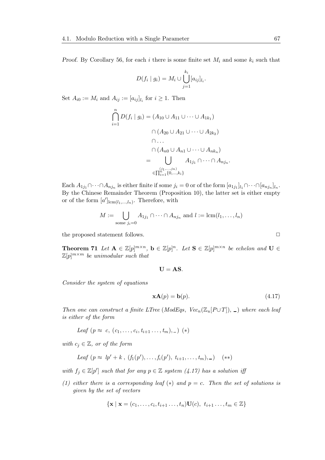Proof. By Corollary 56, for each i there is some finite set  $M_i$  and some  $k_i$  such that

$$
D(f_i \mid g_i) = M_i \cup \bigcup_{j=1}^{k_i} [a_{ij}]_{l_i}.
$$

Set  $A_{i0} := M_i$  and  $A_{ij} := [a_{ij}]_{l_i}$  for  $i \geq 1$ . Then

$$
\bigcap_{i=1}^{n} D(f_i \mid g_i) = (A_{10} \cup A_{11} \cup \cdots \cup A_{1k_1})
$$
\n
$$
\bigcap (A_{20} \cup A_{21} \cup \cdots \cup A_{2k_2})
$$
\n
$$
\bigcap \cdots
$$
\n
$$
\bigcap (A_{n0} \cup A_{n1} \cup \cdots \cup A_{nk_n})
$$
\n
$$
= \bigcup_{\substack{(j_1, \ldots, j_n) \\ \in \prod_{i=1}^{n} \{0, \ldots, k_i\}}} A_{1j_1} \cap \cdots \cap A_{nj_n}.
$$

Each  $A_{1j_1}\cap\cdots\cap A_{nj_n}$  is either finite if some  $j_i=0$  or of the form  $[a_{1j_1}]_{l_1}\cap\cdots\cap[a_{nj_n}]_{l_n}$ . By the Chinese Remainder Theorem (Proposition 10), the latter set is either empty or of the form  $[a']_{\text{lcm}(l_1,\dots,l_n)}$ . Therefore, with

$$
M := \bigcup_{\text{some } j_i=0} A_{1j_1} \cap \cdots \cap A_{nj_n} \text{ and } l := \text{lcm}(l_1, \ldots, l_n)
$$

the proposed statement follows.

**Theorem 71** Let  $A \in \mathbb{Z}[p]^{m \times n}$ ,  $b \in \mathbb{Z}[p]^n$ . Let  $S \in \mathbb{Z}[p]^{m \times n}$  be echelon and  $U \in$  $\mathbb{Z}[p]^{m \times m}$  be unimodular such that

$$
\mathbf{U}=\mathbf{A}\mathbf{S}.
$$

Consider the system of equations

$$
\mathbf{xA}(p) = \mathbf{b}(p). \tag{4.17}
$$

Then one can construct a finite LTree (ModEqs,  $Vec_n(\mathbb{Z}_u[P\cup T])$ ,  $\Box$ ) where each leaf is either of the form

$$
Leaf (p \approx c, (c_1, \ldots, c_i, t_{i+1} \ldots, t_m), -) (*)
$$

with  $c_i \in \mathbb{Z}$ , or of the form

*Leaf* 
$$
(p \approx lp' + k, (f_1(p'), \ldots, f_i(p'), t_{i+1}, \ldots, t_m), -)
$$
 (\*)

with  $f_j \in \mathbb{Z}[p']$  such that for any  $p \in \mathbb{Z}$  system (4.17) has a solution if

(1) either there is a corresponding leaf  $(*)$  and  $p = c$ . Then the set of solutions is given by the set of vectors

$$
\{\mathbf x \mid \mathbf x = (c_1, \dots, c_i, t_{i+1}, \dots, t_n) \mathbf U(c), t_{i+1}, \dots, t_m \in \mathbb{Z}\}
$$

$$
\Box
$$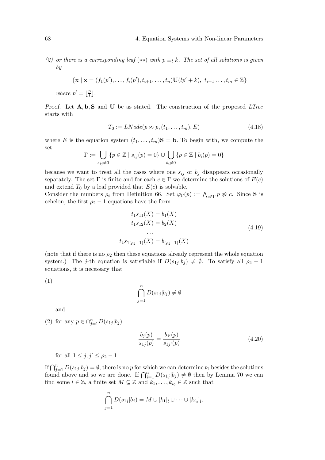(2) or there is a corresponding leaf (\*\*) with  $p \equiv_l k$ . The set of all solutions is given by

$$
\{ \mathbf{x} \mid \mathbf{x} = (f_1(p'), \dots, f_i(p'), t_{i+1}, \dots, t_n) \mathbf{U}(lp' + k), t_{i+1}, \dots, t_m \in \mathbb{Z} \}
$$

where  $p' = \lfloor \frac{p}{l} \rfloor$  $\frac{p}{l}$ .

Proof. Let  $A, b, S$  and U be as stated. The construction of the proposed LTree starts with

$$
T_0 := LNode(p \approx p, (t_1, \dots, t_m), E) \tag{4.18}
$$

where E is the equation system  $(t_1, \ldots, t_m)$ **S** = **b**. To begin with, we compute the set

$$
\Gamma := \bigcup_{s_{ij}\neq 0} \{p \in \mathbb{Z} \mid s_{ij}(p) = 0\} \cup \bigcup_{b_i\neq 0} \{p \in \mathbb{Z} \mid b_i(p) = 0\}
$$

because we want to treat all the cases where one  $s_{ij}$  or  $b_j$  disappears occasionally separately. The set  $\Gamma$  is finite and for each  $c \in \Gamma$  we determine the solutions of  $E(c)$ and extend  $T_0$  by a leaf provided that  $E(c)$  is solvable.

Consider the numbers  $\rho_i$  from Definition 66. Set  $\varphi_{\Gamma}(p) := \bigwedge_{c \in \Gamma} p \not\approx c$ . Since **S** is echelon, the first  $\rho_2 - 1$  equations have the form

$$
t_1 s_{11}(X) = b_1(X)
$$
  
\n
$$
t_1 s_{12}(X) = b_2(X)
$$
  
\n...  
\n
$$
t_1 s_{1(\rho_2 - 1)}(X) = b_{(\rho_2 - 1)}(X)
$$
\n(4.19)

(note that if there is no  $\rho_2$  then these equations already represent the whole equation system.) The j-th equation is satisfiable if  $D(s_{1j} | b_j) \neq \emptyset$ . To satisfy all  $\rho_2 - 1$ equations, it is necessary that

(1)

$$
\bigcap_{j=1}^{n} D(s_{1j}|b_j) \neq \emptyset
$$

and

(2) for any 
$$
p \in \bigcap_{j=1}^n D(s_{1j}|b_j)
$$

$$
\frac{b_j(p)}{s_{1j}(p)} = \frac{b_{j'}(p)}{s_{1j'}(p)}\tag{4.20}
$$

for all  $1 \leq j, j' \leq \rho_2 - 1$ .

If  $\bigcap_{j=1}^n D(s_{1j} | b_j) = \emptyset$ , there is no p for which we can determine  $t_1$  besides the solutions found above and so we are done. If  $\bigcap_{j=1}^n D(s_{1j} | b_j) \neq \emptyset$  then by Lemma 70 we can find some  $l \in \mathbb{Z}$ , a finite set  $M \subseteq \mathbb{Z}$  and  $k_1, \ldots, k_{i_0} \in \mathbb{Z}$  such that

$$
\bigcap_{j=1}^{n} D(s_{1j}|b_j) = M \cup [k_1]_l \cup \cdots \cup [k_{i_0}]_l.
$$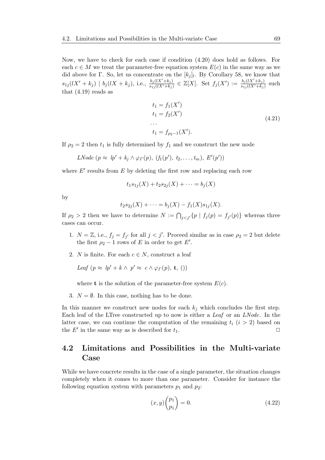Now, we have to check for each case if condition (4.20) does hold as follows. For each  $c \in M$  we treat the parameter-free equation system  $E(c)$  in the same way as we did above for  $\Gamma$ . So, let us concentrate on the  $[k_j]_l$ . By Corollary 58, we know that  $s_{1j}(lX' + k_j) \mid b_j(lX + k_j)$ , i.e.,  $\frac{b_j(lX' + k_j)}{s_{1j}(lX' + k_j)} \in \mathbb{Z}[X]$ . Set  $f_j(X') := \frac{b_j(lX' + k_j)}{s_{1j}(lX' + k_j)}$  such that  $(4.19)$  reads as

$$
t_1 = f_1(X')
$$
  
\n
$$
t_1 = f_2(X')
$$
  
\n...  
\n
$$
t_1 = f_{\rho_2 - 1}(X').
$$
\n(4.21)

If  $\rho_2 = 2$  then  $t_1$  is fully determined by  $f_1$  and we construct the new node

LNode  $(p \approx lp' + k_j \wedge \varphi_{\Gamma}(p), (f_1(p'), t_2, \ldots, t_m), E'(p'))$ 

where  $E'$  results from  $E$  by deleting the first row and replacing each row

$$
t_1s_{1j}(X) + t_2s_{2j}(X) + \dots = b_j(X)
$$

by

$$
t_2s_{2j}(X) + \cdots = b_j(X) - f_1(X)s_{1j}(X).
$$

If  $\rho_2 > 2$  then we have to determine  $N := \bigcap_{j < j'} \{ p \mid f_j(p) = f_{j'}(p) \}$  whereas three cases can occur.

- 1.  $N = \mathbb{Z}$ , i.e.,  $f_j = f_{j'}$  for all  $j < j'$ . Proceed similar as in case  $\rho_2 = 2$  but delete the first  $\rho_2 - 1$  rows of E in order to get E'.
- 2. N is finite. For each  $c \in N$ , construct a leaf

Leaf  $(p \approx lp' + k \wedge p' \approx c \wedge \varphi_T(p), \mathbf{t},$  ())

where **t** is the solution of the parameter-free system  $E(c)$ .

3.  $N = \emptyset$ . In this case, nothing has to be done.

In this manner we construct new nodes for each  $k_j$  which concludes the first step. Each leaf of the LTree constructed up to now is either a Leaf or an LNode. In the latter case, we can continue the computation of the remaining  $t_i$   $(i > 2)$  based on the  $E'$  in the same way as is described for  $t_1$ .

### 4.2 Limitations and Possibilities in the Multi-variate Case

While we have concrete results in the case of a single parameter, the situation changes completely when it comes to more than one parameter. Consider for instance the following equation system with parameters  $p_1$  and  $p_2$ :

$$
(x,y)\binom{p_1}{p_1} = 0.\t\t(4.22)
$$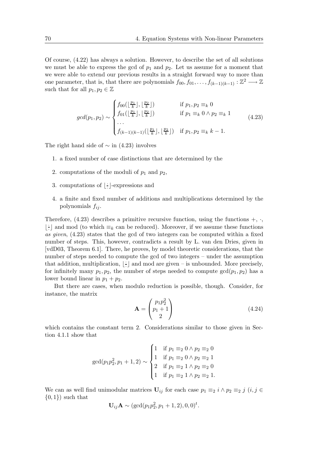Of course, (4.22) has always a solution. However, to describe the set of all solutions we must be able to express the gcd of  $p_1$  and  $p_2$ . Let us assume for a moment that we were able to extend our previous results in a straight forward way to more than one parameter, that is, that there are polynomials  $f_{00}, f_{01}, \ldots, f_{(k-1)(k-1)} : \mathbb{Z}^2 \longrightarrow \mathbb{Z}$ such that for all  $p_1, p_2 \in \mathbb{Z}$ 

$$
gcd(p_1, p_2) \sim\n\begin{cases}\nf_{00}(\lfloor \frac{p_1}{k} \rfloor, \lfloor \frac{p_2}{k} \rfloor) & \text{if } p_1, p_2 \equiv_k 0 \\
f_{01}(\lfloor \frac{p_1}{k} \rfloor, \lfloor \frac{p_2}{k} \rfloor) & \text{if } p_1 \equiv_k 0 \land p_2 \equiv_k 1 \\
\cdots & \vdots \\
f_{(k-1)(k-1)}(\lfloor \frac{p_1}{k} \rfloor, \lfloor \frac{p_2}{k} \rfloor) & \text{if } p_1, p_2 \equiv_k k-1.\n\end{cases}\n\tag{4.23}
$$

The right hand side of  $\sim$  in (4.23) involves

- 1. a fixed number of case distinctions that are determined by the
- 2. computations of the moduli of  $p_1$  and  $p_2$ ,
- 3. computations of  $\frac{1}{2}$ · ⌋-expressions and
- 4. a finite and fixed number of additions and multiplications determined by the polynomials  $f_{ij}$ .

Therefore,  $(4.23)$  describes a primitive recursive function, using the functions  $+$ ,  $\cdot$ ,  $\lfloor$ :  $\pm$  and mod (to which  $\equiv_k$  can be reduced). Moreover, if we assume these functions as given, (4.23) states that the gcd of two integers can be computed within a fixed number of steps. This, however, contradicts a result by L. van den Dries, given in [vdD03, Theorem 6.1]. There, he proves, by model theoretic considerations, that the number of steps needed to compute the gcd of two integers – under the assumption that addition, multiplication,  $|\frac{1}{x}$  $\frac{1}{x}$  and mod are given – is unbounded. More precisely, for infinitely many  $p_1, p_2$ , the number of steps needed to compute  $gcd(p_1, p_2)$  has a lower bound linear in  $p_1 + p_2$ .

But there are cases, when modulo reduction is possible, though. Consider, for instance, the matrix

$$
\mathbf{A} = \begin{pmatrix} p_1 p_2^2 \\ p_1 + 1 \\ 2 \end{pmatrix} \tag{4.24}
$$

which contains the constant term 2. Considerations similar to those given in Section 4.1.1 show that

$$
\gcd(p_1 p_2^2, p_1 + 1, 2) \sim\n\begin{cases}\n1 & \text{if } p_1 \equiv_2 0 \land p_2 \equiv_2 0 \\
1 & \text{if } p_1 \equiv_2 0 \land p_2 \equiv_2 1 \\
2 & \text{if } p_1 \equiv_2 1 \land p_2 \equiv_2 0 \\
1 & \text{if } p_1 \equiv_2 1 \land p_2 \equiv_2 1.\n\end{cases}
$$

We can as well find unimodular matrices  $U_{ij}$  for each case  $p_1 \equiv_2 i \land p_2 \equiv_2 j$   $(i, j \in$  $\{0,1\}$  such that

$$
U_{ij}A \sim (\gcd(p_1p_2^2, p_1+1, 2), 0, 0)^t.
$$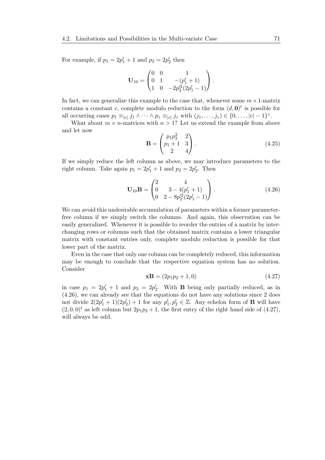For example, if  $p_1 = 2p'_1 + 1$  and  $p_2 = 2p'_2$  then

$$
\mathbf{U}_{10} = \begin{pmatrix} 0 & 0 & 1 \\ 0 & 1 & -(p'_1 + 1) \\ 1 & 0 & -2p'^2_2(2p'_1 - 1) \end{pmatrix}.
$$

In fact, we can generalize this example to the case that, whenever some  $m \times 1$ -matrix contains a constant c, complete modulo reduction to the form  $(d, 0)<sup>t</sup>$  is possible for all occurring cases  $p_1 \equiv_{|c|} j_1 \wedge \cdots \wedge p_z \equiv_{|c|} j_z$  with  $(j_1, \ldots, j_z) \in \{0, \ldots, |c| - 1\}^z$ .

What about  $m \times n$ -matrices with  $n > 1$ ? Let us extend the example from above and let now

$$
\mathbf{B} = \begin{pmatrix} p_1 p_2^2 & 2 \\ p_1 + 1 & 3 \\ 2 & 4 \end{pmatrix} . \tag{4.25}
$$

If we simply reduce the left column as above, we may introduce parameters to the right column. Take again  $p_1 = 2p'_1 + 1$  and  $p_2 = 2p'_2$ . Then

$$
\mathbf{U}_{10}\mathbf{B} = \begin{pmatrix} 2 & 4 \\ 0 & 3 - 4(p'_1 + 1) \\ 0 & 2 - 8p'_2(2p'_1 - 1) \end{pmatrix} . \tag{4.26}
$$

We can avoid this undesirable accumulation of parameters within a former parameterfree column if we simply switch the columns. And again, this observation can be easily generalized. Whenever it is possible to reorder the entries of a matrix by interchanging rows or columns such that the obtained matrix contains a lower triangular matrix with constant entries only, complete modulo reduction is possible for that lower part of the matrix.

Even in the case that only one column can be completely reduced, this information may be enough to conclude that the respective equation system has no solution. Consider

$$
\mathbf{xB} = (2p_1p_2 + 1, 0) \tag{4.27}
$$

in case  $p_1 = 2p'_1 + 1$  and  $p_2 = 2p'_2$ . With **B** being only partially reduced, as in (4.26), we can already see that the equations do not have any solutions since 2 does not divide  $2(2p'_1 + 1)(2p'_2) + 1$  for any  $p'_1, p'_2 \in \mathbb{Z}$ . Any echelon form of **B** will have  $(2, 0, 0)^t$  as left column but  $2p_1p_2 + 1$ , the first entry of the right hand side of  $(4.27)$ , will always be odd.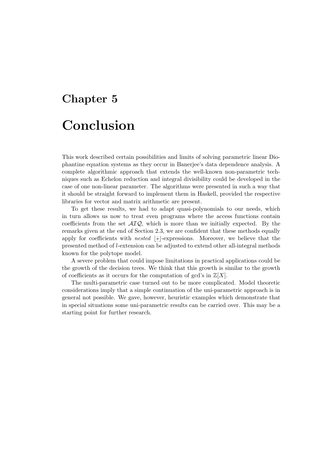# Chapter 5 Conclusion

This work described certain possibilities and limits of solving parametric linear Diophantine equation systems as they occur in Banerjee's data dependence analysis. A complete algorithmic approach that extends the well-known non-parametric techniques such as Echelon reduction and integral divisibility could be developed in the case of one non-linear parameter. The algorithms were presented in such a way that it should be straight forward to implement them in Haskell, provided the respective libraries for vector and matrix arithmetic are present.

To get these results, we had to adapt quasi-polynomials to our needs, which in turn allows us now to treat even programs where the access functions contain coefficients from the set  $\mathcal{AIQ}$ , which is more than we initially expected. By the remarks given at the end of Section 2.3, we are confident that these methods equally apply for coefficients with *nested*  $\left| \cdot \right|$ · ⌋-expressions. Moreover, we believe that the presented method of l-extension can be adjusted to extend other all-integral methods known for the polytope model.

A severe problem that could impose limitations in practical applications could be the growth of the decision trees. We think that this growth is similar to the growth of coefficients as it occurs for the computation of gcd's in  $\mathbb{Z}[X]$ .

The multi-parametric case turned out to be more complicated. Model theoretic considerations imply that a simple continuation of the uni-parametric approach is in general not possible. We gave, however, heuristic examples which demonstrate that in special situations some uni-parametric results can be carried over. This may be a starting point for further research.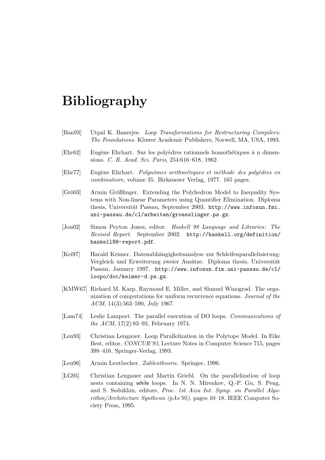## Bibliography

- [Ban93] Utpal K. Banerjee. Loop Transformations for Restructuring Compilers: The Foundations. Kluwer Academic Publishers, Norwell, MA, USA, 1993.
- [Ehr62] Eugène Ehrhart. Sur les polyèdres rationnels homothétiques à n dimensions. C. R. Acad. Sci. Paris, 254:616–618, 1962.
- [Ehr77] Eugène Ehrhart. Polynômes arithmétiques et méthode des polyèdres en combinatoire, volume 35. Birkaueser Verlag, 1977. 165 pages.
- [Grö03] Armin Größlinger. Extending the Polyhedron Model to Inequality Systems with Non-linear Parameters using Quantifier Elimination. Diploma thesis, Universität Passau, September 2003. http://www.infosun.fmi. uni-passau.de/cl/arbeiten/groesslinger.ps.gz.
- [Jon02] Simon Peyton Jones, editor. Haskell 98 Language and Libraries: The Revised Report. September 2002. http://haskell.org/definition/ haskell98-report.pdf.
- [Kei97] Harald Keimer. Datenabhängigkeitsanalyse zur Schleifenparallelisierung: Vergleich und Erweiterung zweier Ansätze. Diploma thesis, Universität Passau, January 1997. http://www.infosun.fim.uni-passau.de/cl/ loopo/doc/keimer-d.ps.gz.
- [KMW67] Richard M. Karp, Raymond E. Miller, and Shmuel Winograd. The organization of computations for uniform recurrence equations. Journal of the ACM, 14(3):563–590, July 1967.
- [Lam74] Leslie Lamport. The parallel execution of DO loops. Communications of the ACM, 17(2):83–93, February 1974.
- [Len93] Christian Lengauer. Loop Parallelization in the Polytope Model. In Eike Best, editor, CONCUR'93, Lecture Notes in Computer Science 715, pages 398–416. Springer-Verlag, 1993.
- [Leu96] Armin Leutbecher. Zahlentheorie. Springer, 1996.
- [LG95] Christian Lengauer and Martin Griebl. On the parallelization of loop nests containing while loops. In N. N. Mirenkov, Q.-P. Gu, S. Peng, and S. Sedukhin, editors, Proc. 1st Aizu Int. Symp. on Parallel Algorithm/Architecture Synthesis (pAs'95), pages 10–18. IEEE Computer Society Press, 1995.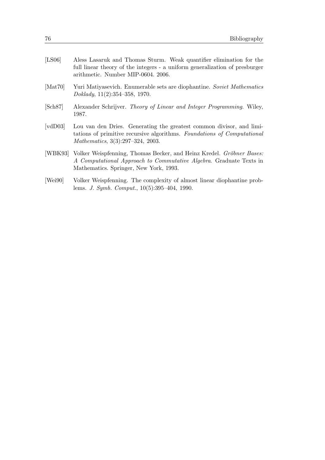| [LS06]                         | Aless Lasaruk and Thomas Sturm. Weak quantifier elimination for the<br>full linear theory of the integers - a uniform generalization of presburger<br>arithmetic. Number MIP-0604. 2006.    |
|--------------------------------|---------------------------------------------------------------------------------------------------------------------------------------------------------------------------------------------|
| [Mat70]                        | Yuri Matiyasevich. Enumerable sets are diophantine. Soviet Mathematics<br>Doklady, $11(2):354-358$ , 1970.                                                                                  |
| [Sch87]                        | Alexander Schrijver. Theory of Linear and Integer Programming. Wiley,<br>1987.                                                                                                              |
| $\lbrack \text{vdD}03 \rbrack$ | Lou van den Dries. Generating the greatest common divisor, and limi-<br>tations of primitive recursive algorithms. Foundations of Computational<br><i>Mathematics</i> , 3(3):297-324, 2003. |
| [WBK93]                        | Volker Weispfenning, Thomas Becker, and Heinz Kredel. Gröbner Bases:<br>A Computational Approach to Commutative Algebra. Graduate Texts in<br>Mathematics. Springer, New York, 1993.        |
| [Wei90]                        | Volker Weispfenning. The complexity of almost linear diophantine prob-<br>lems. J. Symb. Comput., $10(5):395-404$ , 1990.                                                                   |